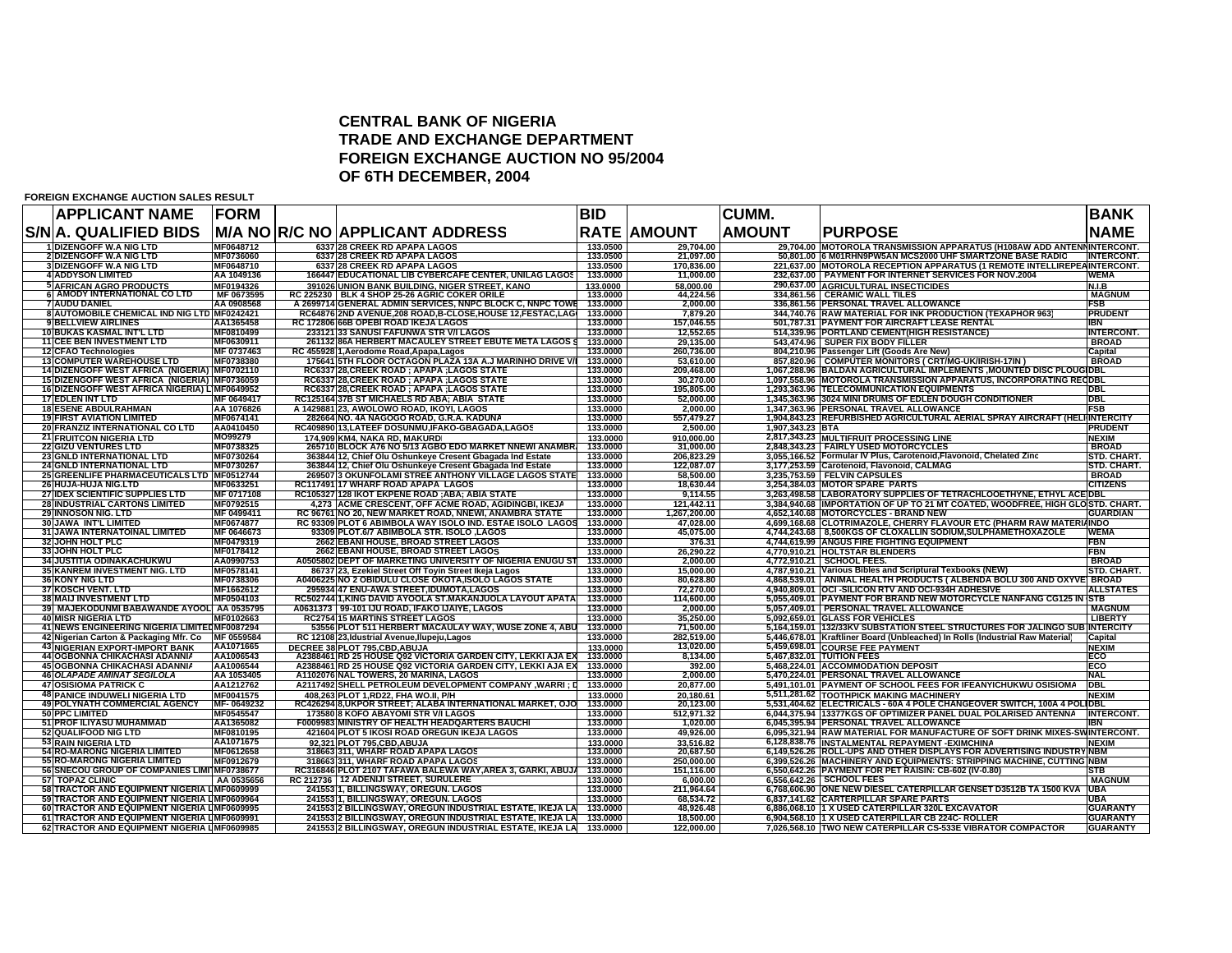## **CENTRAL BANK OF NIGERIA TRADE AND EXCHANGE DEPARTMENT FOREIGN EXCHANGE AUCTION NO 95/2004OF 6TH DECEMBER, 2004**

**FOREIGN EXCHANGE AUCTION SALES RESULT**

| <b>APPLICANT NAME</b>                                                                          | <b>FORM</b>             |                                               |                                                                                                  | <b>BID</b>           |                         | <b>CUMM.</b>     |                                                                                                                 | <b>BANK</b>                 |
|------------------------------------------------------------------------------------------------|-------------------------|-----------------------------------------------|--------------------------------------------------------------------------------------------------|----------------------|-------------------------|------------------|-----------------------------------------------------------------------------------------------------------------|-----------------------------|
| IS/NIA. QUALIFIED BIDS                                                                         |                         |                                               | <b>M/A NO R/C NO APPLICANT ADDRESS</b>                                                           |                      | <b>RATE AMOUNT</b>      | <b>AMOUNT</b>    | <b>IPURPOSE</b>                                                                                                 | <b>INAME</b>                |
| 1 DIZENGOFF W.A NIG LTD                                                                        | MF0648712               | 6337 28 CREEK RD APAPA LAGOS                  |                                                                                                  | 133.0500             | 29.704.00               |                  | 29,704.00 MOTOROLA TRANSMISSION APPARATUS (H108AW ADD ANTENNINTERCONT.                                          |                             |
| <b>2 DIZENGOFF W.A NIG LTD</b>                                                                 | MF0736060               | 6337 28 CREEK RD APAPA LAGOS                  |                                                                                                  | 133.0500             | 21,097.00               |                  | 50,801.00 6 M01RHN9PW5AN MCS2000 UHF SMARTZONE BASE RADIC                                                       | <b>INTERCONT.</b>           |
| 3 DIZENGOFF W.A NIG LTD                                                                        | MF0648710               | 6337 28 CREEK RD APAPA LAGOS                  |                                                                                                  | 133.0500             | 170,836.00              |                  | 221,637.00 MOTOROLA RECEPTION APPARATUS (1 REMOTE INTELLIREPEAINTERCONT.                                        | <b>WEMA</b>                 |
| <b>4 ADDYSON LIMITED</b>                                                                       | AA 1049136              |                                               | 166447 EDUCATIONAL LIB CYBERCAFE CENTER, UNILAG LAGOS                                            | 133.0000             | 11,000.00               |                  | 232,637.00 PAYMENT FOR INTERNET SERVICES FOR NOV.2004                                                           |                             |
| 5 AFRICAN AGRO PRODUCTS<br>6 AMODY INTERNATIONAL CO LTD                                        | MF0194326<br>MF 0673595 |                                               | 391026 UNION BANK BUILDING, NIGER STREET, KANO<br>RC 225230   BLK 4 SHOP 25-26 AGRIC COKER ORILE | 133.0000<br>133.0000 | 58,000.00<br>44,224.56  |                  | 290,637.00 AGRICULTURAL INSECTICIDES<br>334,861.56 CERAMIC WALL TILES                                           | N.I.B<br><b>MAGNUM</b>      |
| <b>7 AUDU DANIEL</b>                                                                           | AA 0908568              |                                               | A 2699714 GENERAL ADMIN SERVICES, NNPC BLOCK C, NNPC TOWE                                        | 133,0000             | 2.000.00                |                  | 336,861.56 PERSONAL TRAVEL ALLOWANCE                                                                            | <b>FSB</b>                  |
| 8 AUTOMOBILE CHEMICAL IND NIG LTD MF0242421                                                    |                         |                                               | RC64876 2ND AVENUE, 208 ROAD, B-CLOSE, HOUSE 12, FESTAC, LAG                                     | 133.0000             | 7,879.20                |                  | 344,740.76 RAW MATERIAL FOR INK PRODUCTION (TEXAPHOR 963)                                                       | <b>PRUDENT</b>              |
| 9 BELLVIEW AIRLINES                                                                            | AA1365458               | RC 172806 66B OPEBI ROAD IKEJA LAGOS          |                                                                                                  | 133.0000             | 157,046.55              |                  | 501,787.31 PAYMENT FOR AIRCRAFT LEASE RENTAL                                                                    | <b>IBN</b>                  |
| <b>10 BUKAS KASMAL INT'L LTD</b>                                                               | MF0810499               | 233121 33 SANUSI FAFUNWA STR V/I LAGOS        |                                                                                                  | 133,0000             | 12.552.65               |                  | 514,339.96 PORTLAND CEMENT(HIGH RESISTANCE)                                                                     | <b>INTERCONT.</b>           |
| <b>11 CEE BEN INVESTMENT LTD</b>                                                               | MF0630911               |                                               | 261132 86A HERBERT MACAULEY STREET EBUTE META LAGOS \$                                           | 133.0000             | 29,135.00               |                  | 543,474.96 SUPER FIX BODY FILLER                                                                                | <b>BROAD</b>                |
| 12 CFAO Technologies                                                                           | MF 0737463              | RC 455928 1, Aerodome Road, Apapa, Lagos      |                                                                                                  | 133.0000             | 260,736.00              |                  | 804,210.96 Passenger Lift (Goods Are New)                                                                       | Capital                     |
| <b>13 COMPUTER WAREHOUSE LTD</b>                                                               | MF0738380               |                                               | 175641 5TH FLOOR OCTAGON PLAZA 13A A.J MARINHO DRIVE V/I                                         | 133,0000             | 53,610.00               |                  | 857,820.96 COMPUTER MONITORS (CRT/MG-UK/IRISH-17IN                                                              | <b>BROAD</b>                |
| 14 DIZENGOFF WEST AFRICA (NIGERIA) IMF0702110                                                  |                         |                                               | RC6337 28, CREEK ROAD; APAPA; LAGOS STATE                                                        | 133.0000             | 209,468.00              |                  | 1,067,288.96 BALDAN AGRICULTURAL IMPLEMENTS ,MOUNTED DISC PLOUGIDBL                                             |                             |
| 15 DIZENGOFF WEST AFRICA (NIGERIA) IMF0736059<br>16 DIZENGOFF WEST AFRICA NIGERIA) L'MF0649952 |                         |                                               | RC6337 28, CREEK ROAD; APAPA; LAGOS STATE<br>RC6337 28,CREEK ROAD ; APAPA ;LAGOS STATE           | 133.0000<br>133.0000 | 30,270.00<br>195,805.00 |                  | 1,097,558.96 MOTOROLA TRANSMISSION APPARATUS, INCORPORATING RECOBL<br>1,293,363.96 TELECOMMUNICATION EQUIPMENTS | <b>DBL</b>                  |
| <b>17 EDLEN INT LTD</b>                                                                        | MF 0649417              |                                               | RC125164 37B ST MICHAELS RD ABA; ABIA STATE                                                      | 133.0000             | 52,000.00               |                  | 1,345,363.96 3024 MINI DRUMS OF EDLEN DOUGH CONDITIONER                                                         | <b>DBL</b>                  |
| <b>18 ESENE ABDULRAHMAN</b>                                                                    | AA 1076826              | A 1429881 23, AWOLOWO ROAD, IKOYI, LAGOS      |                                                                                                  | 133.0000             | 2.000.00                |                  | 1.347.363.96 PERSONAL TRAVEL ALLOWANCE                                                                          | <b>FSB</b>                  |
| <b>19 FIRST AVIATION LIMITED</b>                                                               | MF0674141               |                                               | 282664 NO. 4A NAGOGO ROAD, G.R.A. KADUNA                                                         | 133.0000             | 557.479.27              |                  | 1,904,843.23 REFURBISHED AGRICULTURAL AERIAL SPRAY AIRCRAFT (HELI INTERCITY                                     |                             |
| <b>20 FRANZIZ INTERNATIONAL CO LTD</b>                                                         | AA0410450               |                                               | RC409890 13, LATEEF DOSUNMU, IFAKO-GBAGADA, LAGOS                                                | 133.0000             | 2,500.00                | 1,907,343.23 BTA |                                                                                                                 | <b>PRUDENT</b>              |
| <b>21 FRUITCON NIGERIA LTD</b>                                                                 | MO99279                 | 174,909 KM4, NAKA RD, MAKURDI                 |                                                                                                  | 133.0000             | 910,000.00              |                  | 2,817,343.23 MULTIFRUIT PROCESSING LINE                                                                         | <b>NEXIM</b>                |
| <b>22 GIZU VENTURES LTD</b>                                                                    | MF0738325               |                                               | 265710 BLOCK A76 NO 5/13 AGBO EDO MARKET NNEWI ANAMBR.                                           | 133.0000             | 31,000.00               |                  | 2,848,343.23   FAIRLY USED MOTORCYCLES                                                                          | <b>BROAD</b>                |
| <b>23 GNLD INTERNATIONAL LTD</b>                                                               | MF0730264               |                                               | 363844 12, Chief Olu Oshunkeye Cresent Gbagada Ind Estate                                        | 133.0000             | 206.823.29              |                  | 3,055,166.52 Formular IV Plus, Carotenoid, Flavonoid, Chelated Zinc                                             | STD. CHART.                 |
| <b>24 GNLD INTERNATIONAL LTD</b>                                                               | MF0730267               |                                               | 363844 12, Chief Olu Oshunkeye Cresent Gbagada Ind Estate                                        | 133.0000             | 122.087.07              |                  | 3,177,253.59 Carotenoid, Flavonoid, CALMAG                                                                      | STD. CHART.                 |
| 25 GREENLIFE PHARMACEUTICALS LTD   MF0512744                                                   |                         |                                               | 269507 3 OKUNFOLAMI STREE ANTHONY VILLAGE LAGOS STATE                                            | 133.0000             | 58.500.00               |                  | 3.235.753.59 FELVIN CAPSULES                                                                                    | <b>BROAD</b>                |
| 26 HUJA-HUJA NIG.LTD                                                                           | MF0633251               | RC117491 17 WHARF ROAD APAPA LAGOS            |                                                                                                  | 133.0000             | 18,630.44               |                  | 3,254,384.03 MOTOR SPARE PARTS                                                                                  | <b>CITIZENS</b>             |
| 27 IDEX SCIENTIFIC SUPPLIES LTD                                                                | MF 0717108              |                                               | RC105327 128 IKOT EKPENE ROAD ; ABA; ABIA STATE                                                  | 133.0000             | 9,114.55                |                  | 3,263,498.58 LABORATORY SUPPLIES OF TETRACHLOOETHYNE, ETHYL ACE DBL                                             |                             |
| <b>28 INDUSTRIAL CARTONS LIMITED</b>                                                           | MF0792515               |                                               | 4,273 ACME CRESCENT, OFF ACME ROAD, AGIDINGBI, IKEJA                                             | 133.0000             | 121,442.11              |                  | 3,384,940.68 IMPORTATION OF UP TO 21 MT COATED, WOODFREE, HIGH GLOSTD. CHART.                                   |                             |
| <b>29 INNOSON NIG. LTD</b>                                                                     | MF 0499411              |                                               | RC 96761 NO 20, NEW MARKET ROAD, NNEWI, ANAMBRA STATE                                            | 133.0000             | 1,267,200.00            |                  | 4,652,140.68 MOTORCYCLES - BRAND NEW                                                                            | <b>GUARDIAN</b>             |
| <b>30 JAWA INT'L LIMITED</b>                                                                   | MF0674877               |                                               | RC 93309 PLOT 6 ABIMBOLA WAY ISOLO IND. ESTAE ISOLO LAGOS                                        | 133.0000             | 47,028.00               |                  | 4,699,168.68 CLOTRIMAZOLE, CHERRY FLAVOUR ETC (PHARM RAW MATERIAINDO                                            |                             |
| <b>31 JAWA INTERNATOINAL LIMITED</b><br><b>32 JOHN HOLT PLC</b>                                | MF 0646673<br>MF0479319 |                                               | 93309 PLOT.6/7 ABIMBOLA STR. ISOLO .LAGOS<br>2662 EBANI HOUSE, BROAD STREET LAGOS                | 133.0000<br>133.0000 | 45.075.00<br>376.31     |                  | 4,744,243.68   8,500KGS OF CLOXALLIN SODIUM, SULPHAMETHOXAZOLE<br>4,744,619.99 ANGUS FIRE FIGHTING EQUIPMENT    | <b>WEMA</b><br><b>FBN</b>   |
| 33 JOHN HOLT PLC                                                                               | MF0178412               |                                               | 2662 EBANI HOUSE, BROAD STREET LAGOS                                                             | 133.0000             | 26,290.22               |                  | 4,770,910.21 HOLTSTAR BLENDERS                                                                                  | <b>FBN</b>                  |
| 34 JUSTITIA ODINAKACHUKWU                                                                      | AA0990753               |                                               | A0505802 DEPT OF MARKETING UNIVERSITY OF NIGERIA ENUGU ST                                        | 133,0000             | 2.000.00                |                  | 4.772.910.21 SCHOOL FEES.                                                                                       | <b>BROAD</b>                |
| <b>35 KANREM INVESTMENT NIG. LTD</b>                                                           | MF0578141               |                                               | 86737 23, Ezekiel Street Off Toyin Street Ikeja Lagos                                            | 133.0000             | 15,000.00               |                  | 4,787,910.21 Various Bibles and Scriptural Texbooks (NEW)                                                       | STD. CHART.                 |
| <b>36 KONY NIG LTD</b>                                                                         | MF0738306               |                                               | A0406225 NO 2 OBIDULU CLOSE OKOTA, ISOLO LAGOS STATE                                             | 133.0000             | 80.628.80               |                  | 4,868,539.01 ANIMAL HEALTH PRODUCTS (ALBENDA BOLU 300 AND OXYVE BROAD                                           |                             |
| <b>37 KOSCH VENT, LTD</b>                                                                      | MF1662612               |                                               | 295934 47 ENU-AWA STREET.IDUMOTA.LAGOS                                                           | 133.0000             | 72.270.00               |                  | 4.940.809.01 OCI - SILICON RTV AND OCI 934H ADHESIVE                                                            | <b>ALLSTATES</b>            |
| <b>38 MAIJ INVESTMENT LTD</b>                                                                  | MF0504103               |                                               | RC502744 1, KING DAVID AYOOLA ST.MAKANJUOLA LAYOUT APATA                                         | 133.0000             | 114,600.00              |                  | 5,055,409.01 PAYMENT FOR BRAND NEW MOTORCYCLE NANFANG CG125 IN STB                                              |                             |
| 39 MAJEKODUNMI BABAWANDE AYOOL AA 0535795                                                      |                         |                                               | A0631373 99-101 IJU ROAD, IFAKO IJAIYE, LAGOS                                                    | 133.0000             | 2,000.00                |                  | 5,057,409.01 PERSONAL TRAVEL ALLOWANCE                                                                          | <b>MAGNUM</b>               |
| <b>40 MISR NIGERIA LTD</b>                                                                     | MF0102663               | <b>RC2754 15 MARTINS STREET LAGOS</b>         |                                                                                                  | 133.0000             | 35.250.00               |                  | 5,092,659.01 GLASS FOR VEHICLES                                                                                 | <b>LIBERTY</b>              |
| 41 NEWS ENGINEERING NIGERIA LIMITED MF0087294                                                  |                         |                                               | 53556 PLOT 511 HERBERT MACAULAY WAY, WUSE ZONE 4, ABU                                            | 133.0000             | 71,500.00               |                  | 5,164,159.01 132/33KV SUBSTATION STEEL STRUCTURES FOR JALINGO SUB INTERCITY                                     |                             |
| 42 Nigerian Carton & Packaging Mfr. Co                                                         | MF 0559584              | RC 12108 23, Idustrial Avenue, Ilupeju, Lagos |                                                                                                  | 133.0000             | 282.519.00              |                  | 5,446,678.01   Kraftliner Board (Unbleached) In Rolls (Industrial Raw Material)                                 | Capital                     |
| <b>43 NIGERIAN EXPORT-IMPORT BANK</b>                                                          | AA1071665               | DECREE 38 PLOT 795, CBD, ABUJA                |                                                                                                  | 133.0000             | 13.020.00               |                  | 5,459,698.01 COURSE FEE PAYMENT                                                                                 | <b>NEXIM</b>                |
| <b>44 OGBONNA CHIKACHASI ADANNI/</b>                                                           | AA1006543               |                                               | A2388461 RD 25 HOUSE Q92 VICTORIA GARDEN CITY, LEKKI AJA EX                                      | 133.0000             | 8,134.00                |                  | 5,467,832.01 TUITION FEES                                                                                       | ECO                         |
| <b>45 OGBONNA CHIKACHASI ADANNI/</b><br><b>46 OLAPADE AMINAT SEGILOLA</b>                      | AA1006544<br>AA 1053405 | A1102076 NAL TOWERS, 20 MARINA, LAGOS         | A2388461 RD 25 HOUSE Q92 VICTORIA GARDEN CITY, LEKKI AJA EX                                      | 133.0000<br>133.0000 | 392.00<br>2,000.00      |                  | 5,468,224.01 ACCOMMODATION DEPOSIT<br>5,470,224.01 PERSONAL TRAVEL ALLOWANCE                                    | ECO<br><b>NAL</b>           |
| <b>47 OSISIOMA PATRICK C</b>                                                                   | AA1212762               |                                               | A2117492 SHELL PETROLEUM DEVELOPMENT COMPANY , WARRI ; D                                         | 133.0000             | 20.877.00               |                  | 5,491,101.01 PAYMENT OF SCHOOL FEES FOR IFEANYICHUKWU OSISIOMA                                                  | <b>DBL</b>                  |
| <b>48 PANICE INDUWELI NIGERIA LTD</b>                                                          | MF0041575               | 408.263 PLOT 1.RD22. FHA WO.II. P/H           |                                                                                                  | 133.0000             | 20.180.61               |                  | 5,511,281.62 TOOTHPICK MAKING MACHINERY                                                                         | <b>NEXIM</b>                |
| <b>49 POLYNATH COMMERCIAL AGENCY</b>                                                           | MF-0649232              |                                               | RC426294 8, UKPOR STREET; ALABA INTERNATIONAL MARKET, OJO                                        | 133.0000             | 20,123.00               |                  | 5,531,404.62 ELECTRICALS - 60A 4 POLE CHANGEOVER SWITCH, 100A 4 POLIDBL                                         |                             |
| 50 PPC LIMITED                                                                                 | MF0545547               | 173580 8 KOFO ABAYOMI STR V/I LAGOS           |                                                                                                  | 133.0000             | 512,971.32              |                  | 6,044,375.94 13377KGS OF OPTIMIZER PANEL DUAL POLARISED ANTENNA                                                 | <b>INTERCONT.</b>           |
| <b>51 PROF ILIYASU MUHAMMAD</b>                                                                | AA1365082               |                                               | F0009983 MINISTRY OF HEALTH HEADQARTERS BAUCH                                                    | 133.0000             | 1.020.00                |                  | 6,045,395.94 PERSONAL TRAVEL ALLOWANCE                                                                          | <b>IBN</b>                  |
| 52 QUALIFOOD NIG LTD                                                                           | MF0810195               |                                               | 421604 PLOT 5 IKOSI ROAD OREGUN IKEJA LAGOS                                                      | 133.0000             | 49,926.00               |                  | 6,095,321.94 RAW MATERIAL FOR MANUFACTURE OF SOFT DRINK MIXES-SWINTERCONT.                                      |                             |
| 53 RAIN NIGERIA LTD                                                                            | AA1071675               | 92,321 PLOT 795, CBD, ABUJA                   |                                                                                                  | 133.0000             | 33,516.82               |                  | 6,128,838.76 INSTALMENTAL REPAYMENT - EXIMCHINA                                                                 | <b>NEXIM</b>                |
| 54 RO-MARONG NIGERIA LIMITED                                                                   | MF0612658               | 318663 311, WHARF ROAD APAPA LAGOS            |                                                                                                  | 133.0000             | 20,687.50               |                  | 6,149,526.26 ROLL-UPS AND OTHER DISPLAYS FOR ADVERTISING INDUSTRY NBM                                           |                             |
| 55 RO-MARONG NIGERIA LIMITED                                                                   | MF0912679               | 318663 311, WHARF ROAD APAPA LAGOS            |                                                                                                  | 133.0000             | 250,000.00              |                  | 6,399,526.26   MACHINERY AND EQUIPMENTS: STRIPPING MACHINE, CUTTING NBM                                         |                             |
| 56 SNECOU GROUP OF COMPANIES LIMITMF0738677                                                    |                         |                                               | RC316846 PLOT 2107 TAFAWA BALEWA WAY, AREA 3, GARKI, ABUJA                                       | 133.0000             | 151,116.00              |                  | 6,550,642.26 PAYMENT FOR PET RAISIN: CB-602 (IV-0.80)                                                           | <b>STB</b>                  |
| <b>57 TOPAZ CLINIC</b>                                                                         | AA 0535656              | RC 212736 12 ADENIJI STREET, SURULERE         |                                                                                                  | 133.0000             | 6,000.00                |                  | 6,556,642.26 SCHOOL FEES                                                                                        | <b>MAGNUM</b><br><b>UBA</b> |
| 58 TRACTOR AND EQUIPMENT NIGERIA LMF0609999                                                    |                         | 241553 1, BILLINGSWAY, OREGUN. LAGOS          |                                                                                                  | 133.0000<br>133.0000 | 211,964.64              |                  | 6,768,606.90 ONE NEW DIESEL CATERPILLAR GENSET D3512B TA 1500 KVA                                               | <b>UBA</b>                  |
| 59 TRACTOR AND EQUIPMENT NIGERIA LIMF0609964<br>60 TRACTOR AND EQUIPMENT NIGERIA LIMF0609995   |                         | 241553 1, BILLINGSWAY, OREGUN. LAGOS          | 241553 2 BILLINGSWAY, OREGUN INDUSTRIAL ESTATE, IKEJA LA                                         | 133,0000             | 68,534.72<br>48.926.48  |                  | 6,837,141.62 CARTERPILLAR SPARE PARTS<br>6.886.068.10 1 X USED CATERPILLAR 320L EXCAVATOR                       | <b>GUARANTY</b>             |
| 61 TRACTOR AND EQUIPMENT NIGERIA LMF0609991                                                    |                         |                                               | 241553 2 BILLINGSWAY, OREGUN INDUSTRIAL ESTATE, IKEJA LA                                         | 133.0000             | 18,500.00               |                  | 6,904,568.10 1 X USED CATERPILLAR CB 224C-ROLLER                                                                | <b>GUARANTY</b>             |
| 62 TRACTOR AND EQUIPMENT NIGERIA LIMF0609985                                                   |                         |                                               | 241553 2 BILLINGSWAY, OREGUN INDUSTRIAL ESTATE, IKEJA LA                                         | 133.0000             | 122,000.00              |                  | 7,026,568.10 TWO NEW CATERPILLAR CS-533E VIBRATOR COMPACTOR                                                     | <b>GUARANTY</b>             |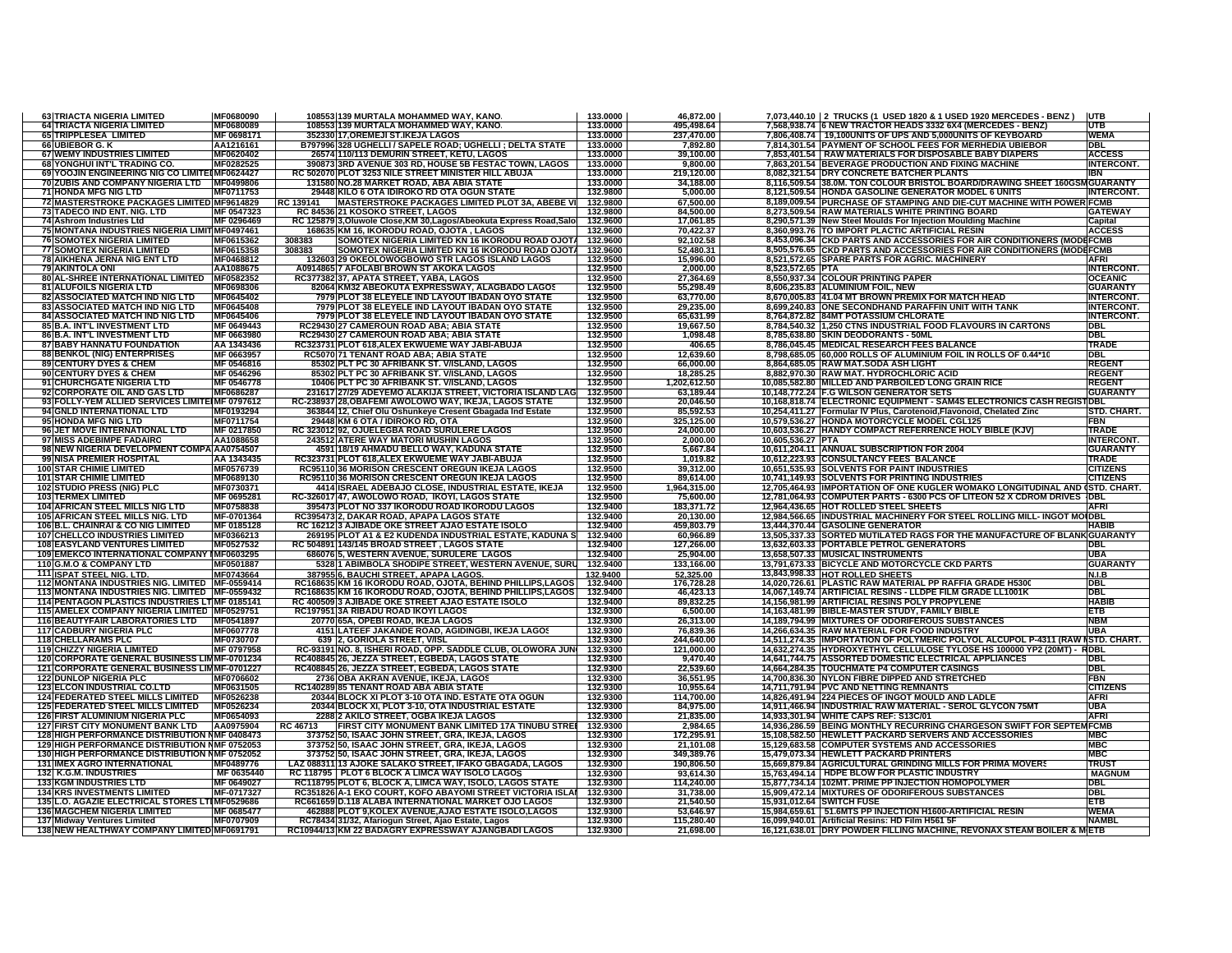| 63 TRIACTA NIGERIA LIMITED                                                        | MF0680090                | 108553 139 MURTALA MOHAMMED WAY, KANO                                                                      | 133.0000             | 46,872.00                 |                           | 7,073,440.10 2 TRUCKS (1 USED 1820 & 1 USED 1920 MERCEDES - BENZ)                                                         | <b>UTB</b>                             |
|-----------------------------------------------------------------------------------|--------------------------|------------------------------------------------------------------------------------------------------------|----------------------|---------------------------|---------------------------|---------------------------------------------------------------------------------------------------------------------------|----------------------------------------|
| 64 TRIACTA NIGERIA LIMITED                                                        | MF0680089                | 108553 139 MURTALA MOHAMMED WAY, KANO                                                                      | 133.0000             | 495,498.64                |                           | 7,568,938.74 6 NEW TRACTOR HEADS 3332 6X4 (MERCEDES - BENZ)                                                               | UTB                                    |
| 65 TRIPPLESEA LIMITED                                                             | MF 0698171               | 352330 17, OREMEJI ST.IKEJA LAGOS                                                                          | 133.0000             | 237,470.00                |                           | 7,806,408.74 19,100UNITS OF UPS AND 5,000UNITS OF KEYBOARD                                                                | <b>WEMA</b>                            |
| 66 UBIEBOR G. K                                                                   | AA1216161                | B797996 328 UGHELLI / SAPELE ROAD; UGHELLI ; DELTA STATE                                                   | 133.0000             | 7,892.80                  |                           | 7,814,301.54 PAYMENT OF SCHOOL FEES FOR MERHEDIA UBIEBOR                                                                  | <b>DBL</b>                             |
| 67 WEMY INDUSTRIES LIMITED                                                        | MF0620402                | 26574 110/113 DEMURIN STREET, KETU, LAGOS                                                                  | 133.0000             | 39,100.00                 |                           | 7,853,401.54   RAW MATERIALS FOR DISPOSABLE BABY DIAPERS                                                                  | <b>ACCESS</b>                          |
| 68 YONGHUI INT'L TRADING CO.                                                      | MF0282525                | 390873 3RD AVENUE 303 RD, HOUSE 5B FESTAC TOWN, LAGOS                                                      | 133.0000             | 9,800.00                  |                           | 7,863,201.54 BEVERAGE PRODUCTION AND FIXING MACHINE                                                                       | <b>INTERCONT.</b>                      |
| 69 YOOJIN ENGINEERING NIG CO LIMITED MF0624427                                    |                          | RC 502070 PLOT 3253 NILE STREET MINISTER HILL ABUJA                                                        | 133.0000             | 219.120.00                |                           | 8,082,321.54 DRY CONCRETE BATCHER PLANTS                                                                                  | <b>IBN</b>                             |
| 70 ZUBIS AND COMPANY NIGERIA LTD                                                  | MF0499806                | 131580 NO.28 MARKET ROAD, ABA ABIA STATE                                                                   | 133.0000             | 34.188.00                 |                           | 8,116,509.54 38.0M. TON COLOUR BRISTOL BOARD/DRAWING SHEET 160GSM GUARANTY                                                |                                        |
| <b>71 HONDA MFG NIG LTD</b>                                                       | MF0711753                | 29448 KILO 6 OTA IDIROKO RD OTA OGUN STATE                                                                 | 132.9800             | 5.000.00                  |                           | 8,121,509.54 HONDA GASOLINE GENERATOR MODEL 6 UNITS                                                                       | <b>INTERCONT.</b>                      |
| 72 MASTERSTROKE PACKAGES LIMITED MF9614829                                        |                          | MASTERSTROKE PACKAGES LIMITED PLOT 3A, ABEBE VI<br>RC 139141                                               | 132.9800             | 67,500.00                 |                           | 8,189,009.54 PURCHASE OF STAMPING AND DIE-CUT MACHINE WITH POWER FCMB                                                     |                                        |
| 73 TADECO IND ENT. NIG. LTD                                                       | MF 0547323               | RC 84536 21 KOSOKO STREET, LAGOS                                                                           | 132.9800             | 84,500.00                 |                           | 8,273,509.54 RAW MATERIALS WHITE PRINTING BOARD                                                                           | GATEWAY                                |
| 74 Ashrom Industries Ltd                                                          | MF 0296469               | RC 125879 3,Oluwole Close,KM 30,Lagos/Abeokuta Express Road,Salo                                           | 132.9600             | 17,061.85                 |                           | 8,290,571.39 New Steel Moulds For Injection Moulding Machine                                                              | Capital                                |
| 75 MONTANA INDUSTRIES NIGERIA LIMIT MF0497461                                     |                          | 168635 KM 16, IKORODU ROAD, OJOTA , LAGOS                                                                  | 132.9600             | 70,422.37                 |                           | 8,360,993.76 TO IMPORT PLACTIC ARTIFICIAL RESIN                                                                           | <b>ACCESS</b>                          |
| <b>76 SOMOTEX NIGERIA LIMITED</b>                                                 | MF0615362                | 308383<br>SOMOTEX NIGERIA LIMITED KN 16 IKORODU ROAD OJOTA                                                 | 132.9600             | 92.102.58                 |                           | 8,453,096.34 CKD PARTS AND ACCESSORIES FOR AIR CONDITIONERS (MODEFCMB                                                     |                                        |
| <b>77 SOMOTEX NIGERIA LIMITED</b>                                                 | MF0615358                | 308383<br>SOMOTEX NIGERIA LIMITED KN 16 IKORODU ROAD OJOTA                                                 | 132.9600             | 52,480.31                 |                           | 8,505,576.65 CKD PARTS AND ACCESSORIES FOR AIR CONDITIONERS (MODEFCMB                                                     |                                        |
| <b>78 AIKHENA JERNA NIG ENT LTD</b>                                               | MF0468812                | 132603 29 OKEOLOWOGBOWO STR LAGOS ISLAND LAGOS                                                             | 132.9500             | 15,996.00                 |                           | 8,521,572.65 SPARE PARTS FOR AGRIC. MACHINERY                                                                             | <b>AFRI</b>                            |
| <b>79 AKINTOLA ONI</b>                                                            | AA1088675                | A0914865 7 AFOLABI BROWN ST AKOKA LAGOS                                                                    | 132.9500             | 2,000.00                  | 8,523,572.65 PTA          |                                                                                                                           | <b>INTERCONT.</b>                      |
| 80 AL-SHREE INTERNATIONAL LIMITED                                                 | MF0582352                | RC377382 37, APATA STREET, YABA, LAGOS                                                                     | 132.9500             | 27,364.69                 |                           | 8,550,937.34 COLOUR PRINTING PAPER                                                                                        | <b>OCEANIC</b>                         |
| <b>81 ALUFOILS NIGERIA LTD</b>                                                    | MF0698306                | 82064 KM32 ABEOKUTA EXPRESSWAY, ALAGBADO LAGOS                                                             | 132.9500             | 55,298.49                 |                           | 8,606,235.83 ALUMINIUM FOIL, NEW                                                                                          | <b>GUARANTY</b>                        |
| 82 ASSOCIATED MATCH IND NIG LTD                                                   | MF0645402                | 7979 PLOT 38 ELEYELE IND LAYOUT IBADAN OYO STATE                                                           | 132.9500             | 63,770.00                 |                           | 8,670,005.83 41.04 MT BROWN PREMIX FOR MATCH HEAD                                                                         | <b>INTERCONT.</b>                      |
| 83 ASSOCIATED MATCH IND NIG LTD                                                   | MF0645408<br>MF0645406   | 7979 PLOT 38 ELEYELE IND LAYOUT IBADAN OYO STATE                                                           | 132.9500<br>132.9500 | 29,235.00                 |                           | 8,699,240.83 ONE SECONDHAND PARAFFIN UNIT WITH TANK                                                                       | <b>INTERCONT.</b><br><b>INTERCONT.</b> |
| <b>84 ASSOCIATED MATCH IND NIG LTD</b>                                            |                          | 7979 PLOT 38 ELEYELE IND LAYOUT IBADAN OYO STATE                                                           |                      | 65,631.99                 |                           | 8,764,872.82 84MT POTASSIUM CHLORATE                                                                                      |                                        |
| 85 B.A. INT'L INVESTMENT LTD                                                      | MF 0649443<br>MF 0663980 | RC29430 27 CAMEROUN ROAD ABA; ABIA STATE                                                                   | 132.9500             | 19,667.50                 |                           | 8,784,540.32 1,250 CTNS INDUSTRIAL FOOD FLAVOURS IN CARTONS                                                               | <b>DBL</b><br><b>DBL</b>               |
| 86 B.A. INT'L INVESTMENT LTD<br><b>87 BABY HANNATU FOUNDATION</b>                 | AA 1343436               | RC29430 27 CAMEROUN ROAD ABA; ABIA STATE<br>RC323731 PLOT 618, ALEX EKWUEME WAY JABI-ABUJA                 | 132.9500<br>132.9500 | 1,098.48<br>406.65        |                           | 8,785,638.80 SKIN DEODORANTS - 50ML<br><b>8.786.045.45 MEDICAL RESEARCH FEES BALANCE</b>                                  | <b>TRADE</b>                           |
| <b>88 BENKOL (NIG) ENTERPRISES</b>                                                | MF 0663957               | RC5070 71 TENANT ROAD ABA; ABIA STATE                                                                      | 132.9500             | 12,639.60                 |                           | 8,798,685.05 60,000 ROLLS OF ALUMINIUM FOIL IN ROLLS OF 0.44*10                                                           | <b>DBL</b>                             |
| <b>89 CENTURY DYES &amp; CHEM</b>                                                 | MF 0546816               | 85302 PLT PC 30 AFRIBANK ST. V/ISLAND, LAGOS                                                               | 132.9500             | 66.000.00                 |                           | 8.864.685.05 RAW MAT.SODA ASH LIGHT                                                                                       | <b>REGENT</b>                          |
| <b>90 CENTURY DYES &amp; CHEM</b>                                                 | MF 0546296               | 85302 PLT PC 30 AFRIBANK ST. V/ISLAND, LAGOS                                                               | 132.9500             | 18,285.25                 |                           | 8,882,970.30 RAW MAT. HYDROCHLORIC ACID                                                                                   | <b>REGENT</b>                          |
| 91 CHURCHGATE NIGERIA LTD                                                         | MF 0546778               | 10406 PLT PC 30 AFRIBANK ST. V/ISLAND, LAGOS                                                               | 132.9500             | 1,202,612.50              |                           | 10,085,582.80 MILLED AND PARBOILED LONG GRAIN RICE                                                                        | <b>REGENT</b>                          |
| 92 CORPORATE OIL AND GAS LTD                                                      | MF0686287                | 231617 27/29 ADEYEMO ALAKIJA STREET, VICTORIA ISLAND LAG                                                   | 132.9500             | 63,189.44                 |                           | 10,148,772.24 F.G WILSON GENERATOR SETS                                                                                   | <b>GUARANTY</b>                        |
| 93 FOLLY-YEM ALLIED SERVICES LIMITEIMF 0797612                                    |                          | RC-238937 28, OBAFEMI AWOLOWO WAY, IKEJA, LAGOS STATE                                                      | 132.9500             | 20,046.50                 |                           | 10,168,818.74 ELECTRONIC EQUIPMENT - SAM4S ELECTRONICS CASH REGISTDBL                                                     |                                        |
| 94 GNLD INTERNATIONAL LTD                                                         | MF0193294                | 363844 12, Chief Olu Oshunkeye Cresent Gbagada Ind Estate                                                  | 132.9500             | 85,592.53                 |                           | 10,254,411.27   Formular IV Plus, Carotenoid, Flavonoid, Chelated Zinc                                                    | STD. CHART.                            |
| 95 HONDA MFG NIG LTD                                                              | MF0711754                | 29448 KM 6 OTA / IDIROKO RD, OTA                                                                           | 132.9500             | 325,125.00                |                           | 10,579,536.27 HONDA MOTORCYCLE MODEL CGL125                                                                               | <b>FBN</b>                             |
| 96 JET MOVE INTERNATIONAL LTD                                                     | MF 0217850               | RC 323012 92, OJUELEGBA ROAD SURULERE LAGOS                                                                | 132.9500             | 24,000.00                 |                           | 10,603,536.27 HANDY COMPACT REFERRENCE HOLY BIBLE (KJV)                                                                   | <b>TRADE</b>                           |
| 97 MISS ADEBIMPE FADAIRO                                                          | AA1088658                | 243512 ATERE WAY MATORI MUSHIN LAGOS                                                                       | 132.9500             | 2,000.00                  | 10,605,536.27 PTA         |                                                                                                                           | <b>INTERCONT.</b>                      |
| 98 NEW NIGERIA DEVELOPMENT COMPAIAA0754507                                        |                          | 4591 18/19 AHMADU BELLO WAY, KADUNA STATE                                                                  | 132.9500             | 5,667.84                  |                           | 10,611,204.11 ANNUAL SUBSCRIPTION FOR 2004                                                                                | <b>GUARANTY</b>                        |
| 99 NISA PREMIER HOSPITAL                                                          | AA 1343435               | RC323731 PLOT 618, ALEX EKWUEME WAY JABI-ABUJA                                                             | 132.9500             | 1,019.82                  |                           | 10,612,223.93 CONSULTANCY FEES BALANCE                                                                                    | <b>TRADE</b>                           |
| <b>100 STAR CHIMIE LIMITED</b>                                                    | MF0576739                | RC95110 36 MORISON CRESCENT OREGUN IKEJA LAGOS                                                             | 132.9500             | 39.312.00                 |                           | 10,651,535.93 SOLVENTS FOR PAINT INDUSTRIES                                                                               | <b>CITIZENS</b>                        |
|                                                                                   |                          |                                                                                                            |                      |                           |                           |                                                                                                                           |                                        |
|                                                                                   |                          |                                                                                                            |                      |                           |                           |                                                                                                                           |                                        |
| <b>101 STAR CHIMIE LIMITED</b>                                                    | MF0689130<br>MF0730371   | RC95110 36 MORISON CRESCENT OREGUN IKEJA LAGOS                                                             | 132.9500<br>132.9500 | 89,614.00<br>1,964,315.00 |                           | 10,741,149.93 SOLVENTS FOR PRINTING INDUSTRIES                                                                            | <b>CITIZENS</b>                        |
| 102 STUDIO PRESS (NIG) PLC                                                        | MF 0695281               | 4414 ISRAEL ADEBAJO CLOSE, INDUSTRIAL ESTATE, IKEJA                                                        | 132.9500             | 75,600.00                 |                           | 12,705,464.93 IMPORTATION OF ONE KUGLER WOMAKO LONGITUDINAL AND (STD. CHART.                                              | <b>DBL</b>                             |
| <b>103 TERMEX LIMITED</b><br>104 AFRICAN STEEL MILLS NIG LTD                      | MF0758838                | RC-326017 47, AWOLOWO ROAD, IKOYI, LAGOS STATE<br>395473 PLOT NO 337 IKORODU ROAD IKORODU LAGOS            | 132.9400             | 183,371.72                |                           | 12,781,064.93 COMPUTER PARTS - 6300 PCS OF LITEON 52 X CDROM DRIVES<br>12,964,436.65 HOT ROLLED STEEL SHEETS              | <b>AFRI</b>                            |
| <b>105 AFRICAN STEEL MILLS NIG. LTD</b>                                           | MF-0701364               | RC395473 2, DAKAR ROAD, APAPA LAGOS STATE                                                                  | 132.9400             | 20.130.00                 |                           | 12,984,566.65 INDUSTRIAL MACHINERY FOR STEEL ROLLING MILL- INGOT MO(DBL                                                   |                                        |
| 106 B.L. CHAINRAI & CO NIG LIMITED                                                | MF 0185128               | RC 16212 3 AJIBADE OKE STREET AJAO ESTATE ISOLO                                                            | 132.9400             | 459,803.79                |                           | 13,444,370.44 GASOLINE GENERATOR                                                                                          | <b>HABIB</b>                           |
| <b>107 CHELLCO INDUSTRIES LIMITED</b>                                             | MF0366213                | 269195 PLOT A1 & E2 KUDENDA INDUSTRIAL ESTATE, KADUNA S                                                    | 132.9400             | 60.966.89                 |                           | 13,505,337.33 SORTED MUTILATED RAGS FOR THE MANUFACTURE OF BLANK GUARANTY                                                 |                                        |
| <b>108 EASYLAND VENTURES LIMITED</b>                                              | MF0527532                | RC 504891 143/145 BROAD STREET , LAGOS STATE                                                               | 132.9400             | 127,266.00                |                           | 13,632,603.33 PORTABLE PETROL GENERATORS                                                                                  | DBL                                    |
| <b>109 EMEKCO INTERNATIONAL COMPANY</b>                                           | MF0603295                | 686076 5, WESTERN AVENUE, SURULERE LAGOS                                                                   | 132.9400             | 25,904.00                 |                           | 13,658,507.33 MUSICAL INSTRUMENTS                                                                                         | <b>UBA</b>                             |
| 110 G.M.O & COMPANY LTD                                                           | <b>MF0501887</b>         | 5328 1 ABIMBOLA SHODIPE STREET, WESTERN AVENUE, SURI                                                       | 132.9400             | 133,166.00                |                           | 13,791,673.33 BICYCLE AND MOTORCYCLE CKD PARTS                                                                            | <b>GUARANTY</b>                        |
| 111 ISPAT STEEL NIG. LTD.                                                         | MF0743664                | 387955 6, BAUCHI STREET, APAPA LAGOS.                                                                      | 132.9400             | 52,325.00                 |                           | 13,843,998.33 HOT ROLLED SHEETS                                                                                           | N.I.B                                  |
| <b>112 MONTANA INDUSTRIES NIG. LIMITED</b>                                        | MF-0559414               | RC168635 KM 16 IKORODU ROAD, OJOTA, BEHIND PHILLIPS,LAGOS                                                  | 132.9400             | 176,728.28                |                           | 14,020,726.61 PLASTIC RAW MATERIAL PP RAFFIA GRADE H5300                                                                  | <b>DBL</b>                             |
| 113 MONTANA INDUSTRIES NIG. LIMITED MF-0559432                                    |                          | RC168635 KM 16 IKORODU ROAD, OJOTA, BEHIND PHILLIPS, LAGOS                                                 | 132.9400             | 46,423.13                 |                           | 14,067,149.74 ARTIFICIAL RESINS - LLDPE FILM GRADE LL1001K                                                                | <b>DBL</b>                             |
| 114 PENTAGON PLASTICS INDUSTRIES LT MF 0185141                                    |                          | RC 400509 3 AJIBADE OKE STREET AJAO ESTATE ISOLO                                                           | 132.9400             | 89,832.25                 |                           | 14,156,981.99 ARTIFICIAL RESINS POLY PROPYLENE                                                                            | <b>HABIB</b>                           |
| 115 AMELEX COMPANY NIGERIA LIMITED MF0529751                                      |                          | RC197951 3A RIBADU ROAD IKOYI LAGOS                                                                        | 132.9300             | 6,500.00                  |                           | 14,163,481.99 BIBLE-MASTER STUDY, FAMILY BIBLE                                                                            | <b>ETB</b>                             |
| <b>116 BEAUTYFAIR LABORATORIES LTD</b>                                            | MF0541897                | 20770 65A, OPEBI ROAD, IKEJA LAGOS                                                                         | 132.9300             | 26,313.00                 |                           | 14,189,794.99 MIXTURES OF ODORIFEROUS SUBSTANCES                                                                          | <b>NBM</b>                             |
| <b>117 CADBURY NIGERIA PLC</b>                                                    | MF0607778                | 4151 LATEEF JAKANDE ROAD, AGIDINGBI, IKEJA LAGOS                                                           | 132.9300             | 76,839.36                 |                           | 14,266,634.35 RAW MATERIAL FOR FOOD INDUSTRY                                                                              | <b>UBA</b>                             |
| <b>118 CHELLARAMS PLC</b>                                                         | MF0730707                | 639 2, GORIOLA STREET, V/ISL                                                                               | 132.9300             | 244.640.00                |                           | 14,511,274.35 IMPORTATION OF POLYMERIC POLYOL ALCUPOL P-4311 (RAW ISTD. CHART.                                            |                                        |
| <b>119 CHIZZY NIGERIA LIMITED</b>                                                 | MF 0797958               | RC-93191 NO. 8, ISHERI ROAD, OPP. SADDLE CLUB, OLOWORA JUN                                                 | 132.9300             | 121,000.00                |                           | 14,632,274.35 HYDROXYETHYL CELLULOSE TYLOSE HS 100000 YP2 (20MT) - RDBL                                                   |                                        |
| 120 CORPORATE GENERAL BUSINESS LIMMF-0701234                                      |                          | RC408845 26, JEZZA STREET, EGBEDA, LAGOS STATE                                                             | 132.9300             | 9,470.40                  |                           | 14,641,744.75 ASSORTED DOMESTIC ELECTRICAL APPLIANCES                                                                     | <b>DBL</b>                             |
| <b>121 CORPORATE GENERAL BUSINESS LIMMF-0701227</b>                               |                          | RC408845 26, JEZZA STREET, EGBEDA, LAGOS STATE                                                             | 132.9300             | 22.539.60                 |                           | 14,664,284.35 TOUCHMATE P4 COMPUTER CASINGS                                                                               | <b>DBL</b>                             |
| <b>122 DUNLOP NIGERIA PLC</b>                                                     | MF0706602                | 2736 OBA AKRAN AVENUE, IKEJA, LAGOS                                                                        | 132.9300             | 36,551.95                 |                           | 14,700,836.30 NYLON FIBRE DIPPED AND STRETCHED                                                                            | <b>FBN</b>                             |
| <b>123 ELCON INDUSTRIAL CO.LTD</b>                                                | MF0631505                | RC140289 85 TENANT ROAD ABA ABIA STATE                                                                     | 132.9300             | 10.955.64                 |                           | 14,711,791.94 PVC AND NETTING REMNANTS                                                                                    | <b>CITIZENS</b>                        |
| <b>124 FEDERATED STEEL MILLS LIMITED</b>                                          | MF0526238                | 20344 BLOCK XI PLOT 3-10 OTA IND. ESTATE OTA OGUN                                                          | 132.9300             | 114,700.00                |                           | 14,826,491.94 224 PIECES OF INGOT MOULD AND LADLE                                                                         | <b>AFRI</b>                            |
| <b>125 FEDERATED STEEL MILLS LIMITED</b>                                          | MF0526234                | 20344 BLOCK XI, PLOT 3-10, OTA INDUSTRIAL ESTATE                                                           | 132.9300             | 84,975.00                 |                           | 14,911,466.94 INDUSTRIAL RAW MATERIAL - SEROL GLYCON 75MT                                                                 | <b>UBA</b>                             |
| <b>126 FIRST ALUMINIUM NIGERIA PLC</b><br><b>127 FIRST CITY MONUMENT BANK LTD</b> | MF0654093<br>AA0975904   | 2288 2 AKILO STREET, OGBA IKEJA LAGOS<br>FIRST CITY MONUMENT BANK LIMITED 17A TINUBU STREE<br>RC 46713     | 132.9300<br>132.9300 | 21,835.00<br>2.984.65     |                           | 14,933,301.94 WHITE CAPS REF: S13C/01<br>14,936,286.59 BEING MONTHLY RECURRING CHARGESON SWIFT FOR SEPTEMFCMB             | <b>AFRI</b>                            |
| 128 HIGH PERFORMANCE DISTRIBUTION NMF 0408473                                     |                          | 373752 50, ISAAC JOHN STREET, GRA, IKEJA, LAGOS                                                            | 132.9300             | 172,295.91                |                           | 15,108,582.50 HEWLETT PACKARD SERVERS AND ACCESSORIES                                                                     | <b>MBC</b>                             |
| 129 HIGH PERFORMANCE DISTRIBUTION NMF 0752053                                     |                          | 373752 50, ISAAC JOHN STREET, GRA, IKEJA, LAGOS                                                            | 132.9300             | 21,101.08                 |                           | 15,129,683.58 COMPUTER SYSTEMS AND ACCESSORIES                                                                            | <b>MBC</b>                             |
| 130 HIGH PERFORMANCE DISTRIBUTION NMF 0752052                                     |                          | 373752 50, ISAAC JOHN STREET, GRA, IKEJA, LAGOS                                                            | 132.9300             | 349,389.76                |                           | 15,479,073.34 HEWLETT PACKARD PRINTERS                                                                                    | <b>MBC</b>                             |
| <b>131 IMEX AGRO INTERNATIONAL</b>                                                | MF0489776                | LAZ 088311 13 AJOKE SALAKO STREET, IFAKO GBAGADA, LAGOS                                                    | 132.9300             | 190,806.50                |                           | 15,669,879.84 AGRICULTURAL GRINDING MILLS FOR PRIMA MOVERS                                                                | <b>TRUS</b>                            |
| 132 K.G.M. INDUSTRIES                                                             | MF 0635440               | RC 118795   PLOT 6 BLOCK A LIMCA WAY ISOLO LAGOS                                                           | 132.9300             | 93,614.30                 |                           | 15,763,494.14 HDPE BLOW FOR PLASTIC INDUSTRY                                                                              | <b>MAGNUM</b>                          |
| <b>133 KGM INDUSTRIES LTD</b>                                                     | MF 0649027               | RC118795 PLOT 6, BLOCK A, LIMCA WAY, ISOLO, LAGOS STATE                                                    | 132.9300             | 114,240.00                |                           | 15,877,734.14 102MT. PRIME PP INJECTION HOMOPOLYMER                                                                       | DBL                                    |
| <b>134 KRS INVESTMENTS LIMITED</b>                                                | MF-0717327               | RC351826 A-1 EKO COURT, KOFO ABAYOMI STREET VICTORIA ISLAN                                                 | 132.9300             | 31,738.00                 |                           | 15,909,472.14 MIXTURES OF ODORIFEROUS SUBSTANCES                                                                          | DBL                                    |
| 135 L.O. AGAZIE ELECTRICAL STORES LTIMF0529686                                    |                          | RC661659 D.118 ALABA INTERNATIONAL MARKET OJO LAGOS                                                        | 132.9300             | 21,540.50                 | 15,931,012.64 SWITCH FUSE |                                                                                                                           | ETB                                    |
| <b>136 MAGCHEM NIGERIA LIMITED</b>                                                | MF 0685477               | 462888 PLOT 9, KOLEX AVENUE, AJAO ESTATE ISOLO, LAGOS                                                      | 132.9300             | 53,646.97                 |                           | 15,984,659.61 51.6MTS PP INJECTION H1600-ARTIFICIAL RESIN                                                                 | <b>WEMA</b>                            |
| 137 Midway Ventures Limited<br>138 NEW HEALTHWAY COMPANY LIMITED MF0691791        | MF0707909                | RC78434 31/32, Afariogun Street, Ajao Estate, Lagos<br>RC10944/13 KM 22 BADAGRY EXPRESSWAY AJANGBADI LAGOS | 132.9300<br>132.9300 | 115.280.40<br>21.698.00   |                           | 16,099,940.01 Artificial Resins: HD Film H561 5F<br>16,121,638.01 DRY POWDER FILLING MACHINE, REVONAX STEAM BOILER & METB | NAMBL                                  |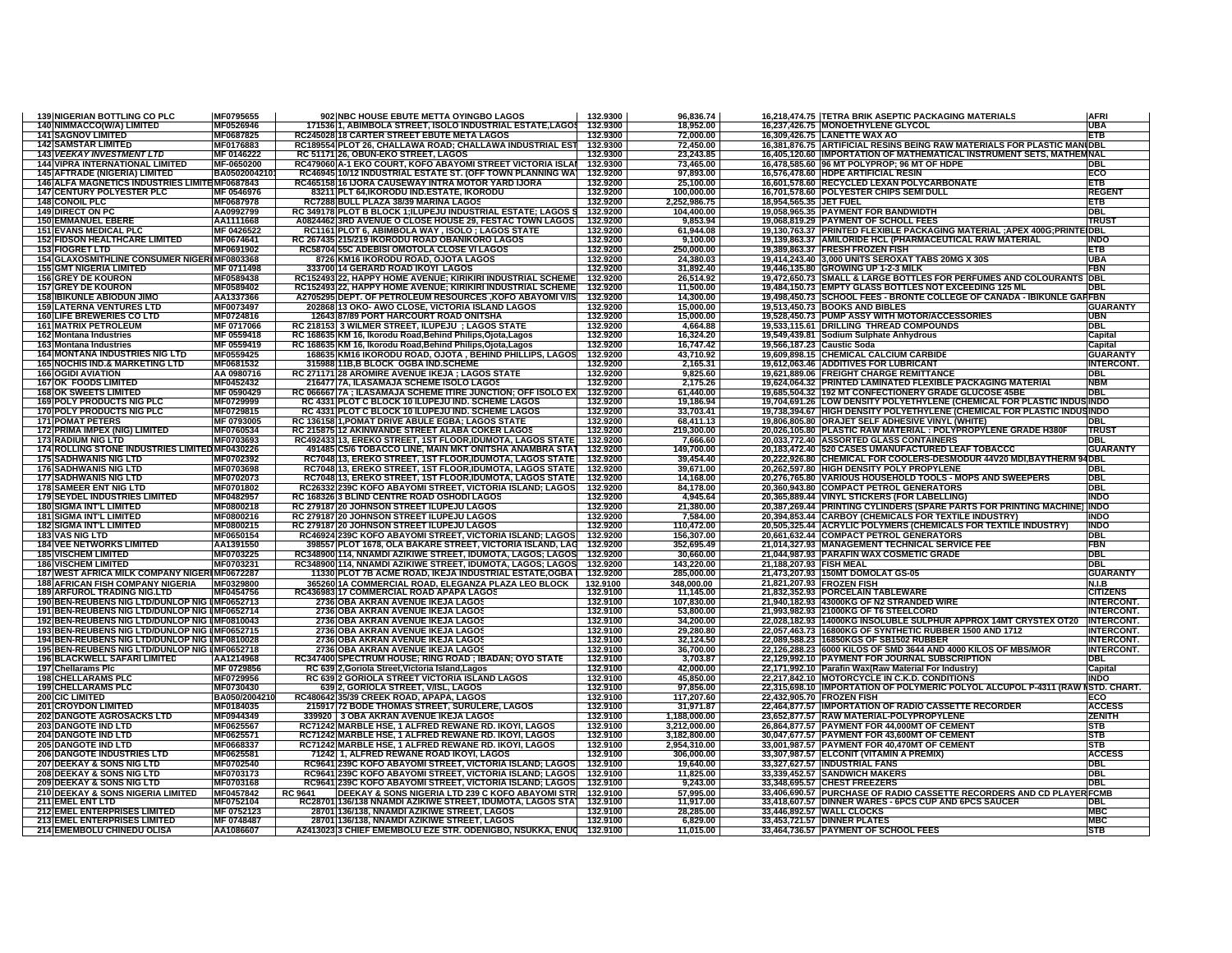| <b>139 NIGERIAN BOTTLING CO PLC</b>                                       | MF0795655               | 902 NBC HOUSE EBUTE METTA OYINGBO LAGOS                                                                                  | 132.9300             | 96,836.74               |                            | 16,218,474.75 TETRA BRIK ASEPTIC PACKAGING MATERIALS                                                                                            | <b>AFRI</b>                 |
|---------------------------------------------------------------------------|-------------------------|--------------------------------------------------------------------------------------------------------------------------|----------------------|-------------------------|----------------------------|-------------------------------------------------------------------------------------------------------------------------------------------------|-----------------------------|
| 140 NIMMACCO(W/A) LIMITED                                                 | MF0526946               | 171536 1, ABIMBOLA STREET, ISOLO INDUSTRIAL ESTATE,LAGOS                                                                 | 132.9300             | 18,952.00               |                            | 16,237,426.75 MONOETHYLENE GLYCOL                                                                                                               | UBA                         |
| <b>141 SAGNOV LIMITED</b>                                                 | MF0687825               | RC245028 18 CARTER STREET EBUTE META LAGOS                                                                               | 132.9300             | 72,000.00               |                            | 16,309,426.75 LANETTE WAX AO                                                                                                                    | ETB                         |
| <b>142 SAMSTAR LIMITED</b><br><b>143 VEEKAY INVESTMENT LTD</b>            | MF0176883<br>MF 0146222 | RC189554 PLOT 26, CHALLAWA ROAD; CHALLAWA INDUSTRIAL EST<br>RC 51171 26, OBUN-EKO STREET, LAGOS                          | 132.9300<br>132.9300 | 72,450.00<br>23.243.85  |                            | 16,381,876.75 ARTIFICIAL RESINS BEING RAW MATERIALS FOR PLASTIC MANIDBL<br>16,405,120.60 IMPORTATION OF MATHEMATICAL INSTRUMENT SETS, MATHEMNAL |                             |
| <b>144 VIPRA INTERNATIONAL LIMITED</b>                                    | MF-0650200              | RC479060 A-1 EKO COURT, KOFO ABAYOMI STREET VICTORIA ISLAN                                                               | 132.9300             | 73,465.00               |                            | 16,478,585.60 96 MT POLYPROP; 96 MT OF HDPE                                                                                                     | <b>DBL</b>                  |
| <b>145 AFTRADE (NIGERIA) LIMITED</b>                                      | BA0502004210            | RC46945 10/12 INDUSTRIAL ESTATE ST. (OFF TOWN PLANNING WA)                                                               | 132.9200             | 97,893.00               |                            | 16,576,478.60 HDPE ARTIFICIAL RESIN                                                                                                             | ECO                         |
| 146 ALFA MAGNETICS INDUSTRIES LIMITEMF0687843                             |                         | RC465158 16 IJORA CAUSEWAY INTRA MOTOR YARD IJORA                                                                        | 132.9200             | 25,100.00               |                            | 16,601,578.60 RECYCLED LEXAN POLYCARBONATE                                                                                                      | <b>ETB</b>                  |
| <b>147 CENTURY POLYESTER PLC</b>                                          | MF 0546976              | 83211 PLT 64, IKORODU IND. ESTATE, IKORODU                                                                               | 132.9200             | 100,000.00              |                            | 16,701,578.60 POLYESTER CHIPS SEMI DULL                                                                                                         | <b>REGENT</b>               |
| <b>148 CONOIL PLC</b>                                                     | <b>MF0687978</b>        | RC7288 BULL PLAZA 38/39 MARINA LAGOS                                                                                     | 132.9200             | 2,252,986.75            | 18,954,565.35 JET FUEL     |                                                                                                                                                 | <b>ETB</b>                  |
| <b>149 DIRECT ON PC</b>                                                   | AA0992799               | RC 349178 PLOT B BLOCK 1; ILUPEJU INDUSTRIAL ESTATE; LAGOS S                                                             | 132.9200             | 104,400.00              |                            | 19,058,965.35 PAYMENT FOR BANDWIDTH                                                                                                             | <b>DBL</b>                  |
| <b>150 EMMANUEL EBERE</b>                                                 | AA1111668               | A0824462 3RD AVENUE O CLOSE HOUSE 29, FESTAC TOWN LAGOS                                                                  | 132.9200             | 9,853.94                |                            | 19,068,819.29 PAYMENT OF SCHOLL FEES                                                                                                            | <b>TRUST</b>                |
| <b>151 EVANS MEDICAL PLC</b>                                              | MF 0426522              | RC1161 PLOT 6, ABIMBOLA WAY , ISOLO ; LAGOS STATE                                                                        | 132.9200             | 61,944.08               |                            | 19,130,763.37 PRINTED FLEXIBLE PACKAGING MATERIAL ; APEX 400G; PRINTE DBL                                                                       |                             |
| <b>152 FIDSON HEALTHCARE LIMITED</b>                                      | MF0674641               | RC 267435 215/219 IKORODU ROAD OBANIKORO LAGOS                                                                           | 132.9200             | 9,100.00                |                            | 19,139,863.37 AMILORIDE HCL (PHARMACEUTICAL RAW MATERIAL                                                                                        | <b>INDO</b>                 |
| 153 FIOGRET LTD<br>154 GLAXOSMITHLINE CONSUMER NIGERI MF0803368           | MF0691902               | RC58704 55C ADEBISI OMOTOLA CLOSE VI LAGOS<br>8726 KM16 IKORODU ROAD, OJOTA LAGOS                                        | 132.9200<br>132.9200 | 250,000.00<br>24,380.03 |                            | 19,389,863.37 FRESH FROZEN FISH<br>19,414,243.40 3,000 UNITS SEROXAT TABS 20MG X 30S                                                            | <b>ETB</b><br><b>UBA</b>    |
| <b>155 GMT NIGERIA LIMITED</b>                                            | MF 0711498              | 333700 14 GERARD ROAD IKOYI LAGOS                                                                                        | 132.9200             | 31,892.40               |                            | 19,446,135.80 GROWING UP 1-2-3 MILK                                                                                                             | <b>FBN</b>                  |
| <b>156 GREY DE KOURON</b>                                                 | MF0589438               | RC152493 22, HAPPY HOME AVENUE; KIRIKIRI INDUSTRIAL SCHEME;                                                              | 132.9200             | 26,514.92               |                            | 19,472,650.73 SMALL & LARGE BOTTLES FOR PERFUMES AND COLOURANTS                                                                                 | <b>IDBL</b>                 |
| <b>157 GREY DE KOURON</b>                                                 | MF0589402               | RC152493 22, HAPPY HOME AVENUE; KIRIKIRI INDUSTRIAL SCHEME;                                                              | 132.9200             | 11,500.00               |                            | 19,484,150.73 EMPTY GLASS BOTTLES NOT EXCEEDING 125 ML                                                                                          | DBL                         |
| <b>158 IBIKUNLE ABIODUN JIMO</b>                                          | AA1337366               | A2705295 DEPT. OF PETROLEUM RESOURCES, KOFO ABAYOMI V/IS                                                                 | 132.9200             | 14,300.00               |                            | 19,498,450.73 SCHOOL FEES - BRONTE COLLEGE OF CANADA - IBIKUNLE GAFFBN                                                                          |                             |
| <b>159 LATERNA VENTURES LTD</b>                                           | MF0073497               | 202868 13 OKO- AWO CLOSE, VICTORIA ISLAND LAGOS                                                                          | 132.9200             | 15,000.00               |                            | 19.513.450.73 BOOKS AND BIBLES                                                                                                                  | <b>GUARANTY</b>             |
| <b>160 LIFE BREWERIES CO LTD</b>                                          | MF0724816               | 12643 87/89 PORT HARCOURT ROAD ONITSHA                                                                                   | 132.9200             | 15,000.00               |                            | 19,528,450.73 PUMP ASSY WITH MOTOR/ACCESSORIES                                                                                                  | UBN                         |
| <b>161 MATRIX PETROLEUM</b>                                               | MF 0717066              | RC 218153 3 WILMER STREET, ILUPEJU ; LAGOS STATE                                                                         | 132.9200             | 4.664.88                |                            | 19.533.115.61 DRILLING THREAD COMPOUNDS                                                                                                         | DBL                         |
| 162 Montana Industries                                                    | MF 0559418              | RC 168635 KM 16, Ikorodu Road, Behind Philips, Ojota, Lagos                                                              | 132.9200             | 16,324.20               |                            | 19,549,439.81 Sodium Sulphate Anhydrous                                                                                                         | Capital                     |
| <b>163 Montana Industries</b>                                             | MF 0559419              | RC 168635 KM 16, Ikorodu Road, Behind Philips, Ojota, Lagos                                                              | 132.9200             | 16,747.42               | 19,566,187.23 Caustic Soda |                                                                                                                                                 | Capital                     |
| <b>164 MONTANA INDUSTRIES NIG LTD</b>                                     | <b>MF0559425</b>        | 168635 KM16 IKORODU ROAD, OJOTA, BEHIND PHILLIPS, LAGOS                                                                  | 132.9200             | 43,710.92               |                            | 19,609,898.15 CHEMICAL CALCIUM CARBIDE                                                                                                          | <b>GUARANTY</b>             |
| <b>165 NOCHIS IND.&amp; MARKETING LTD</b><br><b>166 OGIDI AVIATION</b>    | MF0681532<br>AA 0980716 | 315988 11B, B BLOCK OGBA IND SCHEME<br>RC 271171 28 AROMIRE AVENUE IKEJA ; LAGOS STATE                                   | 132.9200<br>132.9200 | 2,165.31<br>9,825.60    |                            | 19,612,063.46 ADDITIVES FOR LUBRICANT<br>19,621,889.06 FREIGHT CHARGE REMITTANCE                                                                | <b>INTERCONT.</b><br>DBL    |
| <b>167 OK FOODS LIMITED</b>                                               | MF0452432               | 216477 7A, ILASAMAJA SCHEME ISOLO LAGOS                                                                                  | 132.9200             | 2,175.26                |                            | 19,624,064.32 PRINTED LAMINATED FLEXIBLE PACKAGING MATERIAL                                                                                     | <b>NBM</b>                  |
| <b>168 OK SWEETS LIMITED</b>                                              | MF 0590429              | RC 066667 7A ; ILASAMAJA SCHEME ITIRE JUNCTION; OFF ISOLO EX                                                             | 132.9200             | 61,440.00               |                            | 19,685,504.32 192 MT CONFECTIONERY GRADE GLUCOSE 45BE                                                                                           | <b>DBL</b>                  |
| <b>169 POLY PRODUCTS NIG PLC</b>                                          | MF0729999               | RC 4331 PLOT C BLOCK 10 ILUPEJU IND. SCHEME LAGOS                                                                        | 132.9200             | 19,186.94               |                            | 19,704,691.26 LOW DENSITY POLYETHYLENE (CHEMICAL FOR PLASTIC INDUS INDO                                                                         |                             |
| <b>170 POLY PRODUCTS NIG PLC</b>                                          | MF0729815               | RC 4331 PLOT C BLOCK 10 ILUPEJU IND. SCHEME LAGOS                                                                        | 132.9200             | 33,703.41               |                            | 19,738,394.67 HIGH DENSITY POLYETHYLENE (CHEMICAL FOR PLASTIC INDUSINDO                                                                         |                             |
| <b>171 POMAT PETERS</b>                                                   | MF 0793005              | RC 136158 1, POMAT DRIVE ABULE EGBA; LAGOS STATE                                                                         | 132.9200             | 68,411.13               |                            | 19,806,805.80 ORAJET SELF ADHESIVE VINYL (WHITE)                                                                                                | DBL                         |
| 172 PRIMA IMPEX (NIG) LIMITED                                             | MF0760534               | RC 215875 12 AKINWANDE STREET ALABA COKER LAGOS                                                                          | 132.9200             | 219,300.00              |                            | 20,026,105.80 PLASTIC RAW MATERIAL : POLYPROPYLENE GRADE H380F                                                                                  | <b>TRUST</b>                |
| <b>173 RADIUM NIG LTD</b>                                                 | MF0703693               | RC492433 13, EREKO STREET, 1ST FLOOR, IDUMOTA, LAGOS STATE                                                               | 132.9200             | 7.666.60                |                            | 20,033,772.40 ASSORTED GLASS CONTAINERS                                                                                                         | <b>DBL</b>                  |
| 174 ROLLING STONE INDUSTRIES LIMITED MF0430226                            |                         | 491485 C5/6 TOBACCO LINE, MAIN MKT ONITSHA ANAMBRA STAT                                                                  | 132.9200             | 149.700.00              |                            | 20,183,472.40 520 CASES UMANUFACTURED LEAF TOBACCO                                                                                              | <b>GUARANTY</b>             |
| <b>175 SADHWANIS NIG LTD</b><br><b>176 SADHWANIS NIG LTD</b>              | MF0702392<br>MF0703698  | RC7048 13, EREKO STREET, 1ST FLOOR, IDUMOTA, LAGOS STATE                                                                 | 132.9200<br>132.9200 | 39.454.40<br>39,671.00  |                            | 20,222,926.80 CHEMICAL FOR COOLERS-DESMODUR 44V20 MDI,BAYTHERM 94DBL                                                                            | DBL                         |
| <b>177 SADHWANIS NIG LTD</b>                                              | MF0702073               | RC7048 13, EREKO STREET, 1ST FLOOR,IDUMOTA, LAGOS STATE<br>RC7048 13, EREKO STREET, 1ST FLOOR, IDUMOTA, LAGOS STATE      | 132.9200             | 14,168.00               |                            | 20,262,597.80 HIGH DENSITY POLY PROPYLENE<br>20,276,765.80 VARIOUS HOUSEHOLD TOOLS - MOPS AND SWEEPERS                                          | DBL                         |
| <b>178 SAMEER ENT NIG LTD</b>                                             | MF0701802               | RC26332 239C KOFO ABAYOMI STREET, VICTORIA ISLAND; LAGOS                                                                 | 132.9200             | 84,178.00               |                            | 20,360,943.80 COMPACT PETROL GENERATORS                                                                                                         | <b>DBL</b>                  |
| <b>179 SEYDEL INDUSTRIES LIMITED</b>                                      | MF0482957               | RC 168326 3 BLIND CENTRE ROAD OSHODI LAGOS                                                                               | 132.9200             | 4,945.64                |                            | 20,365,889.44 VINYL STICKERS (FOR LABELLING)                                                                                                    | INDO                        |
| <b>180 SIGMA INT'L LIMITED</b>                                            | <b>MF0800218</b>        | RC 279187 20 JOHNSON STREET ILUPEJU LAGOS                                                                                | 132.9200             | 21,380.00               |                            | 20,387,269.44 PRINTING CYLINDERS (SPARE PARTS FOR PRINTING MACHINE                                                                              | <b>INDO</b>                 |
| <b>181 SIGMA INT'L LIMITED</b>                                            | MF0800216               | RC 279187 20 JOHNSON STREET ILUPEJU LAGOS                                                                                | 132.9200             | 7,584.00                |                            | 20,394,853.44 CARBOY (CHEMICALS FOR TEXTILE INDUSTRY)                                                                                           | <b>INDO</b>                 |
| <b>182 SIGMA INT'L LIMITED</b>                                            | <b>MF0800215</b>        | RC 279187 20 JOHNSON STREET ILUPEJU LAGOS                                                                                | 132.9200             | 110,472.00              |                            | 20,505,325.44 ACRYLIC POLYMERS (CHEMICALS FOR TEXTILE INDUSTRY                                                                                  | <b>INDO</b>                 |
| <b>183 VAS NIG LTD</b>                                                    | MF0650154               | RC46924 239C KOFO ABAYOMI STREET, VICTORIA ISLAND; LAGOS                                                                 | 132.9200             | 156,307.00              |                            | 20,661,632.44 COMPACT PETROL GENERATORS                                                                                                         | <b>DBL</b>                  |
| <b>184 VEE NETWORKS LIMITED</b>                                           | AA1391550<br>MF0703225  | 398557 PLOT 1678, OLA BAKARE STREET, VICTORIA ISLAND, LAG                                                                | 132.9200<br>132.9200 | 352,695.49<br>30,660.00 |                            | 21,014,327.93 MANAGEMENT TECHNICAL SERVICE FEE                                                                                                  | <b>FBN</b><br><b>DBL</b>    |
| <b>185 VISCHEM LIMITED</b><br><b>186 VISCHEM LIMITED</b>                  | MF0703231               | RC348900 114, NNAMDI AZIKIWE STREET, IDUMOTA, LAGOS; LAGOS<br>RC348900 114, NNAMDI AZIKIWE STREET, IDUMOTA, LAGOS; LAGOS | 132.9200             | 143,220.00              | 21,188,207.93 FISH MEAL    | 21,044,987.93 PARAFIN WAX COSMETIC GRADE                                                                                                        | <b>DBL</b>                  |
| 187 WEST AFRICA MILK COMPANY NIGERI MF0672287                             |                         | 11330 PLOT 7B ACME ROAD, IKEJA INDUSTRIAL ESTATE, OGBA                                                                   | 132.9200             | 285,000.00              |                            | 21,473,207.93 150MT DOMOLAT GS-05                                                                                                               | <b>GUARANTY</b>             |
| <b>188 AFRICAN FISH COMPANY NIGERIA</b>                                   | MF0329800               | 365260 1A COMMERCIAL ROAD, ELEGANZA PLAZA LEO BLOCK                                                                      | 132.9100             | 348,000.00              |                            | 21,821,207.93 FROZEN FISH                                                                                                                       | N.I.B                       |
| <b>189 ARFUROL TRADING NIG.LTD</b>                                        | MF0454756               | RC436983 17 COMMERCIAL ROAD APAPA LAGOS                                                                                  | 132.9100             | 11,145.00               |                            | 21,832,352.93 PORCELAIN TABLEWARE                                                                                                               | <b>CITIZENS</b>             |
| 190 BEN-REUBENS NIG LTD/DUNLOP NIG IMF0652713                             |                         | 2736 OBA AKRAN AVENUE IKEJA LAGOS                                                                                        | 132.9100             | 107,830.00              |                            | 21,940,182.93 43000KG OF N2 STRANDED WIRE                                                                                                       | <b>INTERCONT.</b>           |
| 191 BEN-REUBENS NIG LTD/DUNLOP NIG LMF0652714                             |                         | 2736 OBA AKRAN AVENUE IKEJA LAGOS                                                                                        | 132.9100             | 53,800.00               |                            | 21,993,982.93 21000KG OF T6 STEELCORD                                                                                                           | <b>INTERCONT.</b>           |
| 192 BEN-REUBENS NIG LTD/DUNLOP NIG LMF0810043                             |                         | 2736 OBA AKRAN AVENUE IKEJA LAGOS                                                                                        | 132.9100             | 34,200.00               |                            | 22,028,182.93   14000KG INSOLUBLE SULPHUR APPROX 14MT CRYSTEX OT20                                                                              | <b>INTERCONT.</b>           |
| 193 BEN-REUBENS NIG LTD/DUNLOP NIG LMF0652715                             |                         | 2736 OBA AKRAN AVENUE IKEJA LAGOS                                                                                        | 132.9100             | 29,280.80               |                            | 22,057,463.73 16800KG OF SYNTHETIC RUBBER 1500 AND 1712                                                                                         | <b>INTERCONT.</b>           |
| 194 BEN-REUBENS NIG LTD/DUNLOP NIG IMF0810028                             |                         | 2736 OBA AKRAN AVENUE IKEJA LAGOS                                                                                        | 132.9100             | 32,124.50               |                            | 22,089,588.23 16850KGS OF SB1502 RUBBER                                                                                                         | <b>INTERCONT.</b>           |
| 195 BEN-REUBENS NIG LTD/DUNLOP NIG I MF0652718                            |                         | 2736 OBA AKRAN AVENUE IKEJA LAGOS                                                                                        | 132.9100             | 36,700.00               |                            | 22,126,288.23 6000 KILOS OF SMD 3644 AND 4000 KILOS OF MBS/MOR                                                                                  | <b>INTERCONT.</b>           |
| <b>196 BLACKWELL SAFARI LIMITED</b><br>197 Chellarams Plc                 | AA1214968<br>MF 0729856 | RC347400 SPECTRUM HOUSE; RING ROAD; IBADAN; OYO STATE<br>RC 639 2, Goriola Street, Victoria Island, Lagos                | 132.9100<br>132.9100 | 3,703.87<br>42,000.00   |                            | 22,129,992.10 PAYMENT FOR JOURNAL SUBSCRIPTION<br>22,171,992.10 Parafin Wax(Raw Material For Industry)                                          | DBL<br>Capital              |
| <b>198 CHELLARAMS PLC</b>                                                 | MF0729956               | RC 639 2 GORIOLA STREET VICTORIA ISLAND LAGOS                                                                            | 132.9100             | 45,850.00               |                            | 22,217,842.10 MOTORCYCLE IN C.K.D. CONDITIONS                                                                                                   | <b>INDO</b>                 |
| <b>199 CHELLARAMS PLC</b>                                                 | <b>MF0730430</b>        | 639 2, GORIOLA STREET, V/ISL, LAGOS                                                                                      | 132.9100             | 97,856.00               |                            | 22,315,698.10   IMPORTATION OF POLYMERIC POLYOL ALCUPOL P-4311 (RAW ISTD. CHART.                                                                |                             |
| 200 CIC LIMITED                                                           | BA050/2004210           | RC480642 35/39 CREEK ROAD, APAPA, LAGOS                                                                                  | 132.9100             | 117,207.60              |                            | 22,432,905.70 FROZEN FISH                                                                                                                       | ECO                         |
| 201 CROYDON LIMITED                                                       | MF0184035               | 215917 72 BODE THOMAS STREET, SURULERE, LAGOS                                                                            | 132.9100             | 31,971.87               |                            | 22,464,877.57 IMPORTATION OF RADIO CASSETTE RECORDER                                                                                            | <b>ACCESS</b>               |
| 202 DANGOTE AGROSACKS LTD                                                 | MF0944349               | 339920 3 OBA AKRAN AVENUE IKEJA LAGOS                                                                                    | 132.9100             | 1,188,000.00            |                            | 23,652,877.57 RAW MATERIAL-POLYPROPYLENE                                                                                                        | <b>ZENITH</b>               |
| 203 DANGOTE IND LTD                                                       | MF0625567               | RC71242 MARBLE HSE, 1 ALFRED REWANE RD. IKOYI, LAGOS                                                                     | 132.9100             | 3,212,000.00            |                            | 26,864,877.57 PAYMENT FOR 44,000MT OF CEMENT                                                                                                    | <b>STB</b>                  |
| <b>204 DANGOTE IND LTD</b>                                                | <b>MF0625571</b>        | RC71242 MARBLE HSE, 1 ALFRED REWANE RD. IKOYI, LAGOS                                                                     | 132.9100             | 3,182,800.00            |                            | 30,047,677.57 PAYMENT FOR 43,600MT OF CEMENT                                                                                                    | <b>STB</b>                  |
| <b>205 DANGOTE IND LTD</b>                                                | MF0668337               | RC71242 MARBLE HSE, 1 ALFRED REWANE RD. IKOYI, LAGOS                                                                     | 132.9100             | 2,954,310.00            |                            | 33,001,987.57 PAYMENT FOR 40,470MT OF CEMENT                                                                                                    | <b>STB</b>                  |
| <b>206 DANGOTE INDUSTRIES LTD</b><br><b>207 DEEKAY &amp; SONS NIG LTD</b> | MF0625581<br>MF0702540  | 71242 1, ALFRED REWANE ROAD IKOYI, LAGOS<br>RC9641 239C KOFO ABAYOMI STREET, VICTORIA ISLAND; LAGOS                      | 132.9100<br>132.9100 | 306.000.00<br>19.640.00 |                            | 33,307,987.57 ELCONIT (VITAMIN A PREMIX)<br>33,327,627.57 INDUSTRIAL FANS                                                                       | <b>ACCESS</b><br><b>DBL</b> |
| 208 DEEKAY & SONS NIG LTD                                                 | MF0703173               | RC9641 239C KOFO ABAYOMI STREET, VICTORIA ISLAND; LAGOS                                                                  | 132.9100             | 11.825.00               |                            | 33,339,452.57 SANDWICH MAKERS                                                                                                                   | DBL                         |
| 209 DEEKAY & SONS NIG LTD                                                 | MF0703168               | RC9641 239C KOFO ABAYOMI STREET, VICTORIA ISLAND; LAGOS                                                                  | 132.9100             | 9,243.00                |                            | 33,348,695.57 CHEST FREEZERS                                                                                                                    | DBL                         |
| 210 DEEKAY & SONS NIGERIA LIMITED                                         | MF0457842               | DEEKAY & SONS NIGERIA LTD 239 C KOFO ABAYOMI STRI<br><b>RC 9641</b>                                                      | 132.9100             | 57,995.00               |                            | 33,406,690.57 PURCHASE OF RADIO CASSETTE RECORDERS AND CD PLAYER FCMB                                                                           |                             |
| 211 EMEL ENT LTD                                                          | MF0752104               | RC28701 136/138 NNAMDI AZIKIWE STREET, IDUMOTA, LAGOS STAT                                                               | 132.9100             | 11,917.00               |                            | 33,418,607.57 DINNER WARES - 6PCS CUP AND 6PCS SAUCER                                                                                           | DBL                         |
| <b>212 EMEL ENTERPRISES LIMITED</b>                                       | MF 0752123              | 28701 136/138, NNAMDI AZIKIWE STREET, LAGOS                                                                              | 132.9100             | 28,285.00               |                            | 33,446,892.57 WALL CLOCKS                                                                                                                       | <b>MBC</b>                  |
| 213 EMEL ENTERPRISES LIMITED<br>214 EMEMBOLU CHINEDU OLISA                | MF 0748487              | 28701 136/138, NNAMDI AZIKIWE STREET, LAGOS                                                                              | 132.9100             | 6,829.00                |                            | 33,453,721.57 DINNER PLATES                                                                                                                     | <b>MBC</b>                  |
|                                                                           | AA1086607               | A2413023 3 CHIEF EMEMBOLU EZE STR. ODENIGBO, NSUKKA, ENUG 132.9100                                                       |                      | 11,015.00               |                            | 33,464,736.57 PAYMENT OF SCHOOL FEES                                                                                                            | <b>STB</b>                  |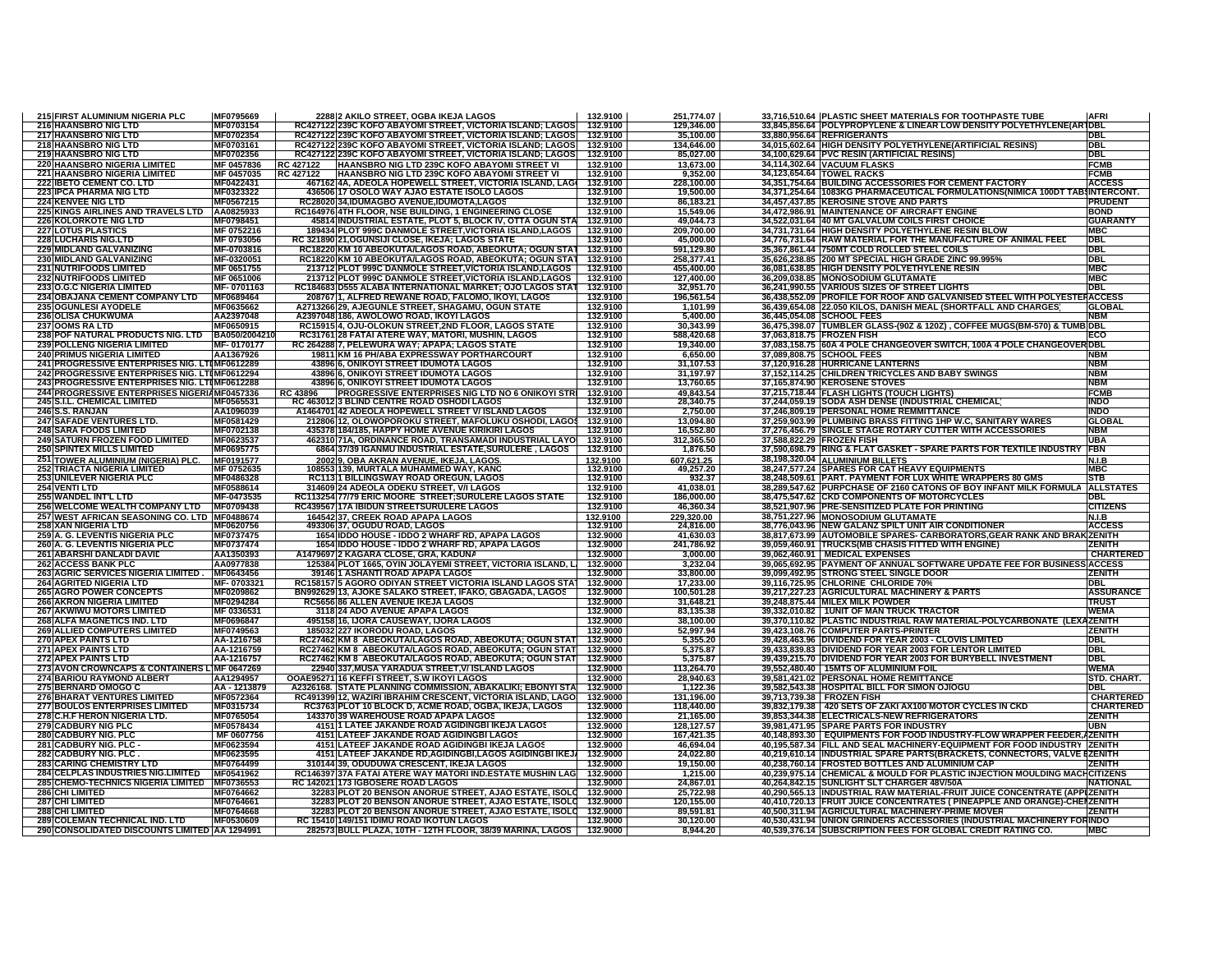| 215 FIRST ALUMINIUM NIGERIA PLC                                                    | MF0795669                 | 2288 2 AKILO STREET, OGBA IKEJA LAGOS                                                                                              | 132.9100             | 251,774.07               |                           | 33,716,510.64 PLASTIC SHEET MATERIALS FOR TOOTHPASTE TUBE                                                                                            | <b>AFRI</b>                       |
|------------------------------------------------------------------------------------|---------------------------|------------------------------------------------------------------------------------------------------------------------------------|----------------------|--------------------------|---------------------------|------------------------------------------------------------------------------------------------------------------------------------------------------|-----------------------------------|
| 216 HAANSBRO NIG LTD                                                               | MF0703154                 | RC427122 239C KOFO ABAYOMI STREET, VICTORIA ISLAND; LAGOS                                                                          | 132.9100             | 129,346.00               |                           | 33,845,856.64 POLYPROPYLENE & LINEAR LOW DENSITY POLYETHYLENE(ARTDBL                                                                                 |                                   |
| <b>217 HAANSBRO NIG LTD</b>                                                        | MF0702354                 | RC427122 239C KOFO ABAYOMI STREET, VICTORIA ISLAND; LAGOS                                                                          | 132.9100             | 35,100.00                |                           | 33.880.956.64 REFRIGERANTS                                                                                                                           | <b>DBL</b>                        |
| <b>218 HAANSBRO NIG LTD</b>                                                        | MF0703161                 | RC427122 239C KOFO ABAYOMI STREET, VICTORIA ISLAND; LAGOS                                                                          | 132.9100             | 134,646.00               |                           | 34,015,602.64 HIGH DENSITY POLYETHYLENE(ARTIFICIAL RESINS)                                                                                           | <b>DBL</b>                        |
| <b>219 HAANSBRO NIG LTD</b>                                                        | MF0702356                 | RC427122 239C KOFO ABAYOMI STREET, VICTORIA ISLAND; LAGOS                                                                          | 132.9100             | 85,027.00                |                           | 34.100.629.64 PVC RESIN (ARTIFICIAL RESINS)                                                                                                          | <b>DBL</b><br><b>FCMB</b>         |
| <b>220 HAANSBRO NIGERIA LIMITED</b><br><b>221 HAANSBRO NIGERIA LIMITED</b>         | MF 0457836<br>MF 0457035  | HAANSBRO NIG LTD 239C KOFO ABAYOMI STREET VI<br>RC 427122<br>HAANSBRO NIG LTD 239C KOFO ABAYOMI STREET VI<br>RC 427122             | 132.9100<br>132.9100 | 13,673.00                |                           | 34,114,302.64 VACUUM FLASKS<br>34,123,654.64 TOWEL RACKS                                                                                             | <b>FCMB</b>                       |
| 222 IBETO CEMENT CO. LTD                                                           | MF0422431                 | 467162 4A, ADEOLA HOPEWELL STREET, VICTORIA ISLAND, LAGO                                                                           | 132.9100             | 9,352.00<br>228,100.00   |                           | 34,351,754.64 BUILDING ACCESSORIES FOR CEMENT FACTORY                                                                                                | <b>ACCESS</b>                     |
| <b>223 IPCA PHARMA NIG LTD</b>                                                     | MF0323322                 | 436506 17 OSOLO WAY AJAO ESTATE ISOLO LAGOS                                                                                        | 132.9100             | 19,500.00                |                           | 34,371,254.64 1083KG PHARMACEUTICAL FORMULATIONS(NIMICA 100DT TAB(INTERCONT.                                                                         |                                   |
| <b>224 KENVEE NIG LTD</b>                                                          | MF0567215                 | RC28020 34,IDUMAGBO AVENUE,IDUMOTA,LAGOS                                                                                           | 132.9100             | 86,183.21                |                           | 34,457,437.85 KEROSINE STOVE AND PARTS                                                                                                               | <b>PRUDENT</b>                    |
| 225 KINGS AIRLINES AND TRAVELS LTD                                                 | AA0825933                 | RC164976 4TH FLOOR, NSE BUILDING, 1 ENGINEERING CLOSE                                                                              | 132.9100             | 15,549.06                |                           | 34,472,986.91 MAINTENANCE OF AIRCRAFT ENGINE                                                                                                         | <b>BOND</b>                       |
| <b>226 KOLORKOTE NIG LTD</b>                                                       | MF0798451                 | 45814 INDUSTRIAL ESTATE, PLOT 5, BLOCK IV, OTTA OGUN STA                                                                           | 132.9100             | 49,044.73                |                           | 34,522,031.64 40 MT GALVALUM COILS FIRST CHOICE                                                                                                      | <b>GUARANTY</b>                   |
| <b>227 LOTUS PLASTICS</b>                                                          | MF 0752216                | 189434 PLOT 999C DANMOLE STREET,VICTORIA ISLAND,LAGOS                                                                              | 132.9100             | 209,700.00               |                           | 34,731,731.64 HIGH DENSITY POLYETHYLENE RESIN BLOW                                                                                                   | <b>MBC</b>                        |
| <b>228 LUCHARIS NIG.LTD</b>                                                        | MF 0793056                | RC 321890 21, OGUNSIJI CLOSE, IKEJA; LAGOS STATE                                                                                   | 132.9100             | 45,000.00                |                           | 34,776,731.64 RAW MATERIAL FOR THE MANUFACTURE OF ANIMAL FEED                                                                                        | <b>DBL</b>                        |
| 229 MIDLAND GALVANIZING                                                            | MF-0703816<br>MF-0320051  | RC18220 KM 10 ABEOKUTA/LAGOS ROAD, ABEOKUTA; OGUN STAT 132.9100                                                                    |                      | 591,129.80               |                           | 35,367,861.44 750MT COLD ROLLED STEEL COILS                                                                                                          | <b>DBL</b><br><b>DBL</b>          |
| <b>230 MIDLAND GALVANIZING</b><br><b>231 NUTRIFOODS LIMITED</b>                    | MF 0651755                | RC18220 KM 10 ABEOKUTA/LAGOS ROAD, ABEOKUTA; OGUN STAT 132.9100<br>213712 PLOT 999C DANMOLE STREET, VICTORIA ISLAND, LAGOS         | 132.9100             | 258,377.41<br>455,400.00 |                           | 35,626,238.85 200 MT SPECIAL HIGH GRADE ZINC 99.995%<br>36,081,638.85 HIGH DENSITY POLYETHYLENE RESIN                                                | <b>MBC</b>                        |
| <b>232 NUTRIFOODS LIMITED</b>                                                      | MF 0651006                | 213712 PLOT 999C DANMOLE STREET, VICTORIA ISLAND, LAGOS                                                                            | 132.9100             | 127,400.00               |                           | 36,209,038.85 MONOSODIUM GLUTAMATE                                                                                                                   | <b>MBC</b>                        |
| 233 O.G.C NIGERIA LIMITED                                                          | MF-0701163                | RC184683 D555 ALABA INTERNATIONAL MARKET; OJO LAGOS STAT 132.9100                                                                  |                      | 32,951.70                |                           | 36,241,990.55 VARIOUS SIZES OF STREET LIGHTS                                                                                                         | <b>DBL</b>                        |
| 234 OBAJANA CEMENT COMPANY LTD                                                     | MF0689464                 | 208767 1, ALFRED REWANE ROAD, FALOMO, IKOYI, LAGOS                                                                                 | 132.9100             | 196,561.54               |                           | 36,438,552.09 PROFILE FOR ROOF AND GALVANISED STEEL WITH POLYESTER ACCESS                                                                            |                                   |
| 235 OGUNLESI AYODELE                                                               | MF0635662                 | A2713266 29, AJEGUNLE STREET, SHAGAMU, OGUN STATE                                                                                  | 132.9100             | 1,101.99                 |                           | 36,439,654.08 22.050 KILOS, DANISH MEAL (SHORTFALL AND CHARGES                                                                                       | <b>GLOBAL</b>                     |
| <b>236 OLISA CHUKWUMA</b>                                                          | AA2397048                 | A2397048 186, AWOLOWO ROAD, IKOYI LAGOS                                                                                            | 132.9100             | 5,400.00                 |                           | 36,445,054.08 SCHOOL FEES                                                                                                                            | <b>NBM</b>                        |
| 237 OOMS RA LTD                                                                    | MF0650915                 | RC15915 4, OJU-OLOKUN STREET, 2ND FLOOR, LAGOS STATE                                                                               | 132.9100             | 30.343.99                |                           | 36,475,398.07 TUMBLER GLASS-(90Z & 120Z) , COFFEE MUGS(BM-570) & TUMB DBL                                                                            |                                   |
| 238 POF NATURAL PRODUCTS NIG. LTD                                                  | BA050/2004210             | RC31761 28 FATAI ATERE WAY, MATORI, MUSHIN, LAGOS                                                                                  | 132.9100             | 588,420.68               | 37,063,818.75 FROZEN FISH |                                                                                                                                                      | ECO                               |
| <b>239 POLLENG NIGERIA LIMITED</b>                                                 | MF-0170177<br>AA1367926   | RC 264288 7, PELEWURA WAY; APAPA; LAGOS STATE                                                                                      | 132.9100<br>132.9100 | 19,340.00<br>6,650.00    |                           | 37,083,158.75 60A 4 POLE CHANGEOVER SWITCH, 100A 4 POLE CHANGEOVER DBL                                                                               | <b>NBM</b>                        |
| <b>240 PRIMUS NIGERIA LIMITED</b><br>241 PROGRESSIVE ENTERPRISES NIG. LTIMF0612289 |                           | 19811 KM 16 PH/ABA EXPRESSWAY PORTHARCOURT<br>43896 6, ONIKOYI STREET IDUMOTA LAGOS                                                | 132.9100             | 31,107.53                |                           | 37,089,808.75 SCHOOL FEES<br>37,120,916.28 HURRICANE LANTERNS                                                                                        | <b>NBM</b>                        |
| 242 PROGRESSIVE ENTERPRISES NIG. LTIMF0612294                                      |                           | 43896 6, ONIKOYI STREET IDUMOTA LAGOS                                                                                              | 132.9100             | 31,197.97                |                           | 37,152,114.25 CHILDREN TRICYCLES AND BABY SWINGS                                                                                                     | <b>NBM</b>                        |
| 243 PROGRESSIVE ENTERPRISES NIG. LTIMF0612288                                      |                           | 43896 6, ONIKOYI STREET IDUMOTA LAGOS                                                                                              | 132.9100             | 13,760.65                |                           | 37,165,874.90 KEROSENE STOVES                                                                                                                        | <b>NBM</b>                        |
| 244 PROGRESSIVE ENTERPRISES NIGERIAMF0457336                                       |                           | PROGRESSIVE ENTERPRISES NIG LTD NO 6 ONIKOYI STRI<br>RC 43896                                                                      | 132.9100             | 49,843.54                |                           | 37,215,718.44 FLASH LIGHTS (TOUCH LIGHTS)                                                                                                            | <b>FCMB</b>                       |
| 245 S.I.L. CHEMICAL LIMITED                                                        | MF0565531                 | RC 463012 3 BLIND CENTRE ROAD OSHODI LAGOS                                                                                         | 132.9100             | 28,340.75                |                           | 37,244,059.19 SODA ASH DENSE (INDUSTRIAL CHEMICAL                                                                                                    | INDO                              |
| 246 S.S. RANJAN                                                                    | AA1096039                 | A1464701 42 ADEOLA HOPEWELL STREET V/ ISLAND LAGOS                                                                                 | 132.9100             | 2,750.00                 |                           | 37,246,809.19 PERSONAL HOME REMMITTANCE                                                                                                              | <b>INDO</b>                       |
| 247 SAFADE VENTURES LTD.<br><b>248 SARA FOODS LIMITED</b>                          | MF0581429<br>MF0702138    | 212806 12, OLOWOPOROKU STREET, MAFOLUKU OSHODI, LAGOS<br>435378 184/185, HAPPY HOME AVENUE KIRIKIRI LAGOS                          | 132.9100<br>132.9100 | 13,094.80<br>16,552.80   |                           | 37,259,903.99 PLUMBING BRASS FITTING 1HP W.C, SANITARY WARES<br>37,276,456.79 SINGLE STAGE ROTARY CUTTER WITH ACCESSORIES                            | <b>GLOBAL</b><br><b>NBM</b>       |
| <b>249 SATURN FROZEN FOOD LIMITED</b>                                              | MF0623537                 | 462310 71A, ORDINANCE ROAD, TRANSAMADI INDUSTRIAL LAYO!                                                                            | 132.9100             | 312,365.50               | 37,588,822.29 FROZEN FISH |                                                                                                                                                      | <b>UBA</b>                        |
| <b>250 SPINTEX MILLS LIMITED</b>                                                   | MF0695775                 | 6864 37/39 IGANMU INDUSTRIAL ESTATE, SURULERE, LAGOS                                                                               | 132.9100             | 1,876.50                 |                           | 37,590,698.79 RING & FLAT GASKET - SPARE PARTS FOR TEXTILE INDUSTRY                                                                                  | <b>FBN</b>                        |
| 251 TOWER ALUMINIUM (NIGERIA) PLC.                                                 | MF0191577                 | 2002 9, OBA AKRAN AVENUE, IKEJA, LAGOS.                                                                                            | 132.9100             | 607,621.25               |                           | 38,198,320.04 ALUMINIUM BILLETS                                                                                                                      | N.I.B                             |
| <b>252 TRIACTA NIGERIA LIMITED</b>                                                 | MF 0752635                | 108553 139, MURTALA MUHAMMED WAY, KANC                                                                                             | 132.9100             | 49,257.20                |                           | 38,247,577.24 SPARES FOR CAT HEAVY EQUIPMENTS                                                                                                        | <b>MBC</b>                        |
| <b>253 UNILEVER NIGERIA PLC</b>                                                    | MF0486328                 | RC113 1 BILLINGSWAY ROAD OREGUN, LAGOS                                                                                             | 132.9100             | 932.37                   |                           | 38,248,509.61 PART. PAYMENT FOR LUX WHITE WRAPPERS 80 GMS                                                                                            | <b>STB</b>                        |
| 254 VENTI LTD<br><b>255 WANDEL INT'L LTD</b>                                       | MF0588614<br>MF-0473535   | 314609 24 ADEOLA ODEKU STREET, V/I LAGOS<br>RC113254 77/79 ERIC MOORE  STREET;SURULERE LAGOS STATE                                 | 132.9100<br>132.9100 | 41,038.01<br>186,000.00  |                           | 38,289,547.62 PURPCHASE OF 2160 CATONS OF BOY INFANT MILK FORMULA<br>38,475,547.62 CKD COMPONENTS OF MOTORCYCLES                                     | <b>ALLSTATES</b><br><b>DBL</b>    |
| <b>256 WELCOME WEALTH COMPANY LTD</b>                                              | MF0709438                 | RC439567 17A IBIDUN STREETSURULERE LAGOS                                                                                           | 132.9100             | 46,360.34                |                           | 38,521,907.96 PRE-SENSITIZED PLATE FOR PRINTING                                                                                                      | <b>CITIZENS</b>                   |
| 257 WEST AFRICAN SEASONING CO. LTD                                                 | MF0488674                 | 164542 37, CREEK ROAD APAPA LAGOS                                                                                                  | 132.9100             | 229,320.00               |                           | 38,751,227.96 MONOSODIUM GLUTAMATE                                                                                                                   | N.I.B                             |
| <b>258 XAN NIGERIA LTD</b>                                                         | <b>MF0620756</b>          | 493306 37, OGUDU ROAD, LAGOS                                                                                                       | 132.9100             | 24,816.00                |                           | 38,776,043.96 NEW GALANZ SPILT UNIT AIR CONDITIONER                                                                                                  | <b>ACCESS</b>                     |
| 259 A. G. LEVENTIS NIGERIA PLC                                                     | MF0737475                 | 1654 IDDO HOUSE - IDDO 2 WHARF RD, APAPA LAGOS                                                                                     | 132.9000             | 41,630.03                |                           | 38,817,673.99 AUTOMOBILE SPARES- CARBORATORS, GEAR RANK AND BRAK ZENITH                                                                              |                                   |
| 260 A. G. LEVENTIS NIGERIA PLC                                                     | MF0737474<br>AA1350393    | 1654 IDDO HOUSE - IDDO 2 WHARF RD, APAPA LAGOS<br>A1479697 2 KAGARA CLOSE, GRA, KADUNA                                             | 132.9000<br>132.9000 | 241,786.92<br>3,000.00   |                           | 39,059,460.91 TRUCKS(MB CHASIS FITTED WITH ENGINE)<br>39,062,460.91 MEDICAL EXPENSES                                                                 | <b>ZENITH</b><br><b>CHARTERED</b> |
| 261 ABARSHI DANLADI DAVID<br>262 ACCESS BANK PLC                                   | AA0977838                 | 125384 PLOT 1665, OYIN JOLAYEMI STREET, VICTORIA ISLAND,                                                                           | 132.9000             | 3,232.04                 |                           | 39,065,692.95 PAYMENT OF ANNUAL SOFTWARE UPDATE FEE FOR BUSINESS ACCESS                                                                              |                                   |
| 263 AGRIC SERVICES NIGERIA LIMITED.                                                | MF0643456                 | 39146 1 ASHANTI ROAD APAPA LAGOS                                                                                                   | 132.9000             | 33,800.00                |                           | 39,099,492.95 STRONG STEEL SINGLE DOOR                                                                                                               | <b>ZENITH</b>                     |
| <b>264 AGRITED NIGERIA LTD</b>                                                     | MF-0703321                | RC158157 5 AGORO ODIYAN STREET VICTORIA ISLAND LAGOS STAT                                                                          | 132.9000             | 17,233.00                |                           | 39,116,725.95 CHLORINE CHLORIDE 70%                                                                                                                  | <b>DBL</b>                        |
| <b>265 AGRO POWER CONCEPTS</b>                                                     | MF0209862                 | BN992629 13, AJOKE SALAKO STREET, IFAKO, GBAGADA, LAGOS                                                                            | 132.9000             | 100,501.28               |                           | 39,217,227.23 AGRICULTURAL MACHINERY & PARTS                                                                                                         | <b>ASSURANCE</b>                  |
| <b>266 AKRON NIGERIA LIMITED</b>                                                   | MF0294284                 | RC5656 86 ALLEN AVENUE IKEJA LAGOS                                                                                                 | 132.9000             | 31,648.21                |                           | 39,248,875.44 MILEX MILK POWDER                                                                                                                      | <b>TRUST</b>                      |
| <b>267 AKWIWU MOTORS LIMITED</b><br><b>268 ALFA MAGNETICS IND. LTD</b>             | MF 0336531<br>MF0696847   | 3118 24 ADO AVENUE APAPA LAGOS<br>495158 16, IJORA CAUSEWAY, IJORA LAGOS                                                           | 132.9000<br>132.9000 | 83,135.38<br>38,100.00   |                           | 39,332,010.82 1UNIT OF MAN TRUCK TRACTOR<br>39,370,110.82 PLASTIC INDUSTRIAL RAW MATERIAL-POLYCARBONATE (LEXAZENITH                                  | <b>WEMA</b>                       |
| <b>269 ALLIED COMPUTERS LIMITED</b>                                                | MF0749563                 | 185032 227 IKORODU ROAD, LAGOS                                                                                                     | 132.9000             | 52,997.94                |                           | 39,423,108.76 COMPUTER PARTS-PRINTER                                                                                                                 | <b>ZENITH</b>                     |
| <b>270 APEX PAINTS LTD</b>                                                         | AA-1216758                | RC27462 KM 8 ABEOKUTA/LAGOS ROAD, ABEOKUTA; OGUN STAT                                                                              | 132,9000             | 5,355.20                 |                           | 39,428,463.96 DIVIDEND FOR YEAR 2003 - CLOVIS LIMITED                                                                                                | <b>DBL</b>                        |
| <b>271 APEX PAINTS LTD</b>                                                         | AA-1216759                | RC27462 KM 8 ABEOKUTA/LAGOS ROAD, ABEOKUTA; OGUN STAT 132.9000                                                                     |                      | 5,375.87                 |                           | 39,433,839.83 DIVIDEND FOR YEAR 2003 FOR LENTOR LIMITED                                                                                              | <b>DBL</b>                        |
| <b>272 APEX PAINTS LTD</b>                                                         | AA-1216757                | RC27462 KM 8 ABEOKUTA/LAGOS ROAD, ABEOKUTA: OGUN STAT                                                                              | 132.9000             | 5,375.87                 |                           | 39.439.215.70 DIVIDEND FOR YEAR 2003 FOR BURYBELL INVESTMENT                                                                                         | <b>DBL</b>                        |
| 273 AVON CROWNCAPS & CONTAINERS L'MF 0647269                                       |                           | 22940 337, MUSA YARADUA STREET, V/ ISLAND LAGOS                                                                                    | 132.9000             | 113,264.70               |                           | 39,552,480.40   15MTS OF ALUMINIUM FOIL                                                                                                              | <b>WEMA</b>                       |
| 274 BARIOU RAYMOND ALBERT<br>275 BERNARD OMOGO C                                   | AA1294957<br>AA - 1213879 | OOAE95271 16 KEFFI STREET, S.W IKOYI LAGOS<br>A2326168. STATE PLANNING COMMISSION, ABAKALIKI; EBONYI STA                           | 132.9000<br>132.9000 | 28,940.63<br>1,122.36    |                           | 39,581,421.02 PERSONAL HOME REMITTANCE<br>39,582,543.38 HOSPITAL BILL FOR SIMON OJIOGU                                                               | STD. CHART.<br><b>DBL</b>         |
| 276 BHARAT VENTURES LIMITED                                                        | MF0572364                 | RC491399 12, WAZIRI IBRAHIM CRESCENT, VICTORIA ISLAND, LAGO! 132.9000                                                              |                      | 131,196.00               |                           | 39,713,739.38 FROZEN FISH                                                                                                                            | <b>CHARTERED</b>                  |
| <b>277 BOULOS ENTERPRISES LIMITED</b>                                              | MF0315734                 | RC3763 PLOT 10 BLOCK D, ACME ROAD, OGBA, IKEJA, LAGOS                                                                              | 132.9000             | 118,440.00               |                           | 39,832,179.38   420 SETS OF ZAKI AX100 MOTOR CYCLES IN CKD                                                                                           | <b>CHARTERED</b>                  |
| 278 C.H.F HERON NIGERIA LTD.                                                       | MF0765054                 | 143370 39 WAREHOUSE ROAD APAPA LAGOS                                                                                               | 132.9000             | 21,165.00                |                           | 39,853,344.38 ELECTRICALS-NEW REFRIGERATORS                                                                                                          | <b>ZENITH</b>                     |
| <b>279 CADBURY NIG PLC</b>                                                         | MF0578434                 | 4151 1 LATEE JAKANDE ROAD AGIDINGBI IKEJA LAGOS                                                                                    | 132.9000             | 128,127.57               |                           | 39,981,471.95 SPARE PARTS FOR INDUSTRY                                                                                                               | UBN                               |
| 280 CADBURY NIG. PLC                                                               | MF 0607756                | 4151 LATEEF JAKANDE ROAD AGIDINGBI LAGOS                                                                                           | 132.9000<br>132.9000 | 167,421.35               |                           | 40,148,893.30 EQUIPMENTS FOR FOOD INDUSTRY-FLOW WRAPPER FEEDER, ZENITH                                                                               |                                   |
| 281 CADBURY NIG. PLC<br>282 CADBURY NIG. PLC                                       | MF0623594<br>MF0623595    | 4151 LATEEF JAKANDE ROAD AGIDINGBI IKEJA LAGOS<br>4151 LATEEF JAKANDE RD, AGIDINGBI, LAGOS AGIDINGBI IKEJA                         | 132.9000             | 46,694.04<br>24,022.80   |                           | 40,195,587.34 FILL AND SEAL MACHINERY-EQUIPMENT FOR FOOD INDUSTRY ZENITH<br>40,219,610.14 INDUSTRIAL SPARE PARTS(BRACKETS, CONNECTORS, VALVE EZENITH |                                   |
| <b>283 CARING CHEMISTRY LTD</b>                                                    | MF0764499                 | 310144 39, ODUDUWA CRESCENT, IKEJA LAGOS                                                                                           | 132.9000             | 19,150.00                |                           | 40,238,760.14 FROSTED BOTTLES AND ALUMINIUM CAP                                                                                                      | <b>ZENITH</b>                     |
| <b>284 CELPLAS INDUSTRIES NIG.LIMITED</b>                                          | MF0541962                 | RC146397 37A FATAI ATERE WAY MATORI IND ESTATE MUSHIN LAG                                                                          | 132.9000             | 1,215.00                 |                           | 40,239,975.14 CHEMICAL & MOULD FOR PLASTIC INJECTION MOULDING MACHCITIZENS                                                                           |                                   |
| 285 CHEMO-TECHNICS NIGERIA LIMITED                                                 | MF0736553                 | RC 142021 173 IGBOSERE ROAD LAGOS                                                                                                  | 132.9000             | 24,867.01                |                           | 40,264,842.15 SUNLIGHT SLT CHARGER 48V/50A                                                                                                           | <b>NATIONAL</b>                   |
| 286 CHI LIMITED                                                                    | MF0764662                 | 32283 PLOT 20 BENSON ANORUE STREET, AJAO ESTATE, ISOLO 132.9000                                                                    |                      | 25,722.98                |                           | 40,290,565.13 INDUSTRIAL RAW MATERIAL-FRUIT JUICE CONCENTRATE (APPIZENITH                                                                            |                                   |
| 287 CHI LIMITED<br>288 CHI LIMITED                                                 | MF0764661<br>MF0764668    | 32283 PLOT 20 BENSON ANORUE STREET, AJAO ESTATE, ISOLO 132.9000<br>32283 PLOT 20 BENSON ANORUE STREET, AJAO ESTATE, ISOLO 132.9000 |                      | 120,155.00<br>89,591.81  |                           | 40,410,720.13 FRUIT JUICE CONCENTRATES ( PINEAPPLE AND ORANGE)-CHEIZENITH<br>40,500,311.94 AGRICULTURAL MACHINERY-PRIME MOVER                        | <b>ZENITH</b>                     |
| 289 COLEMAN TECHNICAL IND. LTD                                                     | MF0530609                 | RC 15410 149/151 IDIMU ROAD IKOTUN LAGOS                                                                                           | 132.9000             | 30,120.00                |                           | 40,530,431.94 UNION GRINDERS ACCESSORIES (INDUSTRIAL MACHINERY FORINDO                                                                               |                                   |
| 290 CONSOLIDATED DISCOUNTS LIMITED AA 1294991                                      |                           | 282573 BULL PLAZA, 10TH - 12TH FLOOR, 38/39 MARINA, LAGOS                                                                          | 132.9000             | 8,944.20                 |                           | 40,539,376.14 SUBSCRIPTION FEES FOR GLOBAL CREDIT RATING CO.                                                                                         | <b>MBC</b>                        |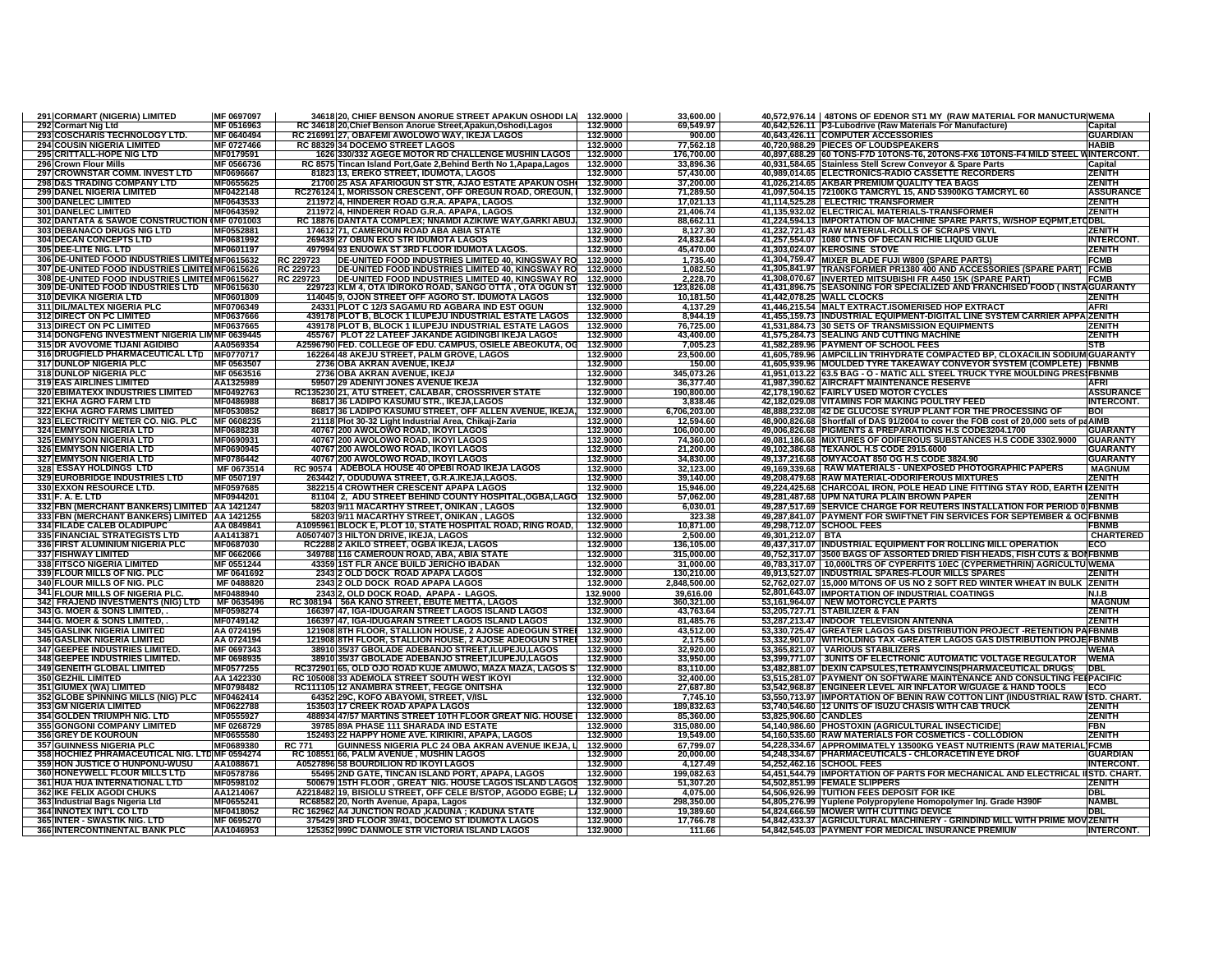| 291 CORMART (NIGERIA) LIMITED                                              | MF 0697097               | 34618 20, CHIEF BENSON ANORUE STREET APAKUN OSHODI LA                                                            | 132.9000             | 33,600.00                 |                       | 40,572,976.14   48TONS OF EDENOR ST1 MY (RAW MATERIAL FOR MANUCTUR WEMA                                                                                |                                |
|----------------------------------------------------------------------------|--------------------------|------------------------------------------------------------------------------------------------------------------|----------------------|---------------------------|-----------------------|--------------------------------------------------------------------------------------------------------------------------------------------------------|--------------------------------|
| 292 Cormart Nig Ltd                                                        | MF 0516963               | RC 34618 20, Chief Benson Anorue Street, Apakun, Oshodi, Lagos                                                   | 132.9000             | 69,549.97                 |                       | 40,642,526.11 P3-Lubodrive (Raw Materials For Manufacture)                                                                                             | Capital                        |
| <b>293 COSCHARIS TECHNOLOGY LTD.</b><br><b>294 COUSIN NIGERIA LIMITED</b>  | MF 0640494<br>MF 0727466 | RC 216991 27, OBAFEMI AWOLOWO WAY, IKEJA LAGOS                                                                   | 132.9000<br>132.9000 | 900.00<br>77,562.18       |                       | 40,643,426.11 COMPUTER ACCESSORIES<br>40,720,988.29 PIECES OF LOUDSPEAKERS                                                                             | <b>GUARDIAN</b><br>HABIB       |
| 295 CRITTALL HOPE NIG LTD                                                  | MF0179591                | RC 88329 34 DOCEMO STREET LAGOS<br>1626 330/332 AGEGE MOTOR RD CHALLENGE MUSHIN LAGOS                            | 132.9000             | 176,700.00                |                       | 40,897,688.29 60 TONS-F7D 10TONS-T6, 20TONS-FX6 10TONS-F4 MILD STEEL WINTERCONT.                                                                       |                                |
| 296 Crown Flour Mills                                                      | MF 0566736               | RC 8575 Tincan Island Port, Gate 2, Behind Berth No 1, Apapa, Lagos                                              | 132.9000             | 33,896.36                 |                       | 40,931,584.65 Stainless Stell Screw Conveyor & Spare Parts                                                                                             | Capital                        |
| <b>297 CROWNSTAR COMM. INVEST LTD</b>                                      | MF0696667                | 81823 13, EREKO STREET, IDUMOTA, LAGOS                                                                           | 132.9000             | 57,430.00                 |                       | 40,989,014.65 ELECTRONICS-RADIO CASSETTE RECORDERS                                                                                                     | <b>ZENITH</b>                  |
| <b>298 D&amp;S TRADING COMPANY LTD</b>                                     | MF0655625                | 21700 25 ASA AFARIOGUN ST STR, AJAO ESTATE APAKUN OSH                                                            | 132.9000             | 37,200.00                 |                       | 41,026,214.65 AKBAR PREMIUM QUALITY TEA BAGS                                                                                                           | <b>ZENITH</b>                  |
| <b>299 DANEL NIGERIA LIMITED</b>                                           | MF0422148                | RC276124 1, MORISSON CRESCENT, OFF OREGUN ROAD, OREGUN, 1 132.9000                                               |                      | 71,289.50                 |                       | 41,097,504.15 72100KG TAMCRYL 15, AND 53900KG TAMCRYL 60                                                                                               | <b>ASSURANCE</b>               |
| <b>300 DANELEC LIMITED</b>                                                 | MF0643533                | 211972 4, HINDERER ROAD G.R.A. APAPA, LAGOS.                                                                     | 132.9000             | 17,021.13                 |                       | 41,114,525.28 ELECTRIC TRANSFORMER                                                                                                                     | <b>ZENITH</b>                  |
| <b>301 DANELEC LIMITED</b>                                                 | MF0643592                | 211972 4, HINDERER ROAD G.R.A. APAPA, LAGOS                                                                      | 132.9000             | 21,406.74                 |                       | 41,135,932.02 ELECTRICAL MATERIALS-TRANSFORMER                                                                                                         | <b>ZENITH</b>                  |
| 302 DANTATA & SAWOE CONSTRUCTION (MF 0701003<br>303 DEBANACO DRUGS NIG LTD | MF0552881                | RC 18876 DANTATA COMPLEX; NNAMDI AZIKIWE WAY,GARKI ABUJI<br>174612 71, CAMEROUN ROAD ABA ABIA STATE              | 132.9000<br>132.9000 | 88,662.11<br>8,127.30     |                       | 41,224,594.13 IMPORTATION OF MACHINE SPARE PARTS, W/SHOP EQPMT,ET<br>41,232,721.43 RAW MATERIAL-ROLLS OF SCRAPS VINYL                                  | <b>CDBL</b><br><b>ZENITH</b>   |
| 304 DECAN CONCEPTS LTD                                                     | MF0681992                | 269439 27 OBUN EKO STR IDUMOTA LAGOS                                                                             | 132.9000             | 24.832.64                 |                       | 41,257,554.07   1080 CTNS OF DECAN RICHIE LIQUID GLUE                                                                                                  | <b>INTERCONT.</b>              |
| 305 DEE-LITE NIG. LTD                                                      | MF0601197                | 497994 93 ENUOWA ST 3RD FLOOR IDUMOTA LAGOS.                                                                     | 132.9000             | 45,470.00                 |                       | 41,303,024.07 KEROSINE STOVE                                                                                                                           | <b>ZENITH</b>                  |
| 306 DE-UNITED FOOD INDUSTRIES LIMITEIMF0615632                             |                          | RC 229723<br>DE-UNITED FOOD INDUSTRIES LIMITED 40, KINGSWAY RO                                                   | 132.9000             | 1,735.40                  |                       | 41,304,759.47 MIXER BLADE FUJI W800 (SPARE PARTS)                                                                                                      | <b>FCMB</b>                    |
| 307 DE-UNITED FOOD INDUSTRIES LIMITEI MF0615626                            |                          | RC 229723<br><b>DE-UNITED FOOD INDUSTRIES LIMITED 40, KINGSWAY RO</b>                                            | 132.9000             | 1,082.50                  |                       | 41,305,841.97 TRANSFORMER PR1380 400 AND ACCESSORIES (SPARE PART)                                                                                      | <b>FCMB</b>                    |
| 308 DE-UNITED FOOD INDUSTRIES LIMITEI MF0615627                            |                          | RC 229723<br>DE-UNITED FOOD INDUSTRIES LIMITED 40, KINGSWAY RO                                                   | 132.9000             | 2,228.70                  |                       | 41,308,070.67 INVERTED MITSUBISHI FR A450 15K (SPARE PART)                                                                                             | <b>FCMB</b>                    |
| 309 DE-UNITED FOOD INDUSTRIES LTD                                          | MF0615630                | 229723 KLM 4, OTA IDIROKO ROAD, SANGO OTTA , OTA OGUN ST                                                         | 132.9000             | 123,826.08                |                       | 41,431,896.75 SEASONING FOR SPECIALIZED AND FRANCHISED FOOD (INSTAGUARANTY                                                                             |                                |
| 310 DEVIKA NIGERIA LTD                                                     | MF0601809                | 114045 9, OJON STREET OFF AGORO ST. IDUMOTA LAGOS                                                                | 132.9000             | 10,181.50                 |                       | 41,442,078.25 WALL CLOCKS                                                                                                                              | <b>ZENITH</b>                  |
| 311 DIL/MALTEX NIGERIA PLC                                                 | MF0706349                | 24331 PLOT C 12/3 SAGAMU RD AGBARA IND EST OGUN                                                                  | 132.9000             | 4,137.29                  |                       | 41,446,215.54   MALT EXTRACT.ISOMERISED HOP EXTRACT                                                                                                    | <b>AFRI</b>                    |
| 312 DIRECT ON PC LIMITED                                                   | MF0637666                | 439178 PLOT B, BLOCK 1 ILUPEJU INDUSTRIAL ESTATE LAGOS                                                           | 132.9000             | 8,944.19                  |                       | 41,455,159.73 INDUSTRIAL EQUIPMENT-DIGITAL LINE SYSTEM CARRIER APPA ZENITH                                                                             | <b>ZENITH</b>                  |
| 313 DIRECT ON PC LIMITED<br>314 DONGFENG INVESTMENT NIGERIA LIMMF 0639445  | MF0637665                | 439178 PLOT B, BLOCK 1 ILUPEJU INDUSTRIAL ESTATE LAGOS<br>455767 PLOT 22 LATEEF JAKANDE AGIDINGBI IKEJA LAGOS    | 132.9000<br>132.9000 | 76,725.00<br>43,400.00    |                       | 41,531,884.73 30 SETS OF TRANSMISSION EQUIPMENTS<br>41,575,284.73 SEALING AND CUTTING MACHINE                                                          | <b>ZENITH</b>                  |
| 315 DR AVOVOME TIJANI AGIDIBO                                              | AA0569354                | A2596790 FED. COLLEGE OF EDU. CAMPUS, OSIELE ABEOKUTA, OG 132.9000                                               |                      | 7,005.23                  |                       | 41,582,289.96 PAYMENT OF SCHOOL FEES                                                                                                                   | <b>STB</b>                     |
| <b>316 DRUGFIELD PHARMACEUTICAL LTD</b>                                    | <b>MF0770717</b>         | 162264 48 AKEJU STREET, PALM GROVE, LAGOS                                                                        | 132.9000             | 23,500.00                 |                       | 41,605,789.96 AMPCILLIN TRIHYDRATE COMPACTED BP, CLOXACILIN SODIUM GUARANTY                                                                            |                                |
| <b>317 DUNLOP NIGERIA PLC</b>                                              | MF 0563507               | 2736 OBA AKRAN AVENUE, IKEJA                                                                                     | 132.9000             | 150.00                    |                       | 41,605,939.96 MOULDED TYRE TAKEAWAY CONVEYOR SYSTEM (COMPLETE) FBNMB                                                                                   |                                |
| <b>318 DUNLOP NIGERIA PLC</b>                                              | MF 0563516               | 2736 OBA AKRAN AVENUE, IKEJA                                                                                     | 132,9000             | 345.073.26                |                       | 41,951,013.22 63.5 BAG - O - MATIC ALL STEEL TRUCK TYRE MOULDING PRESIFBNMB                                                                            |                                |
| <b>319 EAS AIRLINES LIMITED</b>                                            | AA1325989                | 59507 29 ADENIYI JONES AVENUE IKEJA                                                                              | 132.9000             | 36,377.40                 |                       | 41,987,390.62 AIRCRAFT MAINTENANCE RESERVE                                                                                                             | <b>AFRI</b>                    |
| <b>320 EBIMATEXX INDUSTRIES LIMITED</b>                                    | MF0492763                | RC135230 21, ATU STREET, CALABAR, CROSSRIVER STATE                                                               | 132.9000             | 190.800.00                |                       | 42.178.190.62 FAIRLY USED MOTOR CYCLES                                                                                                                 | <b>ASSURANCE</b>               |
| <b>321 EKHA AGRO FARM LTD</b>                                              | MF0486988                | 86817 36 LADIPO KASUMU STR., IKEJA,LAGOS                                                                         | 132.9000             | 3,838.46                  |                       | 42,182,029.08 VITAMINS FOR MAKING POULTRY FEED                                                                                                         | <b>INTERCONT.</b>              |
| 322 EKHA AGRO FARMS LIMITED<br>323 ELECTRICITY METER CO. NIG. PLC          | MF0530852<br>MF 0608235  | 86817 36 LADIPO KASUMU STREET, OFF ALLEN AVENUE, IKEJA,<br>21118 Plot 30-32 Light Industrial Area, Chikaji-Zaria | 132.9000<br>132.9000 | 6,706,203.00<br>12,594.60 |                       | 48,888,232.08 42 DE GLUCOSE SYRUP PLANT FOR THE PROCESSING OF<br>48,900,826.68 Shortfall of DAS 91/2004 to cover the FOB cost of 20,000 sets of paAIMB | <b>BOI</b>                     |
| <b>324 EMMYSON NIGERIA LTD</b>                                             | MF0688238                | 40767 200 AWOLOWO ROAD, IKOYI LAGOS                                                                              | 132.9000             | 106,000.00                |                       | 49,006,826.68 PIGMENTS & PREPARATIONS H.S CODE3204.1700                                                                                                | <b>GUARANTY</b>                |
| <b>325 EMMYSON NIGERIA LTD</b>                                             | MF0690931                | 40767 200 AWOLOWO ROAD, IKOYI LAGOS                                                                              | 132.9000             | 74,360.00                 |                       | 49,081,186.68 MIXTURES OF ODIFEROUS SUBSTANCES H.S CODE 3302.9000                                                                                      | <b>GUARANTY</b>                |
| 326 EMMYSON NIGERIA LTD                                                    | MF0690945                | 40767 200 AWOLOWO ROAD, IKOYI LAGOS                                                                              | 132.9000             | 21,200.00                 |                       | 49,102,386.68 TEXANOL H.S CODE 2915.6000                                                                                                               | <b>GUARANTY</b>                |
| <b>327 EMMYSON NIGERIA LTD</b>                                             | MF0786442                | 40767 200 AWOLOWO ROAD, IKOYI LAGOS                                                                              | 132.9000             | 34,830.00                 |                       | 49,137,216.68 OMYACOAT 850 OG H.S CODE 3824.90                                                                                                         | GUARANTY                       |
| 328 ESSAY HOLDINGS LTD                                                     | MF 0673514               | RC 90574   ADEBOLA HOUSE 40 OPEBI ROAD IKEJA LAGOS                                                               | 132.9000             | 32,123.00                 |                       | 49,169,339.68 RAW MATERIALS - UNEXPOSED PHOTOGRAPHIC PAPERS                                                                                            | <b>MAGNUM</b>                  |
| 329 EUROBRIDGE INDUSTRIES LTD                                              | MF 0507197               | 263442 7, ODUDUWA STREET, G.R.A.IKEJA,LAGOS.                                                                     | 132.9000             | 39,140.00                 |                       | 49,208,479.68 RAW MATERIAL-ODORIFEROUS MIXTURES                                                                                                        | <b>ZENITH</b>                  |
| 330 EXXON RESOURCE LTD.                                                    | MF0597685                | 382215 4 CROWTHER CRESCENT APAPA LAGOS                                                                           | 132.9000             | 15,946.00                 |                       | 49,224,425.68 CHARCOAL IRON, POLE HEAD LINE FITTING STAY ROD, EARTH (ZENITH                                                                            |                                |
| 331 F. A. E. LTD<br>332 FBN (MERCHANT BANKERS) LIMITED   AA 1421247        | MF0944201                | 81104 2, ADU STREET BEHIND COUNTY HOSPITAL, OGBA, LAGO<br>58203 9/11 MACARTHY STREET, ONIKAN, LAGOS              | 132.9000<br>132.9000 | 57,062.00<br>6,030.01     |                       | 49,281,487.68 UPM NATURA PLAIN BROWN PAPER<br>49,287,517.69 SERVICE CHARGE FOR REUTERS INSTALLATION FOR PERIOD 0 FBNMB                                 | <b>ZENITH</b>                  |
| 333 FBN (MERCHANT BANKERS) LIMITED AA 1421255                              |                          | 58203 9/11 MACARTHY STREET, ONIKAN, LAGOS                                                                        | 132.9000             | 323.38                    |                       | 49,287,841.07 PAYMENT FOR SWIFTNET FIN SERVICES FOR SEPTEMBER & OCFBNMB                                                                                |                                |
| 334 FILADE CALEB OLADIPUPC                                                 | AA 0849841               | A1095961 BLOCK E, PLOT 10, STATE HOSPITAL ROAD, RING ROAD,                                                       | 132,9000             | 10.871.00                 |                       | 49,298,712.07 SCHOOL FEES                                                                                                                              | <b>FBNMB</b>                   |
| 335 FINANCIAL STRATEGISTS LTD                                              | AA1413871                | A0507407 3 HILTON DRIVE, IKEJA, LAGOS                                                                            | 132.9000             | 2.500.00                  | 49,301,212.07 BTA     |                                                                                                                                                        | <b>CHARTERED</b>               |
| 336 FIRST ALUMINIUM NIGERIA PLC                                            | MF0687030                | RC2288 2 AKILO STREET, OGBA IKEJA, LAGOS                                                                         | 132.9000             | 136,105.00                |                       | 49,437,317.07 INDUSTRIAL EQUIPMENT FOR ROLLING MILL OPERATION                                                                                          | ECO                            |
| <b>337 FISHWAY LIMITED</b>                                                 | MF 0662066               | 349788 116 CAMEROUN ROAD, ABA, ABIA STATE                                                                        | 132.9000             | 315,000.00                |                       | 49,752,317.07 3500 BAGS OF ASSORTED DRIED FISH HEADS, FISH CUTS & BOI FBNMB                                                                            |                                |
| 338 FITSCO NIGERIA LIMITED                                                 | MF 0551244               | 43359 1ST FLR ANCE BUILD JERICHO IBADAN                                                                          | 132.9000             | 31,000.00                 |                       | 49,783,317.07   10,000LTRS OF CYPERFITS 10EC (CYPERMETHRIN) AGRICULTU WEMA                                                                             |                                |
| 339 FLOUR MILLS OF NIG. PLC                                                | MF 0641692               | 2343 2 OLD DOCK ROAD APAPA LAGOS                                                                                 |                      |                           |                       |                                                                                                                                                        |                                |
| 340 FLOUR MILLS OF NIG. PLC                                                |                          |                                                                                                                  | 132.9000             | 130,210.00                |                       | 49,913,527.07 INDUSTRIAL SPARES-FLOUR MILLS SPARES                                                                                                     | <b>ZENITH</b>                  |
|                                                                            | MF 0488820               | 2343 2 OLD DOCK ROAD APAPA LAGOS                                                                                 | 132.9000             | 2,848,500.00              |                       | 52,762,027.07   15,000 M/TONS OF US NO 2 SOFT RED WINTER WHEAT IN BULK                                                                                 | <b>ZENITH</b>                  |
|                                                                            | MF0488940                | <u> 2343 2, OLD DOCK ROAD, APAPA - LAGOS</u>                                                                     | 132.9000             | 39,616.00                 |                       | 52,801,643.07 IMPORTATION OF INDUSTRIAL COATINGS                                                                                                       | N.I.B                          |
| 341 FLOUR MILLS OF NIGERIA PLC.<br>342 FRAJEND INVESTMENTS (NIG) LTD       | MF 0635496               | RC 308194 56A KANO STREET, EBUTE METTA, LAGOS                                                                    | 132.9000             | 360,321.00                |                       | 53,161,964.07 NEW MOTORCYCLE PARTS                                                                                                                     | <b>MAGNUM</b>                  |
| 343 G. MOER & SONS LIMITED,                                                | MF0598274                | 166397 47, IGA-IDUGARAN STREET LAGOS ISLAND LAGOS                                                                | 132.9000<br>132.9000 | 43,763.64                 |                       | 53,205,727.71 STABILIZER & FAN                                                                                                                         | <b>ZENITH</b><br><b>ZENITH</b> |
| 344 G. MOER & SONS LIMITED,<br><b>345 GASLINK NIGERIA LIMITED</b>          | MF0749142<br>AA 0724195  | 166397 47, IGA-IDUGARAN STREET LAGOS ISLAND LAGOS<br>121908 8TH FLOOR, STALLION HOUSE, 2 AJOSE ADEOGUN STREE     | 132.9000             | 81,485.76<br>43,512.00    |                       | 53,287,213.47 INDOOR TELEVISION ANTENNA<br>53,330,725.47 GREATER LAGOS GAS DISTRIBUTION PROJECT - RETENTION PAFBNMB                                    |                                |
| <b>346 GASLINK NIGERIA LIMITED</b>                                         | AA 0724194               | 121908 8TH FLOOR, STALLION HOUSE, 2 AJOSE ADEOGUN STREE                                                          | 132,9000             | 2,175.60                  |                       | 53,332,901.07 WITHOLDING TAX -GREATER LAGOS GAS DISTRIBUTION PROJEFBNMB                                                                                |                                |
| 347 GEEPEE INDUSTRIES LIMITED.                                             | MF 0697343               | 38910 35/37 GBOLADE ADEBANJO STREET, ILUPEJU, LAGOS                                                              | 132.9000             | 32,920.00                 |                       | 53,365,821.07 VARIOUS STABILIZERS                                                                                                                      | <b>WEMA</b>                    |
| 348 GEEPEE INDUSTRIES LIMITED.                                             | MF 0698935               | 38910 35/37 GBOLADE ADEBANJO STREET, ILUPEJU, LAGOS                                                              | 132.9000             | 33,950.00                 |                       | 53,399,771.07   3UNITS OF ELECTRONIC AUTOMATIC VOLTAGE REGULATOR                                                                                       | <b>WEMA</b>                    |
| <b>349 GENEITH GLOBAL LIMITED</b>                                          | MF0577255                | RC372901 65, OLD OJO ROAD KUJE AMUWO, MAZA MAZA, LAGOS S'                                                        | 132.9000             | 83,110.00                 |                       | 53,482,881.07 DEXIN CAPSULES, TETRAMYCINS (PHARMACEUTICAL DRUGS)                                                                                       | <b>DBL</b>                     |
| 350 GEZHIL LIMITED                                                         | AA 1422330               | RC 105008 33 ADEMOLA STREET SOUTH WEST IKOYI                                                                     | 132.9000             | 32,400.00                 |                       | 53,515,281.07 PAYMENT ON SOFTWARE MAINTENANCE AND CONSULTING FEI PACIFIC                                                                               |                                |
| 351 GIUMEX (WA) LIMITED                                                    | MF0798482                | RC111105 12 ANAMBRA STREET, FEGGE ONITSHA                                                                        | 132.9000             | 27,687.80                 |                       | 53,542,968.87 ENGINEER LEVEL AIR INFLATOR W/GUAGE & HAND TOOLS                                                                                         | ECO                            |
| 352 GLOBE SPINNING MILLS (NIG) PLC                                         | MF0462414                | 64352 29C, KOFO ABAYOMI, STREET, V/ISL                                                                           | 132.9000             | 7,745.10                  |                       | 53,550,713.97 IMPORTATION OF BENIN RAW COTTON LINT (INDUSTRIAL RAW (STD. CHART.                                                                        |                                |
| <b>353 GM NIGERIA LIMITED</b>                                              | MF0622788                | 153503 17 CREEK ROAD APAPA LAGOS                                                                                 | 132.9000             | 189,832.63                |                       | 53,740,546.60 12 UNITS OF ISUZU CHASIS WITH CAB TRUCK                                                                                                  | <b>ZENITH</b>                  |
| 354 GOLDEN TRIUMPH NIG. LTD<br>355 GONGONI COMPANY LIMITED                 | MF0555927<br>MF 0268729  | 488934 47/57 MARTINS STREET 10TH FLOOR GREAT NIG. HOUSE<br>39785 89A PHASE 111 SHARADA IND ESTATE                | 132.9000<br>132.9000 | 85,360.00<br>315,080.00   | 53,825,906.60 CANDLES | 54,140,986.60 PHOSTOXIN (AGRICULTURAL INSECTICIDE)                                                                                                     | <b>ZENITH</b><br><b>FBN</b>    |
| <b>356 GREY DE KOUROUN</b>                                                 | MF0655580                | 152493 22 HAPPY HOME AVE. KIRIKIRI, APAPA, LAGOS                                                                 | 132.9000             | 19,549.00                 |                       | 54,160,535.60 RAW MATERIALS FOR COSMETICS - COLLODION                                                                                                  | <b>ZENITH</b>                  |
| <b>357 GUINNESS NIGERIA PLC</b>                                            | MF0689380                | GUINNESS NIGERIA PLC 24 OBA AKRAN AVENUE IKEJA,<br><b>RC 771</b>                                                 | 132.9000             | 67.799.07                 |                       | 54,228,334.67 APPROMIMATELY 13500KG YEAST NUTRIENTS (RAW MATERIAL FCMB                                                                                 |                                |
| 358 HOCHIEZ PHRAMACEUTICAL NIG. LTD MF 0594274                             |                          | RC 108551 66, PALM AVENUE, MUSHIN LAGOS                                                                          | 132.9000             | 20,000.00                 |                       | 54,248,334.67 PHARMACEUTICALS - CHLORACETIN EYE DROP                                                                                                   | GUARDIAN                       |
| 359 HON JUSTICE O HUNPONU-WUSU                                             | AA1088671                | A0527896 58 BOURDILION RD IKOYI LAGOS                                                                            | 132.9000             | 4,127.49                  |                       | 54,252,462.16 SCHOOL FEES                                                                                                                              | <b>INTERCONT.</b>              |
| 360 HONEYWELL FLOUR MILLS LTD                                              | MF0578786                | 55495 2ND GATE, TINCAN ISLAND PORT, APAPA, LAGOS                                                                 | 132.9000             | 199,082.63                |                       | 54,451,544.79 IMPORTATION OF PARTS FOR MECHANICAL AND ELECTRICAL I(STD. CHART.                                                                         |                                |
| 361 HUA HUA INTERNATIONAL LTD                                              | MF0598102                | 500679 15TH FLOOR , GREAT NIG. HOUSE LAGOS ISLAND LAGOS 132.9000                                                 |                      | 51,307.20                 |                       | 54,502,851.99 FEMALE SLIPPERS                                                                                                                          | <b>ZENITH</b><br>DBL           |
| <b>362 IKE FELIX AGODI CHUKS</b>                                           | AA1214067                | A2218482 19, BISIOLU STREET, OFF CELE B/STOP, AGODO EGBE; LA 132.9000                                            |                      | 4,075.00                  |                       | 54,506,926.99 TUITION FEES DEPOSIT FOR IKE                                                                                                             | <b>NAMBL</b>                   |
| 363 Industrial Bags Nigeria Ltd<br>364 INNOTEX INT'L CO LTD                | MF0655241<br>MF0418052   | RC68582 20, North Avenue, Apapa, Lagos<br>RC 162962 A4 JUNCTION ROAD , KADUNA ; KADUNA STATE                     | 132.9000<br>132.9000 | 298,350.00<br>19,389.60   |                       | 54,805,276.99 Yuplene Polypropylene Homopolymer Inj. Grade H390F<br>54,824,666.59 MOWER WITH CUTTING DEVICE                                            | <b>DBL</b>                     |
| 365 INTER - SWASTIK NIG. LTD<br><b>366 INTERCONTINENTAL BANK PLC</b>       | MF 0695270<br>AA1046953  | 375429 3RD FLOOR 39/41, DOCEMO ST IDUMOTA LAGOS<br>125352 999C DANMOLE STR VICTORIA ISLAND LAGOS                 | 132.9000<br>132.9000 | 17,766.78<br>111.66       |                       | 54,842,433.37 AGRICULTURAL MACHINERY - GRINDIND MILL WITH PRIME MOVIZENITH<br>54,842,545.03 PAYMENT FOR MEDICAL INSURANCE PREMIUM                      | <b>INTERCONT.</b>              |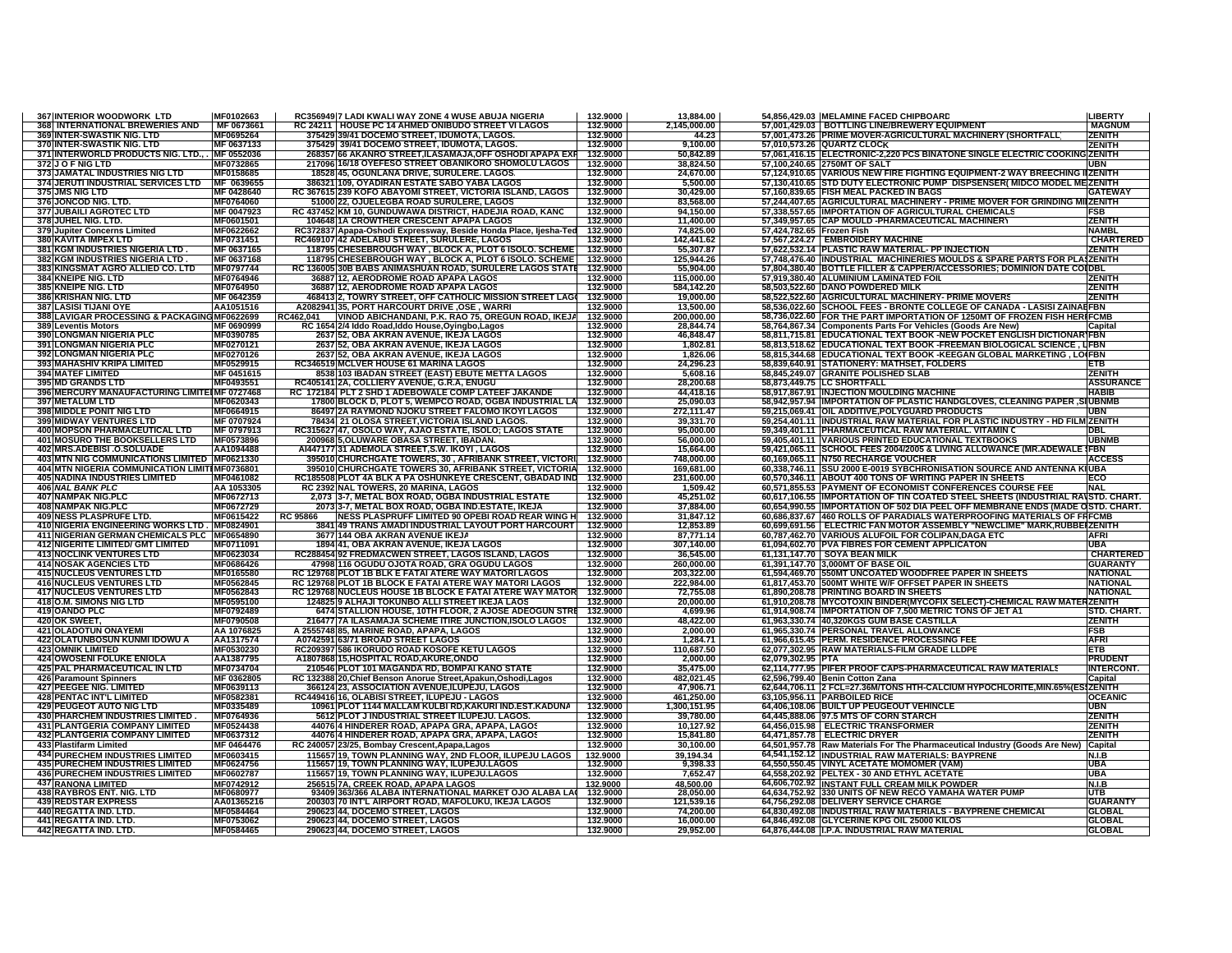| 367 INTERIOR WOODWORK LTD                                                          | MF0102663               | RC356949 7 LADI KWALI WAY ZONE 4 WUSE ABUJA NIGERIA                                                                      | 132.9000             | 13,884.00                |                           | 54,856,429.03 MELAMINE FACED CHIPBOARD                                                                                                                | <b>LIBERTY</b>               |
|------------------------------------------------------------------------------------|-------------------------|--------------------------------------------------------------------------------------------------------------------------|----------------------|--------------------------|---------------------------|-------------------------------------------------------------------------------------------------------------------------------------------------------|------------------------------|
| 368 INTERNATIONAL BREWERIES AND                                                    | MF 0673661              | RC 24211 HOUSE PC 14 AHMED ONIBUDO STREET VI LAGOS                                                                       | 132.9000             | 2,145,000.00             |                           | 57,001,429.03 BOTTLING LINE/BREWERY EQUIPMENT                                                                                                         | <b>MAGNUM</b>                |
| <b>369 INTER-SWASTIK NIG. LTD</b>                                                  | MF0695264               | 375429 39/41 DOCEMO STREET, IDUMOTA, LAGOS.                                                                              | 132.9000             | 44.23                    |                           | 57,001,473.26 PRIME MOVER-AGRICULTURAL MACHINERY (SHORTFALL                                                                                           | ZENITH                       |
| <b>370 INTER-SWASTIK NIG. LTD</b>                                                  | MF 0637133              | 375429 39/41 DOCEMO STREET, IDUMOTA, LAGOS                                                                               | 132.9000             | 9,100.00                 |                           | 57,010,573.26 QUARTZ CLOCK                                                                                                                            | ZENITH                       |
| 371 INTERWORLD PRODUCTS NIG. LTD., . MF 0552036                                    |                         | 268357 66 AKANRO STREET, ILASAMAJA, OFF OSHODI APAPA EXP                                                                 | 132.9000             | 50.842.89                |                           | 57,061,416.15 ELECTRONIC-2,220 PCS BINATONE SINGLE ELECTRIC COOKING ZENITH                                                                            |                              |
| <b>372JJ OF NIG LTD</b>                                                            | MF0732865               | 217096 16/18 OYEFESO STREET OBANIKORO SHOMOLU LAGOS                                                                      | 132.9000             | 38.824.50                |                           | 57,100,240.65 2750MT OF SALT                                                                                                                          | UBN                          |
| <b>373 JAMATAL INDUSTRIES NIG LTD</b><br><b>374 JERUTI INDUSTRIAL SERVICES LTD</b> | MF0158685<br>MF 0639655 | 18528 45, OGUNLANA DRIVE, SURULERE. LAGOS.<br>386321 109, OYADIRAN ESTATE SABO YABA LAGOS                                | 132.9000<br>132.9000 | 24,670.00<br>5.500.00    |                           | 57,124,910.65 VARIOUS NEW FIRE FIGHTING EQUIPMENT-2 WAY BREECHING IIZENITH<br>57,130,410.65 STD DUTY ELECTRONIC PUMP DISPSENSER( MIDCO MODEL MEZENITH |                              |
| 375 JMS NIG LTD                                                                    | MF 0428640              | RC 367615 239 KOFO ABAYOMI STREET, VICTORIA ISLAND, LAGOS                                                                | 132.9000             | 30,429.00                |                           | 57,160,839.65 FISH MEAL PACKED IN BAGS                                                                                                                | <b>GATEWAY</b>               |
| 376 JONCOD NIG. LTD                                                                | MF0764060               | 51000 22, OJUELEGBA ROAD SURULERE, LAGOS                                                                                 | 132.9000             | 83,568.00                |                           | 57,244,407.65 AGRICULTURAL MACHINERY - PRIME MOVER FOR GRINDING MILZENITH                                                                             |                              |
| <b>377 JUBAILI AGROTEC LTD</b>                                                     | MF 0047923              | RC 437452 KM 10, GUNDUWAWA DISTRICT, HADEJIA ROAD, KANC                                                                  | 132.9000             | 94,150.00                |                           | 57,338,557.65 IMPORTATION OF AGRICULTURAL CHEMICALS                                                                                                   | FSB                          |
| 378 JUHEL NIG. LTD.                                                                | MF0601501               | <b>104648 1A CROWTHER CRESCENT APAPA LAGOS</b>                                                                           | 132.9000             | 11,400.00                |                           | 57,349,957.65 CAP MOULD - PHARMACEUTICAL MACHINERY                                                                                                    | <b>ZENITH</b>                |
| 379 Jupiter Concerns Limited                                                       | MF0622662               | RC372837 Apapa-Oshodi Expressway, Beside Honda Place, Ijesha-Ted                                                         | 132.9000             | 74,825.00                | 57,424,782.65 Frozen Fish |                                                                                                                                                       | <b>NAMBL</b>                 |
| 380 KAVITA IMPEX LTD                                                               | MF0731451               | RC469107 42 ADELABU STREET, SURULERE, LAGOS                                                                              | 132.9000             | 142,441.62               |                           | 57,567,224.27 EMBROIDERY MACHINE                                                                                                                      | <b>CHARTERED</b>             |
| 381 KGM INDUSTRIES NIGERIA LTD                                                     | MF 0637165              | 118795 CHESEBROUGH WAY, BLOCK A, PLOT 6 ISOLO. SCHEME                                                                    | 132.9000             | 55,307.87                |                           | 57,622,532.14 PLASTIC RAW MATERIAL- PP INJECTION                                                                                                      | ZENITH                       |
| 382 KGM INDUSTRIES NIGERIA LTD.                                                    | MF 0637168              | 118795 CHESEBROUGH WAY, BLOCK A, PLOT 6 ISOLO. SCHEME   132.9000                                                         |                      | 125,944.26               |                           | 57,748,476.40 INDUSTRIAL MACHINERIES MOULDS & SPARE PARTS FOR PLA ZENITH                                                                              |                              |
| 383 KINGSMAT AGRO ALLIED CO. LTD                                                   | MF0797744               | RC 136005 30B BABS ANIMASHUAN ROAD, SURULERE LAGOS STATE 132.9000                                                        |                      | 55,904.00                |                           | 57,804,380.40 BOTTLE FILLER & CAPPER/ACCESSORIES; DOMINION DATE COIDBL                                                                                |                              |
| 384 KNEIPE NIG. LTD                                                                | MF0764946               | 36887 12, AERODROME ROAD APAPA LAGOS                                                                                     | 132.9000             | 115,000.00               |                           | 57,919,380.40 ALUMINIUM LAMINATED FOIL                                                                                                                | <b>ZENITH</b>                |
| 385 KNEIPE NIG. LTD                                                                | MF0764950               | 36887 12, AERODROME ROAD APAPA LAGOS                                                                                     | 132,9000             | 584,142.20               |                           | 58,503,522.60 DANO POWDERED MILK                                                                                                                      | <b>ZENITH</b>                |
| 386 KRISHAN NIG. LTD                                                               | MF 0642359              | 468413 2, TOWRY STREET, OFF CATHOLIC MISSION STREET LAG( 132.9000                                                        |                      | 19,000.00                |                           | 58,522,522.60 AGRICULTURAL MACHINERY- PRIME MOVERS                                                                                                    | <b>ZENITH</b>                |
| 387 LASISI TIJANI OYE                                                              | AA1051516               | A2082941 35, PORT HARCOURT DRIVE , OSE, WARRI                                                                            | 132.9000             | 13,500.00                |                           | 58,536,022.60 SCHOOL FEES - BRONTE COLLEGE OF CANADA - LASISI ZAINAEFBN                                                                               |                              |
| 388 LAVIGAR PROCESSING & PACKAGING MF0622699                                       |                         | VINOD ABICHANDANI, P.K. RAO 75, OREGUN ROAD, IKEJA 132.9000<br>RC462.041                                                 |                      | 200,000.00               |                           | 58,736,022.60 FOR THE PART IMPORTATION OF 1250MT OF FROZEN FISH HERIFCMB                                                                              | Capital                      |
| 389 Leventis Motors<br>390 LONGMAN NIGERIA PLC                                     | MF 0690999<br>MF0390785 | RC 1654 2/4 Iddo Road, Iddo House, Oyingbo, Lagos<br>2637 52, OBA AKRAN AVENUE, IKEJA LAGOS                              | 132.9000<br>132.9000 | 28,844.74<br>46.848.47   |                           | 58,764,867.34 Components Parts For Vehicles (Goods Are New)<br>58,811,715.81 EDUCATIONAL TEXT BOOK -NEW POCKET ENGLISH DICTIONAR FBN                  |                              |
| <b>391 LONGMAN NIGERIA PLC</b>                                                     | MF0270121               | 2637 52, OBA AKRAN AVENUE, IKEJA LAGOS                                                                                   | 132.9000             | 1,802.81                 |                           | 58,813,518.62 EDUCATIONAL TEXT BOOK -FREEMAN BIOLOGICAL SCIENCE, LIFBN                                                                                |                              |
| <b>392 LONGMAN NIGERIA PLC</b>                                                     | MF0270126               | 2637 52, OBA AKRAN AVENUE, IKEJA LAGOS                                                                                   | 132.9000             | 1,826.06                 |                           | 58,815,344.68 EDUCATIONAL TEXT BOOK -KEEGAN GLOBAL MARKETING , LO(FBN                                                                                 |                              |
| 393 MAHASHIV KRIPA LIMITED                                                         | MF0529915               | RC346519 MCLVER HOUSE 61 MARINA LAGOS                                                                                    | 132.9000             | 24,296.23                |                           | 58,839,640.91 STATIONERY: MATHSET, FOLDERS                                                                                                            | <b>ETB</b>                   |
| <b>394 MATEF LIMITED</b>                                                           | MF 0451615              | 8538 103 IBADAN STREET (EAST) EBUTE METTA LAGOS                                                                          | 132.9000             | 5,608.16                 |                           | 58,845,249.07 GRANITE POLISHED SLAB                                                                                                                   | <b>ZENITH</b>                |
| <b>395 MD GRANDS LTD</b>                                                           | MF0493551               | RC405141 2A, COLLIERY AVENUE, G.R.A, ENUGU                                                                               | 132.9000             | 28,200.68                |                           | 58,873,449.75 LC SHORTFALL                                                                                                                            | <b>ASSURANCE</b>             |
| 396 MERCURY MANAUFACTURING LIMITEIMF 0727468                                       |                         | RC 172184 PLT 2 SHD 1 ADEBOWALE COMP LATEEF JAKANDE                                                                      | 132.9000             | 44,418.16                |                           | 58,917,867.91 INJECTION MOULDING MACHINE                                                                                                              | HABIB                        |
| <b>397 METALUM LTD</b>                                                             | MF0620343               | 17800 BLOCK D, PLOT 5, WEMPCO ROAD, OGBA INDUSTRIAL LA                                                                   | 132.9000             | 25,090.03                |                           | 58,942,957.94 IMPORTATION OF PLASTIC HANDGLOVES, CLEANING PAPER, SIUBNMB                                                                              |                              |
| <b>398 MIDDLE PONIT NIG LTD</b>                                                    | MF0664915               | 86497 2A RAYMOND NJOKU STREET FALOMO IKOYI LAGOS                                                                         | 132.9000             | 272,111.47               |                           | 59,215,069.41 OIL ADDITIVE, POLYGUARD PRODUCTS                                                                                                        | UBN                          |
| 399 MIDWAY VENTURES LTD                                                            | MF 0707924              | 78434 21 OLOSA STREET, VICTORIA ISLAND LAGOS.                                                                            | 132.9000             | 39,331.70                |                           | 59,254,401.11 INDUSTRIAL RAW MATERIAL FOR PLASTIC INDUSTRY - HD FILM ZENITH                                                                           |                              |
| <b>400 MOPSON PHARMACEUTICAL LTD</b>                                               | MF 0797913              | RC315627 47, OSOLO WAY, AJAO ESTATE, ISOLO; LAGOS STATE                                                                  | 132.9000             | 95,000.00                |                           | 59,349,401.11 PHARMACEUTICAL RAW MATERIAL. VITAMIN C                                                                                                  | <b>DBL</b>                   |
| <b>401 MOSURO THE BOOKSELLERS LTD</b>                                              | MF0573896               | 200968 5, OLUWARE OBASA STREET, IBADAN.                                                                                  | 132.9000             | 56,000.00                |                           | 59,405,401.11 VARIOUS PRINTED EDUCATIONAL TEXTBOOKS                                                                                                   | <b>UBNMB</b>                 |
| 402 MRS.ADEBISI .O.SOLUADE                                                         | AA1094488               | AI447177 31 ADEMOLA STREET, S.W. IKOYI, LAGOS                                                                            | 132.9000             | 15,664.00                |                           | 59,421,065.11 SCHOOL FEES 2004/2005 & LIVING ALLOWANCE (MR.ADEWALE (FBN                                                                               |                              |
| 403 MTN NIG COMMUNICATIONS LIMITED MF0621330                                       |                         | 395010 CHURCHGATE TOWERS, 30, AFRIBANK STREET, VICTORI                                                                   | 132.9000<br>132,9000 | 748.000.00<br>169.681.00 |                           | 60,169,065.11 N750 RECHARGE VOUCHER                                                                                                                   | <b>ACCESS</b><br><b>JUBA</b> |
| 404 MTN NIGERIA COMMUNICATION LIMITEMF0736801                                      |                         | 395010 CHURCHGATE TOWERS 30, AFRIBANK STREET, VICTORIA                                                                   |                      |                          |                           | 60,338,746.11 SSU 2000 E-0019 SYBCHRONISATION SOURCE AND ANTENNA K                                                                                    |                              |
| <b>405 NADINA INDUSTRIES LIMITED</b><br><b>406 NAL BANK PLC</b>                    | MF0461082<br>AA 1053305 | RC185508 PLOT 4A BLK A PA OSHUNKEYE CRESCENT, GBADAD IND<br>RC 2392 NAL TOWERS, 20 MARINA, LAGOS                         | 132.9000<br>132.9000 | 231.600.00<br>1,509.42   |                           | 60,570,346.11 ABOUT 400 TONS OF WRITING PAPER IN SHEETS<br>60,571,855.53 PAYMENT OF ECONOMIST CONFERENCES COURSE FEE                                  | ECO<br><b>NAL</b>            |
| <b>407 NAMPAK NIG.PLC</b>                                                          | MF0672713               | 2,073 3-7, METAL BOX ROAD, OGBA INDUSTRIAL ESTATE                                                                        | 132.9000             | 45,251.02                |                           | 60,617,106.55  IMPORTATION OF TIN COATED STEEL SHEETS (INDUSTRIAL RA\STD. CHART.                                                                      |                              |
| <b>408 NAMPAK NIG.PLC</b>                                                          | MF0672729               | 2073 3-7, METAL BOX ROAD, OGBA IND ESTATE, IKEJA                                                                         | 132.9000             | 37,884.00                |                           | 60,654,990.55 IMPORTATION OF 502 DIA PEEL OFF MEMBRANE ENDS (MADE OSTD. CHART.                                                                        |                              |
| 409 NESS PLASPRUFE LTD.                                                            | MF0615422               | NESS PLASPRUFF LIMITED 90 OPEBI ROAD REAR WING H<br><b>RC 95866</b>                                                      | 132.9000             | 31.847.12                |                           | 60,686,837.67 460 ROLLS OF PARADIALS WATERPROOFING MATERIALS OF FFFCMB                                                                                |                              |
| 410 NIGERIA ENGINEERING WORKS LTD. MF0824901                                       |                         | 3841 49 TRANS AMADI INDUSTRIAL LAYOUT PORT HARCOURT                                                                      | 132.9000             | 12,853.89                |                           | 60,699,691.56 ELECTRIC FAN MOTOR ASSEMBLY "NEWCLIME" MARK, RUBBEIZENITH                                                                               |                              |
| 411 NIGERIAN GERMAN CHEMICALS PLC MF0654890                                        |                         | 3677 144 OBA AKRAN AVENUE IKEJA                                                                                          | 132.9000             | 87,771.14                |                           | 60,787,462.70 VARIOUS ALUFOIL FOR COLIPAN,DAGA ETC                                                                                                    | AFRI                         |
| <b>412 NIGERITE LIMITED/ GMT LIMITED</b>                                           | MF0711091               | 1894 41, OBA AKRAN AVENUE, IKEJA LAGOS                                                                                   | 132.9000             | 307,140.00               |                           | 61,094,602.70 PVA FIBRES FOR CEMENT APPLICATON                                                                                                        | <b>UBA</b>                   |
| <b>413 NOCLINK VENTURES LTD</b>                                                    | MF0623034               | RC288454 92 FREDMACWEN STREET, LAGOS ISLAND, LAGOS                                                                       | 132.9000             | 36,545.00                |                           | 61,131,147.70 SOYA BEAN MILK                                                                                                                          | <b>CHARTERED</b>             |
| <b>414 NOSAK AGENCIES LTD</b>                                                      | MF0686426               | 47998 116 OGUDU OJOTA ROAD, GRA OGUDU LAGOS                                                                              | 132.9000             | 260,000.00               |                           | 61,391,147.70 3,000MT OF BASE OIL                                                                                                                     | GUARANTY                     |
| <b>415 NUCLEUS VENTURES LTD</b>                                                    | MF0165580               | RC 129768 PLOT 1B BLK E FATAI ATERE WAY MATORI LAGOS                                                                     | 132.9000             | 203,322.00               |                           | 61,594,469.70 550MT UNCOATED WOODFREE PAPER IN SHEETS                                                                                                 | <b>NATIONAL</b>              |
| <b>416 NUCLEUS VENTURES LTD</b>                                                    | MF0562845               | RC 129768 PLOT 1B BLOCK E FATAI ATERE WAY MATORI LAGOS                                                                   | 132.9000             | 222.984.00               |                           | 61,817,453.70 500MT WHITE W/F OFFSET PAPER IN SHEETS                                                                                                  | <b>NATIONAL</b>              |
| <b>417 NUCLEUS VENTURES LTD</b>                                                    | MF0562843               | RC 129768 NUCLEUS HOUSE 1B BLOCK E FATAI ATERE WAY MATOR 132.9000                                                        |                      | 72,755.08                |                           | 61,890,208.78 PRINTING BOARD IN SHEETS                                                                                                                | <b>NATIONAL</b>              |
| 418 O.M. SIMONS NIG LTD                                                            | MF0595100<br>MF0792489  | 124825 9 ALHAJI TOKUNBO ALLI STREET IKEJA LAOS                                                                           | 132.9000             | 20,000.00<br>4.699.96    |                           | 61,910,208.78 MYCOTOXIN BINDER(MYCOFIX SELECT)-CHEMICAL RAW MATE                                                                                      | <b>RZENITH</b>               |
| 419 OANDO PLC<br>420 OK SWEET,                                                     | MF0790508               | 6474 STALLION HOUSE, 10TH FLOOR, 2 AJOSE ADEOGUN STRE 132.9000<br>216477 7A ILASAMAJA SCHEME ITIRE JUNCTION, ISOLO LAGOS | 132.9000             | 48,422.00                |                           | 61,914,908.74 IMPORTATION OF 7,500 METRIC TONS OF JET A1<br>61,963,330.74 40,320KGS GUM BASE CASTILLA                                                 | STD. CHART.<br><b>ZENITH</b> |
| <b>421 OLADOTUN ONAYEMI</b>                                                        | AA 1076825              | A 2555748 85. MARINE ROAD, APAPA, LAGOS                                                                                  | 132.9000             | 2.000.00                 |                           | 61,965,330.74 PERSONAL TRAVEL ALLOWANCE                                                                                                               | <b>FSB</b>                   |
| 422 OLATUNBOSUN KUNMI IDOWU A                                                      | AA1317574               | A0742591 63/71 BROAD STREET LAGOS                                                                                        | 132.9000             | 1,284.71                 |                           | 61,966,615.45 PERM. RESIDENCE PROCESSING FEE                                                                                                          | <b>AFRI</b>                  |
| <b>423 OMNIK LIMITED</b>                                                           | MF0530230               | RC209397 586 IKORUDO ROAD KOSOFE KETU LAGOS                                                                              | 132.9000             | 110,687.50               |                           | 62,077,302.95 RAW MATERIALS-FILM GRADE LLDPE                                                                                                          | <b>ETB</b>                   |
| <b>424 OWOSENI FOLUKE ENIOLA</b>                                                   | AA1387795               | A1807868 15, HOSPITAL ROAD, AKURE, ONDO                                                                                  | 132.9000             | 2,000.00                 | 62,079,302.95 PTA         |                                                                                                                                                       | <b>PRUDENT</b>               |
| 425 PAL PHARMACEUTICAL IN LTD                                                      | MF0734704               | 210546 PLOT 101 MAGANDA RD, BOMPAI KANO STATE                                                                            | 132.9000             | 35,475.00                |                           | 62,114,777.95 PIFER PROOF CAPS-PHARMACEUTICAL RAW MATERIALS                                                                                           | <b>INTERCONT.</b>            |
| 426 Paramount Spinners                                                             | MF 0362805              | RC 132388 20, Chief Benson Anorue Street, Apakun, Oshodi, Lagos                                                          | 132.9000             | 482,021.45               |                           | 62,596,799.40 Benin Cotton Zana                                                                                                                       | Capital                      |
| <b>427 PEEGEE NIG. LIMITED</b>                                                     | MF0639113               | 366124 23, ASSOCIATION AVENUE, ILUPEJU, LAGOS                                                                            | 132.9000             | 47,906.71                |                           | 62,644,706.11 2 FCL=27.36M/TONS HTH-CALCIUM HYPOCHLORITE,MIN.65%(ES\ZENITH                                                                            |                              |
| <b>428 PENTAC INT'L LIMITED</b>                                                    | MF0582381               | RC449416 16, OLABISI STREET, ILUPEJU - LAGOS                                                                             | 132.9000             | 461,250.00               |                           | 63,105,956.11 PARBOILED RICE                                                                                                                          | <b>OCEANIC</b>               |
| <b>429 PEUGEOT AUTO NIG LTD</b>                                                    | MF0335489               | 10961 PLOT 1144 MALLAM KULBI RD, KAKURI IND.EST. KADUNA                                                                  | 132.9000             | 1,300,151.95             |                           | 64,406,108.06 BUILT UP PEUGEOUT VEHINCLE                                                                                                              | UBN                          |
| <b>430 PHARCHEM INDUSTRIES LIMITED</b>                                             | MF0764936               | 5612 PLOT J INDUSTRIAL STREET ILUPEJU. LAGOS.                                                                            | 132.9000             | 39,780.00                |                           | 64,445,888.06 97.5 MTS OF CORN STARCH                                                                                                                 | <b>ZENITH</b>                |
| 431 PLANTGERIA COMPANY LIMITED                                                     | MF0524438               | 44076 4 HINDERER ROAD, APAPA GRA, APAPA, LAGOS                                                                           | 132.9000             | 10,127.92                |                           | 64,456,015.98 ELECTRIC TRANSFORMER                                                                                                                    | ZENITH                       |
| 432 PLANTGERIA COMPANY LIMITED                                                     | MF0637312               | 44076 4 HINDERER ROAD, APAPA GRA, APAPA, LAGOS                                                                           | 132.9000             | 15,841.80                |                           | 64,471,857.78 ELECTRIC DRYER                                                                                                                          | <b>ZENITH</b>                |
| 433 Plastifarm Limited                                                             | MF 0464476              | RC 240057 23/25, Bombay Crescent, Apapa, Lagos                                                                           | 132.9000             | 30,100.00                |                           | 64,501,957.78 Raw Materials For The Pharmaceutical Industry (Goods Are New)                                                                           | Capital                      |
| <b>434 PURECHEM INDUSTRIES LIMITED</b><br><b>435 PURECHEM INDUSTRIES LIMITED</b>   | MF0603415<br>MF0624756  | 115657 19, TOWN PLANNING WAY, 2ND FLOOR, ILUPEJU LAGOS<br>115657 19, TOWN PLANNING WAY, ILUPEJU.LAGOS                    | 132.9000<br>132.9000 | 39,194.34<br>9.398.33    |                           | 64,541,152.12 INDUSTRIAL RAW MATERIALS: BAYPRENE<br>64,550,550.45 VINYL ACETATE MOMOMER (VAM)                                                         | N.I.B<br>UBA                 |
| <b>436 PURECHEM INDUSTRIES LIMITED</b>                                             | MF0602787               | 115657 19, TOWN PLANNING WAY, ILUPEJU.LAGOS                                                                              | 132.9000             | 7,652.47                 |                           | 64,558,202.92 PELTEX - 30 AND ETHYL ACETATE                                                                                                           | UBA                          |
| <b>437 RANONA LIMITED</b>                                                          | MF0742912               | 256515 7A, CREEK ROAD, APAPA LAGOS                                                                                       | 132.9000             | 48,500.00                |                           | 64,606,702.92 INSTANT FULL CREAM MILK POWDER                                                                                                          | N.I.B                        |
| 438 RAYBROS ENT. NIG. LTD                                                          | MF0680977               | 93409 363/366 ALABA INTERNATIONAL MARKET OJO ALABA LA(                                                                   | 132.9000             | 28,050.00                |                           | 64,634,752.92 330 UNITS OF NEW RECO YAMAHA WATER PUMP                                                                                                 | UTB                          |
| <b>439 REDSTAR EXPRESS</b>                                                         | AA01365216              | 200303 70 INT'L AIRPORT ROAD, MAFOLUKU, IKEJA LAGOS                                                                      | 132.9000             | 121,539.16               |                           | 64,756,292.08 DELIVERY SERVICE CHARGE                                                                                                                 | <b>GUARANTY</b>              |
| 440 REGATTA IND. LTD.                                                              | MF0584464               | 290623 44, DOCEMO STREET, LAGOS                                                                                          | 132.9000             | 74,200.00                |                           | 64,830,492.08 INDUSTRIAL RAW MATERIALS - BAYPRENE CHEMICAL                                                                                            | <b>GLOBAL</b>                |
| 441 REGATTA IND. LTD.                                                              | MF0753062               | 290623 44, DOCEMO STREET, LAGOS                                                                                          | 132.9000             | 16,000.00                |                           | 64,846,492.08 GLYCERINE KPG OIL 25000 KILOS                                                                                                           | <b>GLOBAL</b>                |
| 442 REGATTA IND. LTD.                                                              | MF0584465               | 290623 44, DOCEMO STREET, LAGOS                                                                                          | 132.9000             | 29,952.00                |                           | 64,876,444.08 I.P.A. INDUSTRIAL RAW MATERIAL                                                                                                          | <b>GLOBAL</b>                |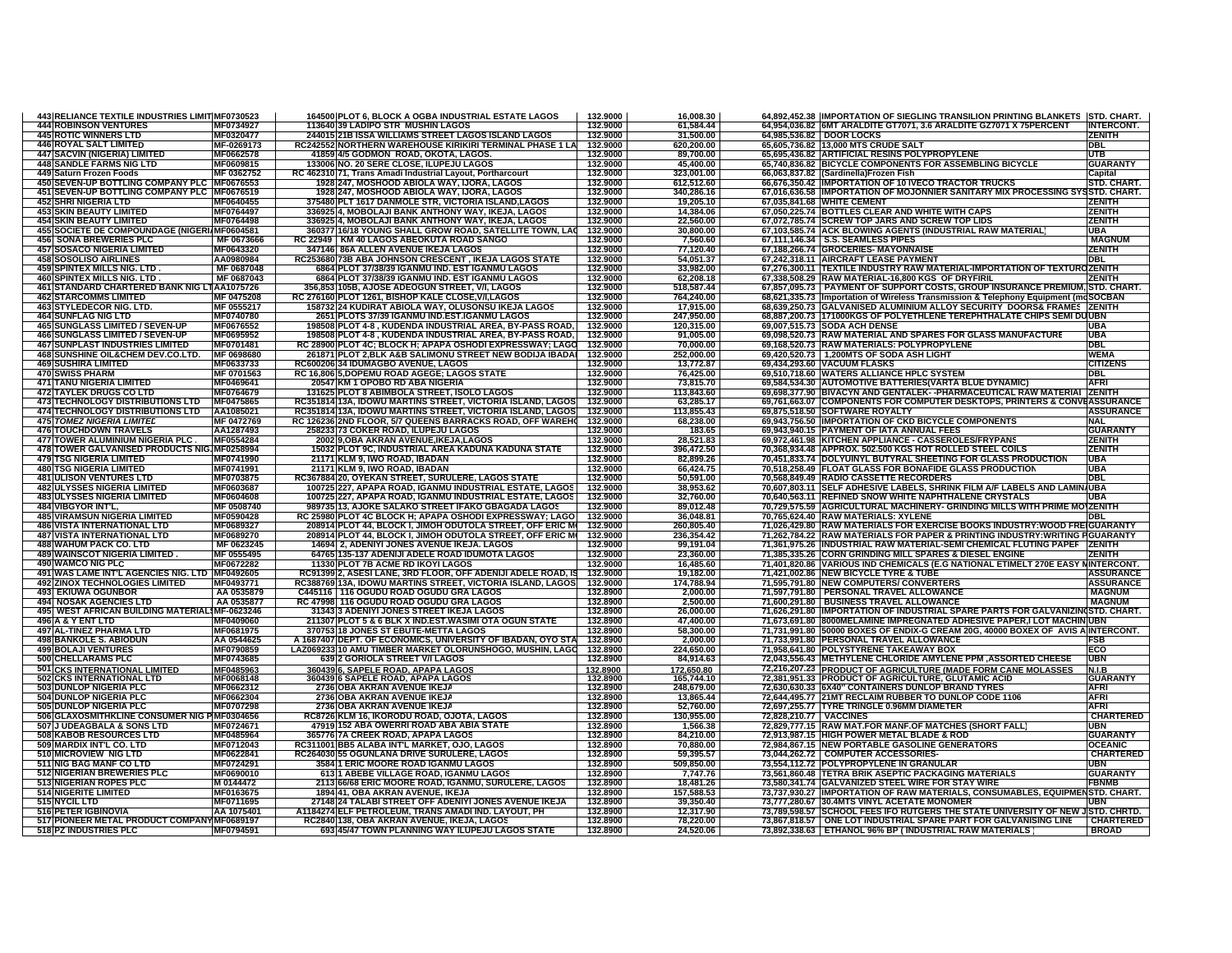| 443 RELIANCE TEXTILE INDUSTRIES LIMIT MF0730523                            |                           | 164500 PLOT 6, BLOCK A OGBA INDUSTRIAL ESTATE LAGOS                                                                                   | 132.9000             | 16,008.30               |                        | 64,892,452.38 IMPORTATION OF SIEGLING TRANSILION PRINTING BLANKETS STD. CHART.                                                                      |                                |
|----------------------------------------------------------------------------|---------------------------|---------------------------------------------------------------------------------------------------------------------------------------|----------------------|-------------------------|------------------------|-----------------------------------------------------------------------------------------------------------------------------------------------------|--------------------------------|
| <b>444 ROBINSON VENTURES</b>                                               | MF0734927                 | 113640 39 LADIPO STR MUSHIN LAGOS                                                                                                     | 132.9000             | 61,584.44               |                        | 64,954,036.82 6MT ARALDITE GT7071, 3.6 ARALDITE GZ7071 X 75PERCENT                                                                                  | <b>INTERCONT.</b>              |
| <b>445 ROTIC WINNERS LTD</b>                                               | MF0320477                 | 244015 21B ISSA WILLIAMS STREET LAGOS ISLAND LAGOS                                                                                    | 132.9000             | 31,500.00               |                        | 64,985,536.82 DOOR LOCKS                                                                                                                            | <b>ZENITH</b>                  |
| <b>446 ROYAL SALT LIMITED</b>                                              | MF-0269173                | RC242552 NORTHERN WAREHOUSE KIRIKIRI TERMINAL PHASE 1 LA 132.9000                                                                     |                      | 620,200.00              |                        | 65,605,736.82 13,000 MTS CRUDE SALT                                                                                                                 | <b>DBL</b><br>UTB              |
| <b>447 SACVIN (NIGERIA) LIMITED</b><br><b>448 SANDLE FARMS NIG LTD</b>     | MF0662578<br>MF0609815    | 41859 4/5 GODMON ROAD, OKOTA, LAGOS.<br>133006 NO. 20 SERE CLOSE, ILUPEJU LAGOS                                                       | 132.9000<br>132.9000 | 89,700.00<br>45,400.00  |                        | 65,695,436.82 ARTIFICIAL RESINS POLYPROPYLENE<br>65,740,836.82 BICYCLE COMPONENTS FOR ASSEMBLING BICYCLE                                            | <b>GUARANTY</b>                |
| 449 Saturn Frozen Foods                                                    | MF 0362752                | RC 462310 71, Trans Amadi Industrial Layout, Portharcourt                                                                             | 132.9000             | 323.001.00              |                        | 66,063,837.82 (Sardinella)Frozen Fish                                                                                                               | Capital                        |
| 450 SEVEN-UP BOTTLING COMPANY PLC                                          | MF0676553                 | 1928 247, MOSHOOD ABIOLA WAY, IJORA, LAGOS                                                                                            | 132.9000             | 612,512.60              |                        | 66,676,350.42 IMPORTATION OF 10 IVECO TRACTOR TRUCKS                                                                                                | STD. CHART.                    |
| 451 SEVEN-UP BOTTLING COMPANY PLC MF0676519                                |                           | 1928 247, MOSHOOD ABIOLA WAY, IJORA, LAGOS                                                                                            | 132.9000             | 340,286.16              |                        | 67,016,636.58 IMPORTATION OF MOJONNIER SANITARY MIX PROCESSING SYSSTD. CHART.                                                                       |                                |
| <b>452 SHRI NIGERIA LTD</b>                                                | MF0640455                 | 375480 PLT 1617 DANMOLE STR, VICTORIA ISLAND,LAGOS                                                                                    | 132.9000             | 19,205.10               |                        | 67,035,841.68 WHITE CEMENT                                                                                                                          | <b>ZENITH</b>                  |
| <b>453 SKIN BEAUTY LIMITED</b>                                             | MF0764497                 | 336925 4, MOBOLAJI BANK ANTHONY WAY, IKEJA, LAGOS                                                                                     | 132.9000             | 14.384.06               |                        | 67,050,225.74 BOTTLES CLEAR AND WHITE WITH CAPS                                                                                                     | <b>ZENITH</b>                  |
| <b>454 SKIN BEAUTY LIMITED</b>                                             | MF0764498                 | 336925 4, MOBOLAJI BANK ANTHONY WAY, IKEJA, LAGOS                                                                                     | 132.9000             | 22.560.00               |                        | 67,072,785.74 SCREW TOP JARS AND SCREW TOP LIDS                                                                                                     | <b>ZENITH</b>                  |
| 455 SOCIETE DE COMPOUNDAGE (NIGERIAMF0604581                               |                           | 360377 16/18 YOUNG SHALL GROW ROAD, SATELLITE TOWN, LAC                                                                               | 132.9000             | 30,800.00               |                        | 67,103,585.74 ACK BLOWING AGENTS (INDUSTRIAL RAW MATERIAL                                                                                           | <b>UBA</b>                     |
| <b>456 SONA BREWERIES PLC</b><br><b>457 SOSACO NIGERIA LIMITED</b>         | MF 0673666<br>MF0643320   | RC 22949   KM 40 LAGOS ABEOKUTA ROAD SANGO<br>347146 86A ALLEN AVENUE IKEJA LAGOS                                                     | 132.9000<br>132.9000 | 7.560.60<br>77,120.40   |                        | 67.111.146.34 S.S. SEAMLESS PIPES<br>67,188,266.74 GROCERIES-MAYONNAISE                                                                             | <b>MAGNUM</b><br><b>ZENITH</b> |
| <b>458 SOSOLISO AIRLINES</b>                                               | AA0980984                 | RC253680 73B ABA JOHNSON CRESCENT, IKEJA LAGOS STATE                                                                                  | 132.9000             | 54,051.37               |                        | 67,242,318.11 AIRCRAFT LEASE PAYMENT                                                                                                                | DBL                            |
| <b>459 SPINTEX MILLS NIG. LTD</b>                                          | MF 0687048                | 6864 PLOT 37/38/39 IGANMU IND. EST IGANMU LAGOS                                                                                       | 132.9000             | 33,982.00               |                        | 67,276,300.11 TEXTILE INDUSTRY RAW MATERIAL-IMPORTATION OF TEXTURGZENITH                                                                            |                                |
| 460 SPINTEX MILLS NIG. LTD                                                 | MF 0687043                | 6864 PLOT 37/38/39 IGANMU IND. EST IGANMU LAGOS                                                                                       | 132.9000             | 62,208.18               |                        | 67,338,508.29 RAW MATERIAL-16,800 KGS OF DRYFIRIL                                                                                                   | <b>ZENITH</b>                  |
| 461 STANDARD CHARTERED BANK NIG LTAA1075726                                |                           | 356,853 105B, AJOSE ADEOGUN STREET, V/I, LAGOS                                                                                        | 132.9000             | 518,587.44              |                        | 67,857,095.73 PAYMENT OF SUPPORT COSTS, GROUP INSURANCE PREMIUM                                                                                     | STD. CHART.                    |
| <b>462 STARCOMMS LIMITED</b>                                               | MF 0475208                | RC 276160 PLOT 1261, BISHOP KALE CLOSE, V/I, LAGOS                                                                                    | 132.9000             | 764,240.00              |                        | 68,621,335.73   Importation of Wireless Transmission & Telephony Equipment (mdSOCBAN                                                                |                                |
| 463 STYLEDECOR NIG. LTD.                                                   | MF 0555217                | 158732 24 KUDIRAT ABIOLA WAY, OLUSONSU IKEJA LAGOS                                                                                    | 132.9000             | 17,915.00               |                        | 68,639,250.73 GALVANISED ALUMINIUM ALLOY SECURITY DOORS& FRAMES ZENITH                                                                              |                                |
| <b>464 SUNFLAG NIG LTD</b>                                                 | MF0740780                 | 2651 PLOTS 37/39 IGANMU IND.EST.IGANMU LAGOS                                                                                          | 132.9000             | 247,950.00              |                        | 68,887,200.73 171000KGS OF POLYETHLENE TEREPHTHALATE CHIPS SEMI DUUBN                                                                               |                                |
| 465 SUNGLASS LIMITED / SEVEN-UP                                            | MF0676552                 | 198508 PLOT 4-8, KUDENDA INDUSTRIAL AREA, BY-PASS ROAD,                                                                               | 132.9000             | 120,315.00              |                        | 69,007,515.73 SODA ACH DENSE                                                                                                                        | <b>UBA</b><br><b>UBA</b>       |
| 466 SUNGLASS LIMITED / SEVEN-UP<br><b>467 SUNPLAST INDUSTRIES LIMITED</b>  | MF0695952<br>MF0701481    | 198508 PLOT 4-8, KUDENDA INDUSTRIAL AREA, BY-PASS ROAD, 132.9000<br>RC 28900 PLOT 4C; BLOCK H; APAPA OSHODI EXPRESSWAY; LAGO 132.9000 |                      | 91,005.00<br>70,000.00  |                        | 69,098,520.73 RAW MATERIAL AND SPARES FOR GLASS MANUFACTURE<br>69,168,520.73 RAW MATERIALS: POLYPROPYLENE                                           | <b>DBL</b>                     |
| 468 SUNSHINE OIL& CHEM DEV.CO.LTD.                                         | MF 0698680                | 261871 PLOT 2, BLK A&B SALIMONU STREET NEW BODIJA IBADAI 132.9000                                                                     |                      | 252,000.00              |                        | 69,420,520.73 1,200MTS OF SODA ASH LIGHT                                                                                                            | <b>WEMA</b>                    |
| <b>469 SUSHIRA LIMITED</b>                                                 | MF0633733                 | RC600206 34 IDUMAGBO AVENUE, LAGOS                                                                                                    | 132.9000             | 13,772.87               |                        | 69,434,293.60 VACUUM FLASKS                                                                                                                         | <b>CITIZENS</b>                |
| <b>470 SWISS PHARM</b>                                                     | MF 0701563                | RC 16,806 5,DOPEMU ROAD AGEGE; LAGOS STATE                                                                                            | 132,9000             | 76.425.00               |                        | 69.510.718.60 WATERS ALLIANCE HPLC SYSTEM                                                                                                           | <b>DBL</b>                     |
| <b>471 TANU NIGERIA LIMITED</b>                                            | MF0469641                 | 20547 KM 1 OPOBO RD ABA NIGERIA                                                                                                       | 132.9000             | 73,815.70               |                        | 69,584,534.30 AUTOMOTIVE BATTERIES(VARTA BLUE DYNAMIC                                                                                               | <b>AFRI</b>                    |
| <b>472 TAYLEK DRUGS CO LTD</b>                                             | MF0764679                 | 131625 PLOT 8 ABIMBOLA STREET. ISOLO LAGOS                                                                                            | 132.9000             | 113.843.60              |                        | 69.698.377.90 BIVACYN AND GENTALEK--PHARMACEUTICAL RAW MATERIAL                                                                                     | <b>ZENITH</b>                  |
| <b>473 TECHNOLOGY DISTRIBUTIONS LTD</b>                                    | MF0475865                 | RC351814 13A, IDOWU MARTINS STREET, VICTORIA ISLAND, LAGOS 132.9000                                                                   |                      | 63,285.17               |                        | 69,761,663.07 COMPONENTS FOR COMPUTER DESKTOPS, PRINTERS & CONVEASSURANCE                                                                           |                                |
| <b>474 TECHNOLOGY DISTRIBUTIONS LTD</b>                                    | AA1085021                 | RC351814 13A, IDOWU MARTINS STREET, VICTORIA ISLAND, LAGOS 132.9000                                                                   |                      | 113,855.43              |                        | 69,875,518.50 SOFTWARE ROYALTY                                                                                                                      | <b>ASSURANCE</b>               |
| <b>475 TOMEZ NIGERIA LIMITEL</b><br><b>476 TOUCHDOWN TRAVELS</b>           | MF 0472769<br>AA1287493   | RC 126236 2ND FLOOR, 5/7 QUEENS BARRACKS ROAD, OFF WAREH( 132.9000<br>258233 73 COKER ROAD, ILUPEJU LAGOS                             | 132.9000             | 68,238.00<br>183.65     |                        | 69,943,756.50 IMPORTATION OF CKD BICYCLE COMPONENTS<br>69,943,940.15 PAYMENT OF IATA ANNUAL FEES                                                    | <b>NAL</b><br><b>GUARANTY</b>  |
| <b>477 TOWER ALUMINIUM NIGERIA PLC</b>                                     | MF0554284                 | 2002 9.OBA AKRAN AVENUE, IKEJA, LAGOS                                                                                                 | 132.9000             | 28,521.83               |                        | 69,972,461.98 KITCHEN APPLIANCE - CASSEROLES/FRYPANS                                                                                                | <b>ZENITH</b>                  |
| 478 TOWER GALVANISED PRODUCTS NIG. MF0258994                               |                           | 15032 PLOT 9C, INDUSTRIAL AREA KADUNA KADUNA STATE                                                                                    | 132.9000             | 396,472.50              |                        | 70,368,934.48 APPROX. 502.500 KGS HOT ROLLED STEEL COILS                                                                                            | <b>ZENITH</b>                  |
| <b>479 TSG NIGERIA LIMITED</b>                                             | MF0741990                 | 21171 KLM 9, IWO ROAD, IBADAN                                                                                                         | 132.9000             | 82,899.26               |                        | 70,451,833.74   DOLYUINYL BUTYRAL SHEETING FOR GLASS PRODUCTION                                                                                     | <b>UBA</b>                     |
| <b>480 TSG NIGERIA LIMITED</b>                                             | MF0741991                 | 21171 KLM 9, IWO ROAD, IBADAN                                                                                                         | 132.9000             | 66,424.75               |                        | 70,518,258.49 FLOAT GLASS FOR BONAFIDE GLASS PRODUCTION                                                                                             | UBA                            |
| <b>481 ULISON VENTURES LTD</b>                                             | MF0703875                 | RC367884 20, OYEKAN STREET, SURULERE, LAGOS STATE                                                                                     | 132.9000             | 50,591.00               |                        | 70,568,849.49 RADIO CASSETTE RECORDERS                                                                                                              | dbl                            |
| <b>482 ULYSSES NIGERIA LIMITED</b>                                         | MF0603687                 | 100725 227, APAPA ROAD, IGANMU INDUSTRIAL ESTATE, LAGOS                                                                               | 132.9000             | 38,953.62               |                        | 70,607,803.11 SELF ADHESIVE LABELS, SHRINK FILM A/F LABELS AND LAMII                                                                                | <b>UBA</b>                     |
| <b>483 ULYSSES NIGERIA LIMITED</b>                                         | MF0604608                 | 100725 227, APAPA ROAD, IGANMU INDUSTRIAL ESTATE, LAGOS 132.9000                                                                      |                      | 32,760.00               |                        | 70,640,563.11 REFINED SNOW WHITE NAPHTHALENE CRYSTALS                                                                                               | <b>UBA</b>                     |
| 484 VIBGYOR INT'L.                                                         | MF 0508740<br>MF0590428   | 989735 13, AJOKE SALAKO STREET IFAKO GBAGADA LAGOS                                                                                    | 132.9000<br>132.9000 | 89,012.48               |                        | 70,729,575.59 AGRICULTURAL MACHINERY- GRINDING MILLS WITH PRIME MO ZENITH                                                                           | DBL                            |
| <b>485 VIRAMSUN NIGERIA LIMITED</b><br><b>486 VISTA INTERNATIONAL LTD</b>  | MF0689327                 | RC 25980 PLOT 4C BLOCK H; APAPA OSHODI EXPRESSWAY; LAGO<br>208914 PLOT 44, BLOCK I, JIMOH ODUTOLA STREET, OFF ERIC M(132.9000)        |                      | 36,048.81<br>260.805.40 |                        | 70,765,624.40 RAW MATERIALS: XYLENE<br>71,026,429.80 RAW MATERIALS FOR EXERCISE BOOKS INDUSTRY: WOOD FREIGUARANTY                                   |                                |
| <b>487 VISTA INTERNATIONAL LTD</b>                                         | MF0689270                 | 208914 PLOT 44, BLOCK I, JIMOH ODUTOLA STREET, OFF ERIC M(                                                                            | 132.9000             | 236.354.42              |                        | 71,262,784.22 RAW MATERIALS FOR PAPER & PRINTING INDUSTRY: WRITING FIGUARANTY                                                                       |                                |
| 488 WAHUM PACK CO. LTD                                                     | MF 0623245                | 14694 2, ADENIYI JONES AVENUE IKEJA. LAGOS                                                                                            | 132.9000             | 99,191.04               |                        | 71,361,975.26 INDUSTRIAL RAW MATERIAL-SEMI CHEMICAL FLUTING PAPER                                                                                   | <b>ZENITH</b>                  |
| 489 WAINSCOT NIGERIA LIMITED.                                              | MF 0555495                | 64765 135-137 ADENIJI ADELE ROAD IDUMOTA LAGOS                                                                                        | 132.9000             | 23,360.00               |                        | 71,385,335.26 CORN GRINDING MILL SPARES & DIESEL ENGINE                                                                                             | ZENITH                         |
| <b>490 WAMCO NIG PLC</b>                                                   | MF0672282                 | 11330 PLOT 7B ACME RD IKOYI LAGOS                                                                                                     | 132.9000             | 16,485.60               |                        | 71,401,820.86 VARIOUS IND CHEMICALS (E.G NATIONAL ETIMELT 270E EASY                                                                                 | <b>NINTERCONT.</b>             |
| 491 WAS LAME INT'L AGENCIES NIG. LTD                                       | MF0492605                 | RC91399 2, ASESI LANE, 3RD FLOOR, OFF ADENIJI ADELE ROAD, IS                                                                          | 132.9000             | 19,182.00               |                        | 71,421,002.86 NEW BICYCLE TYRE & TUBE                                                                                                               | <b>ASSURANCE</b>               |
| <b>492 ZINOX TECHNOLOGIES LIMITED</b>                                      | MF0493771                 | RC388769 13A, IDOWU MARTINS STREET, VICTORIA ISLAND, LAGOS                                                                            | 132.9000             | 174,788.94              |                        | 71,595,791.80 NEW COMPUTERS/ CONVERTERS                                                                                                             | <b>ASSURANCE</b>               |
| <b>493 EKIUWA OGUNBOR</b>                                                  | AA 0535879                | C445116   116 OGUDU ROAD OGUDU GRA LAGOS                                                                                              | 132.8900             | 2,000.00                |                        | 71,597,791.80 PERSONAL TRAVEL ALLOWANCE                                                                                                             | <b>MAGNUM</b>                  |
| <b>494 NOSAK AGENCIES LTD</b><br><b>495 WEST AFRICAN BUILDING MATERIAL</b> | AA 0535877<br>SMF-0623246 | RC 47998 116 OGUDU ROAD OGUDU GRA LAGOS<br>31343 3 ADENIYI JONES STREET IKEJA LAGOS                                                   | 132.8900<br>132.8900 | 2,500.00<br>26,000.00   |                        | 71,600,291.80 BUSINESS TRAVEL ALLOWANCE<br>71,626,291.80 IMPORTATION OF INDUSTRIAL SPARE PARTS FOR GALVANIZINGSTD. CHART.                           | <b>MAGNUM</b>                  |
| 496 A & Y ENT LTD                                                          | MF0409060                 | 211307 PLOT 5 & 6 BLK X IND.EST.WASIMI OTA OGUN STATE                                                                                 | 132.8900             | 47,400.00               |                        | 71,673,691.80 8000MELAMINE IMPREGNATED ADHESIVE PAPER,I LOT MACHIN UBN                                                                              |                                |
| 497 AL-TINEZ PHARMA LTD                                                    | MF0681975                 | 370753 18 JONES ST EBUTE-METTA LAGOS                                                                                                  | 132.8900             | 58,300.00               |                        | 71,731,991.80 50000 BOXES OF ENDIX-G CREAM 20G, 40000 BOXEX OF AVIS A INTERCONT.                                                                    |                                |
| <b>498 BANKOLE S. ABIODUN</b>                                              | AA 0544625                | A 1687407 DEPT. OF ECONOMICS, UNIVERSITY OF IBADAN, OYO STA 132.8900                                                                  |                      | 2,000.00                |                        | 71,733,991.80 PERSONAL TRAVEL ALLOWANCE                                                                                                             | <b>FSB</b>                     |
| <b>499 BOLAJI VENTURES</b>                                                 | MF0790859                 | LAZ069233 10 AMU TIMBER MARKET OLORUNSHOGO, MUSHIN, LAGO 132.8900                                                                     |                      | 224,650.00              |                        | 71,958,641.80 POLYSTYRENE TAKEAWAY BOX                                                                                                              | ECO                            |
| 500 CHELLARAMS PLC                                                         | MF0743685                 | <b>639 2 GORIOLA STREET V/I LAGOS</b>                                                                                                 | 132.8900             | 84,914.63               |                        | 72,043,556.43 METHYLENE CHLORIDE AMYLENE PPM ,ASSORTED CHEESE                                                                                       | <b>UBN</b>                     |
| <b>501 CKS INTERNATIONAL LIMITED</b>                                       | MF0485963                 | 360439 6, SAPELE ROAD, APAPA LAGOS                                                                                                    | 132.8900             | 172,650.80              |                        | 72,216,207.23 PRODUCT OF AGRICULTURE (MADE FORM CANE MOLASSES                                                                                       | N.I.B                          |
| <b>502 CKS INTERNATIONAL LTD</b>                                           | MF0068148                 | 360439 6 SAPELE ROAD, APAPA LAGOS                                                                                                     | 132.8900             | 165,744.10              |                        | 72,381,951.33 PRODUCT OF AGRICULTURE, GLUTAMIC ACID                                                                                                 | <b>GUARANTY</b>                |
| 503 DUNLOP NIGERIA PLC                                                     | MF0662312                 | 2736 OBA AKRAN AVENUE IKEJA                                                                                                           | 132.8900             | 248,679.00              |                        | 72,630,630.33 6X40" CONTAINERS DUNLOP BRAND TYRES                                                                                                   | <b>AFRI</b><br><b>AFRI</b>     |
|                                                                            |                           |                                                                                                                                       |                      |                         |                        |                                                                                                                                                     |                                |
| 504 DUNLOP NIGERIA PLC                                                     | MF0662304                 | 2736 OBA AKRAN AVENUE IKEJA                                                                                                           | 132.8900             | 13,865.44               |                        | 72,644,495.77 21MT RECLAIM RUBBER TO DUNLOP CODE 1106                                                                                               |                                |
| 505 DUNLOP NIGERIA PLC                                                     | MF0707298                 | 2736 OBA AKRAN AVENUE IKEJA                                                                                                           | 132.8900             | 52,760.00               |                        | 72,697,255.77 TYRE TRINGLE 0.96MM DIAMETER                                                                                                          | <b>AFRI</b>                    |
| 506 GLAXOSMITHKLINE CONSUMER NIG P MF0304656<br>507 J UDEAGBALA & SONS LTD | MF0724671                 | RC8726 KLM 16, IKORODU ROAD, OJOTA, LAGOS<br>47919 152 ABA OWERRI ROAD ABA ABIA STATE                                                 | 132.8900<br>132.8900 | 130,955.00<br>1,566.38  | 72,828,210.77 VACCINES | 72,829,777.15 RAW MAT FOR MANF OF MATCHES (SHORT FALL                                                                                               | <b>CHARTERED</b><br><b>UBN</b> |
| 508 KABOB RESOURCES LTD                                                    | MF0485964                 | 365776 7A CREEK ROAD, APAPA LAGOS                                                                                                     | 132.8900             | 84,210.00               |                        | 72,913,987.15 HIGH POWER METAL BLADE & ROD                                                                                                          | GUARANTY                       |
| 509 MARDIX INT'L CO. LTD                                                   | MF0712043                 | RC311001 BB5 ALABA INT'L MARKET, OJO, LAGOS                                                                                           | 132.8900             | 70,880.00               |                        | 72,984,867.15 NEW PORTABLE GASOLINE GENERATORS                                                                                                      | <b>OCEANIC</b>                 |
| 510 MICROVIEW NIG LTD                                                      | MF0622841                 | RC264030 55 OGUNLANA DRIVE SURULERE, LAGOS                                                                                            | 132.8900             | 59,395.57               |                        | 73,044,262.72 COMPUTER ACCESSORIES-                                                                                                                 | <b>CHARTERED</b>               |
| 511 NIG BAG MANF CO LTD                                                    | MF0724291                 | 3584 1 ERIC MOORE ROAD IGANMU LAGOS                                                                                                   | 132.8900             | 509,850.00              |                        | 73,554,112.72 POLYPROPYLENE IN GRANULAR                                                                                                             | UBN                            |
| 512 NIGERIAN BREWERIES PLC                                                 | MF0690010                 | 613 1 ABEBE VILLAGE ROAD, IGANMU LAGOS                                                                                                | 132.8900             | 7,747.76                |                        | 73,561,860.48 TETRA BRIK ASEPTIC PACKAGING MATERIALS                                                                                                | GUARANTY                       |
| 513 NIGERIAN ROPES PLC                                                     | M 0144472                 | 2113 66/68 ERIC MOORE ROAD, IGANMU, SURULERE, LAGOS                                                                                   | 132.8900             | 18,481.26               |                        | 73,580,341.74 GALVANIZED STEEL WIRE FOR STAY WIRE                                                                                                   | <b>FBNMB</b>                   |
| <b>514 NIGERITE LIMITED</b>                                                | MF0163675                 | 1894 41, OBA AKRAN AVENUE, IKEJA                                                                                                      | 132.8900             | 157,588.53              |                        | 73,737,930.27 IMPORTATION OF RAW MATERIALS, CONSUMABLES, EQUIPMENSTD. CHART.                                                                        |                                |
| 515 NYCIL LTD                                                              | MF0711695                 | 27148 24 TALABI STREET OFF ADENIYI JONES AVENUE IKEJA                                                                                 | 132.8900             | 39,350.40               |                        | 73,777,280.67 30.4MTS VINYL ACETATE MONOMER                                                                                                         | UBN                            |
| 516 PETER IGBINOVIA<br>517 PIONEER METAL PRODUCT COMPANY MF0689197         | AA 1075401                | A1184274 ELF PETROLEUM, TRANS AMADI IND. LAYOUT, PH<br>RC2840 138, OBA AKRAN AVENUE, IKEJA, LAGOS                                     | 132.8900<br>132,8900 | 12,317.90<br>78.220.00  |                        | 73,789,598.57 SCHOOL FEES IFO RUTGERS THE STATE UNIVERSITY OF NEW J STD. CHRTD.<br>73,867,818.57 ONE LOT INDUSTRIAL SPARE PART FOR GALVANISING LINE | <b>CHARTERED</b>               |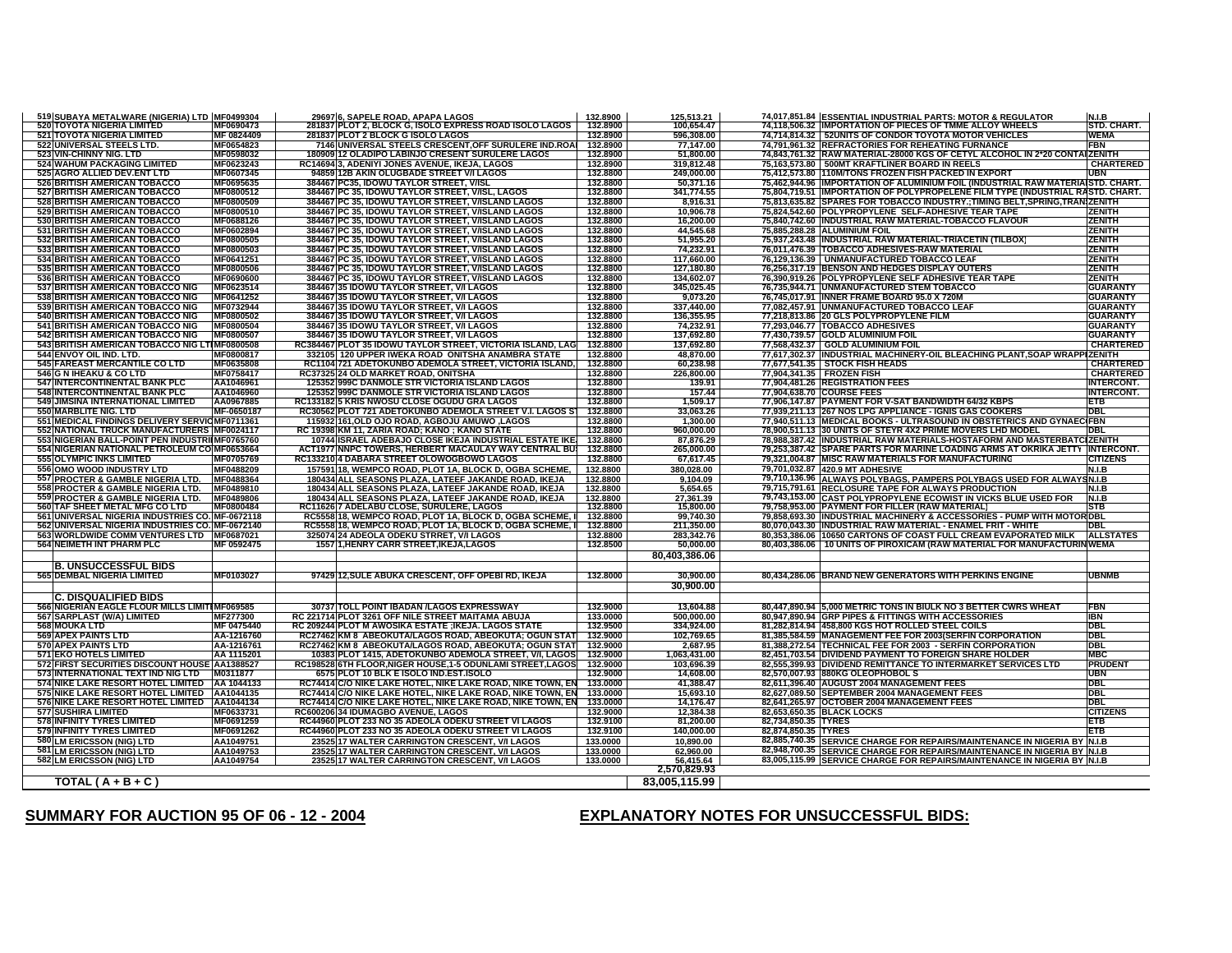## **SUMMARY FOR AUCTION 95 OF 06 - 12 - 2004**

## **EXPLANATORY NOTES FOR UNSUCCESSFUL BIDS:**

| 519 SUBAYA METALWARE (NIGERIA) LTD MF0499304<br>520 TOYOTA NIGERIA LIMITED MF0690473               |                        |                                                                                                                     | 132.8900             |                           |                           | 74,017,851.84 ESSENTIAL INDUSTRIAL PARTS: MOTOR & REGULATOR<br>74,118,506.32 IMPORTATION OF PIECES OF TMME ALLOY WHEELS               | <b>N.I.B</b>                        |
|----------------------------------------------------------------------------------------------------|------------------------|---------------------------------------------------------------------------------------------------------------------|----------------------|---------------------------|---------------------------|---------------------------------------------------------------------------------------------------------------------------------------|-------------------------------------|
|                                                                                                    |                        | <u>_29697 6, SAPELE ROAD, APAPA LAGOS</u><br>281837 PLOT 2, BLOCK G, ISOLO EXPRESS ROAD ISOLO LAGOS                 | 132.8900             | 125,513.21<br>100,654.47  |                           |                                                                                                                                       | STD. CHART.                         |
| <b>521 TOYOTA NIGERIA LIMITED</b>                                                                  | MF 0824409             | 281837 PLOT 2 BLOCK G ISOLO LAGOS                                                                                   | 132.8900             | 596,308.00                |                           | 74,714,814.32 52UNITS OF CONDOR TOYOTA MOTOR VEHICLES                                                                                 | <b>WEMA</b>                         |
| 522 UNIVERSAL STEELS LTD.                                                                          | MF0654823<br>MF0598032 | 7146 UNIVERSAL STEELS CRESCENT, OFF SURULERE IND.ROAI                                                               | 132.8900             | 77.147.00                 |                           | 74,791,961.32 REFRACTORIES FOR REHEATING FURNANCE                                                                                     | <b>FBN</b>                          |
| 523 VIN-CHINNY NIG. LTD<br><b>524 WAHUM PACKAGING LIMITED</b>                                      | MF0623243              | 180909 12 OLADIPO LABINJO CRESENT SURULERE LAGOS<br>RC14694 3, ADENIYI JONES AVENUE, IKEJA, LAGOS                   | 132.8900<br>132.8900 | 51.800.00<br>319,812.48   |                           | 74,843,761.32 RAW MATERIAL-28000 KGS OF CETYL ALCOHOL IN 2*20 CONTAIZENITH<br>75,163,573.80 500MT KRAFTLINER BOARD IN REELS           | <b>CHARTERED</b>                    |
| 525 AGRO ALLIED DEV.ENT LTD                                                                        | MF0607345              | 94859 12B AKIN OLUGBADE STREET V/I LAGOS                                                                            | 132.8800             | 249,000.00                |                           | 75,412,573.80 110M/TONS FROZEN FISH PACKED IN EXPORT                                                                                  | <b>UBN</b>                          |
| <b>526 BRITISH AMERICAN TOBACCO</b>                                                                | MF0695635              | 384467 PC35. IDOWU TAYLOR STREET. V/ISL                                                                             | 132.8800             | 50.371.16                 |                           | 75,462,944.96 IMPORTATION OF ALUMINIUM FOIL (INDUSTRIAL RAW MATERIA STD. CHART.                                                       |                                     |
| 527 BRITISH AMERICAN TOBACCO                                                                       | MF0800512              | 384467 PC 35, IDOWU TAYLOR STREET, V/ISL, LAGOS                                                                     | 132.8800             | 341,774.55                |                           | 75,804,719.51 IMPORTATION OF POLYPROPELENE FILM TYPE (INDUSTRIAL RASTD. CHART.                                                        |                                     |
| <b>528 BRITISH AMERICAN TOBACCO</b>                                                                | MF0800509              | 384467 PC 35, IDOWU TAYLOR STREET, V/ISLAND LAGOS                                                                   | 132.8800             | 8,916.31                  |                           | 75,813,635.82 SPARES FOR TOBACCO INDUSTRY.;TIMING BELT, SPRING, TRAN ZENITH                                                           |                                     |
| 529 BRITISH AMERICAN TOBACCO                                                                       | MF0800510              | 384467 PC 35, IDOWU TAYLOR STREET, V/ISLAND LAGOS                                                                   | 132.8800             | 10,906.78                 |                           | 75,824,542.60 POLYPROPYLENE SELF-ADHESIVE TEAR TAPE                                                                                   | ZENITH                              |
| 530 BRITISH AMERICAN TOBACCO                                                                       | MF0688126              | 384467 PC 35, IDOWU TAYLOR STREET, V/ISLAND LAGOS                                                                   | 132.8800             | 16,200.00                 |                           | 75,840,742.60 INDUSTRIAL RAW MATERIAL-TOBACCO FLAVOUR                                                                                 | <b>ZENITH</b>                       |
| 531 BRITISH AMERICAN TOBACCO                                                                       | MF0602894              | 384467 PC 35, IDOWU TAYLOR STREET, V/ISLAND LAGOS                                                                   | 132.8800             | 44,545.68                 |                           | 75,885,288.28 ALUMINIUM FOIL                                                                                                          | <b>ZENITH</b>                       |
| 532 BRITISH AMERICAN TOBACCO<br>533 BRITISH AMERICAN TOBACCO                                       | MF0800505<br>MF0800503 | 384467 PC 35, IDOWU TAYLOR STREET, V/ISLAND LAGOS<br>384467 PC 35, IDOWU TAYLOR STREET, V/ISLAND LAGOS              | 132.8800<br>132.8800 | 51,955.20<br>74,232.91    |                           | 75,937,243.48 INDUSTRIAL RAW MATERIAL-TRIACETIN (TILBOX)<br>76,011,476.39 TOBACCO ADHESIVES-RAW MATERIAL                              | <b>ZENITH</b><br><b>ZENITH</b>      |
| <b>534 BRITISH AMERICAN TOBACCO</b>                                                                | MF0641251              | 384467 PC 35, IDOWU TAYLOR STREET, V/ISLAND LAGOS                                                                   | 132.8800             | 117,660.00                |                           | 76,129,136.39 UNMANUFACTURED TOBACCO LEAF                                                                                             | <b>ZENITH</b>                       |
| 535 BRITISH AMERICAN TOBACCO                                                                       | MF0800506              | 384467 PC 35, IDOWU TAYLOR STREET, V/ISLAND LAGOS                                                                   | 132.8800             | 127,180.80                |                           | 76,256,317.19 BENSON AND HEDGES DISPLAY OUTERS                                                                                        | ZENITH                              |
| 536 BRITISH AMERICAN TOBACCO                                                                       | MF0690600              | 384467 PC 35, IDOWU TAYLOR STREET, V/ISLAND LAGOS                                                                   | 132.8800             | 134,602.07                |                           | 76,390,919.26 POLYPROPYLENE SELF ADHESIVE TEAR TAPE                                                                                   | ZENITH                              |
| 537 BRITISH AMERICAN TOBACCO NIG                                                                   | MF0623514              | 384467 35 IDOWU TAYLOR STREET, V/I LAGOS                                                                            | 132.8800             | 345,025.45                |                           | 76,735,944.71 UNMANUFACTURED STEM TOBACCO                                                                                             | <b>GUARANTY</b>                     |
| 538 BRITISH AMERICAN TOBACCO NIG                                                                   | MF0641252              | 384467 35 IDOWU TAYLOR STREET, V/I LAGOS                                                                            | 132.8800             | 9,073.20                  |                           | 76,745,017.91 INNER FRAME BOARD 95.0 X 720M                                                                                           | <b>GUARANTY</b>                     |
| 539 BRITISH AMERICAN TOBACCO NIG                                                                   | MF0732944              | 384467 35 IDOWU TAYLOR STREET, V/I LAGOS                                                                            | 132.8800             | 337,440.00                |                           | 77,082,457.91 UNMANUFACTURED TOBACCO LEAF                                                                                             | <b>GUARANTY</b>                     |
| 540 BRITISH AMERICAN TOBACCO NIG                                                                   | MF0800502              | 384467 35 IDOWU TAYLOR STREET, V/I LAGOS                                                                            | 132.8800             | 136,355.95                |                           | 77,218,813.86 20 GLS POLYPROPYLENE FILM                                                                                               | <b>GUARANTY</b>                     |
| 541 BRITISH AMERICAN TOBACCO NIG                                                                   | MF0800504              | 384467 35 IDOWU TAYLOR STREET, V/I LAGOS                                                                            | 132.8800             | 74.232.91                 |                           | 77,293,046.77 TOBACCO ADHESIVES                                                                                                       | <b>GUARANTY</b>                     |
| 542 BRITISH AMERICAN TOBACCO NIG<br>543 BRITISH AMERICAN TOBACCO NIG LTIMF0800508                  | MF0800507              | 384467 35 IDOWU TAYLOR STREET, V/I LAGOS<br>RC384467 PLOT 35 IDOWU TAYLOR STREET, VICTORIA ISLAND, LAG              | 132.8800<br>132.8800 | 137,692.80<br>137,692.80  |                           | 77,430,739.57 GOLD ALUMINIUM FOIL<br>77,568,432.37 GOLD ALUMINIUM FOIL                                                                | <b>GUARANTY</b><br><b>CHARTERED</b> |
| 544 ENVOY OIL IND. LTD.                                                                            | MF0800817              | 332105 120 UPPER IWEKA ROAD ONITSHA ANAMBRA STATE                                                                   | 132.8800             | 48,870.00                 |                           | 77,617,302.37 INDUSTRIAL MACHINERY-OIL BLEACHING PLANT, SOAP WRAPPIZENITH                                                             |                                     |
| 545 FAREAST MERCANTILE CO LTD                                                                      | MF0635808              | RC1104 721 ADETOKUNBO ADEMOLA STREET, VICTORIA ISLAND,                                                              | 132.8800             | 60,238.98                 |                           | 77,677,541.35 STOCK FISH HEADS                                                                                                        | <b>CHARTERED</b>                    |
| 546 G N IHEAKU & CO LTD                                                                            | MF0758417              | RC37325 24 OLD MARKET ROAD, ONITSHA                                                                                 | 132.8800             | 226,800.00                | 77,904,341.35 FROZEN FISH |                                                                                                                                       | <b>CHARTERED</b>                    |
| 547 INTERCONTINENTAL BANK PLC                                                                      | AA1046961              | 125352 999C DANMOLE STR VICTORIA ISLAND LAGOS                                                                       | 132.8800             | 139.91                    |                           | 77,904,481.26 REGISTRATION FEES                                                                                                       | <b>INTERCONT.</b>                   |
| 548 INTERCONTINENTAL BANK PLC                                                                      | AA1046960              | 125352 999C DANMOLE STR VICTORIA ISLAND LAGOS                                                                       | 132.8800             | 157.44                    | 77,904,638.70 COURSE FEES |                                                                                                                                       | <b>INTERCONT.</b>                   |
| <b>549 JIMSINA INTERNATIONAL LIMITED</b>                                                           | AA0967885              | RC133182 5 KRIS NWOSU CLOSE OGUDU GRA LAGOS                                                                         | 132.8800             | 1,509.17                  |                           | 77,906,147.87 PAYMENT FOR V-SAT BANDWIDTH 64/32 KBPS                                                                                  | <b>ETB</b>                          |
| 550 MARBLITE NIG. LTD                                                                              | MF-0650187             | RC30562 PLOT 721 ADETOKUNBO ADEMOLA STREET V.I. LAGOS ST                                                            | 132.8800             | 33,063.26                 |                           | 77,939,211.13 267 NOS LPG APPLIANCE - IGNIS GAS COOKERS                                                                               | <b>DBL</b>                          |
| 551 MEDICAL FINDINGS DELIVERY SERVICMF0711361<br>552 NATIONAL TRUCK MANUFACTURERS IMF0024117       |                        | 115932 161,OLD OJO ROAD, AGBOJU AMUWO ,LAGOS<br>RC 19398 KM 11, ZARIA ROAD; KANO; KANO STATE                        | 132.8800<br>132,8800 | 1,300.00<br>960,000.00    |                           | 77,940,511.13 MEDICAL BOOKS - ULTRASOUND IN OBSTETRICS AND GYNAEC FBN                                                                 | DBL                                 |
| 553 NIGERIAN BALL-POINT PEN INDUSTRIIMF0765760                                                     |                        | 10744 ISRAEL ADEBAJO CLOSE IKEJA INDUSTRIAL ESTATE IKE.                                                             | 132,8800             | 87,876.29                 |                           | 78,900,511.13 30 UNITS OF STEYR 4X2 PRIME MOVERS LHD MODEL<br>78,988,387.42 INDUSTRIAL RAW MATERIALS-HOSTAFORM AND MASTERBATC ZENITH  |                                     |
| 554 NIGERIAN NATIONAL PETROLEUM COIMF0653664                                                       |                        | ACT1977 NNPC TOWERS, HERBERT MACAULAY WAY CENTRAL BUI 132.8800                                                      |                      | 265,000.00                |                           | 79,253,387.42 SPARE PARTS FOR MARINE LOADING ARMS AT OKRIKA JETTY INTERCONT.                                                          |                                     |
| 555 OLYMPIC INKS LIMITED                                                                           | MF0705769              | RC133210 4 DABARA STREET OLOWOGBOWO LAGOS                                                                           | 132.8800             | 67,617.45                 |                           | 79,321,004.87 MISC RAW MATERIALS FOR MANUFACTURING                                                                                    | <b>CITIZENS</b>                     |
| 556 OMO WOOD INDUSTRY LTD                                                                          | MF0488209              | 157591 18, WEMPCO ROAD, PLOT 1A, BLOCK D, OGBA SCHEME                                                               | 132.8800             | 380,028.00                |                           | 79,701,032.87 420.9 MT ADHESIVE                                                                                                       | N.I.B                               |
| 557 PROCTER & GAMBLE NIGERIA LTD.                                                                  | MF0488364              | 180434 ALL SEASONS PLAZA, LATEEF JAKANDE ROAD, IKEJA                                                                | 132.8800             | 9,104.09                  |                           | 79,710,136.96 ALWAYS POLYBAGS, PAMPERS POLYBAGS USED FOR ALWAYSN.I.B                                                                  |                                     |
| 558 PROCTER & GAMBLE NIGERIA LTD.                                                                  | MF0489810              | 180434 ALL SEASONS PLAZA, LATEEF JAKANDE ROAD, IKEJA                                                                | 132.8800             | 5,654.65                  |                           | 79,715,791.61 RECLOSURE TAPE FOR ALWAYS PRODUCTION                                                                                    | N.I.B                               |
| 559 PROCTER & GAMBLE NIGERIA LTD.                                                                  | MF0489806              | 180434 ALL SEASONS PLAZA, LATEEF JAKANDE ROAD, IKEJA                                                                | 132.8800             | 27,361.39                 |                           | 79,743,153.00 CAST POLYPROPYLENE ECOWIST IN VICKS BLUE USED FOR                                                                       | N.I.B                               |
| 560 TAF SHEET METAL MFG CO LTD                                                                     | MF0800484              | RC11626 7 ADELABU CLOSE, SURULERE, LAGOS                                                                            | 132.8800             | 15,800.00                 |                           | 79,758,953.00 PAYMENT FOR FILLER (RAW MATERIAL)                                                                                       | <b>STB</b>                          |
| 561 UNIVERSAL NIGERIA INDUSTRIES CO. MF-0672118<br>562 UNIVERSAL NIGERIA INDUSTRIES CO. MF-0672140 |                        | RC5558 18, WEMPCO ROAD, PLOT 1A, BLOCK D, OGBA SCHEME,<br>RC5558 18, WEMPCO ROAD, PLOT 1A, BLOCK D, OGBA SCHEME, II | 132.8800<br>132.8800 | 99.740.30<br>211,350.00   |                           | 79,858,693.30 INDUSTRIAL MACHINERY & ACCESSORIES - PUMP WITH MOTOR DBL<br>80,070,043.30 INDUSTRIAL RAW MATERIAL - ENAMEL FRIT - WHITE | <b>DBL</b>                          |
| 563 WORLDWIDE COMM VENTURES LTD MF0687021                                                          |                        | 325074 24 ADEOLA ODEKU STRRET, V/I LAGOS                                                                            | 132.8800             | 283.342.76                |                           | 80,353,386.06 10650 CARTONS OF COAST FULL CREAM EVAPORATED MILK                                                                       | <b>ALLSTATES</b>                    |
| <b>564 NEIMETH INT PHARM PLC</b>                                                                   | MF 0592475             | 1557 1, HENRY CARR STREET, IKEJA, LAGOS                                                                             | 132.8500             | 50,000.00                 |                           | 80,403,386.06 10 UNITS OF PIROXICAM (RAW MATERIAL FOR MANUFACTURIN WEMA                                                               |                                     |
|                                                                                                    |                        |                                                                                                                     |                      | 80,403,386.06             |                           |                                                                                                                                       |                                     |
| <b>B. UNSUCCESSFUL BIDS</b>                                                                        |                        |                                                                                                                     |                      |                           |                           |                                                                                                                                       |                                     |
| <b>565 DEMBAL NIGERIA LIMITED</b>                                                                  | <b>MF0103027</b>       | 97429 12, SULE ABUKA CRESCENT, OFF OPEBIRD, IKEJA                                                                   | 132.8000             | 30.900.00                 |                           | 80,434,286.06 BRAND NEW GENERATORS WITH PERKINS ENGINE                                                                                | <b>UBNMB</b>                        |
|                                                                                                    |                        |                                                                                                                     |                      | 30,900.00                 |                           |                                                                                                                                       |                                     |
| <b>C. DISQUALIFIED BIDS</b>                                                                        |                        |                                                                                                                     |                      |                           |                           |                                                                                                                                       |                                     |
| 566 NIGERIAN EAGLE FLOUR MILLS LIMITIMF069585                                                      |                        | 30737 TOLL POINT IBADAN /LAGOS EXPRESSWAY                                                                           | 132.9000             | 13,604.88                 |                           | 80,447,890.94 5,000 METRIC TONS IN BIULK NO 3 BETTER CWRS WHEAT                                                                       | FBN                                 |
| 567 SARPLAST (W/A) LIMITED                                                                         | MF277300               | RC 221714 PLOT 3261 OFF NILE STREET MAITAMA ABUJA                                                                   | 133.0000             | 500.000.00                |                           | 80,947,890.94 GRP PIPES & FITTINGS WITH ACCESSORIES                                                                                   | IBN                                 |
| <b>568 MOUKA LTD</b>                                                                               | MF 0475440             | RC 209244 PLOT M AWOSIKA ESTATE ; IKEJA. LAGOS STATE                                                                | 132.9500             | 334,924.00                |                           | 81,282,814.94 458,800 KGS HOT ROLLED STEEL COILS                                                                                      | <b>DBL</b>                          |
| 569 APEX PAINTS LTD                                                                                | AA-1216760             | RC27462 KM 8 ABEOKUTA/LAGOS ROAD, ABEOKUTA; OGUN STAT                                                               | 132.9000             | 102,769.65                |                           | 81,385,584.59 MANAGEMENT FEE FOR 2003(SERFIN CORPORATION                                                                              | <b>DBL</b>                          |
| 570 APEX PAINTS LTD                                                                                | AA-1216761             | RC27462 KM 8 ABEOKUTA/LAGOS ROAD, ABEOKUTA; OGUN STAT 132.9000                                                      |                      | 2,687.95                  |                           | 81,388,272.54 TECHNICAL FEE FOR 2003 - SERFIN CORPORATION                                                                             | <b>DBL</b>                          |
| <b>571 EKO HOTELS LIMITED</b>                                                                      | AA 1115201             | 10383 PLOT 1415, ADETOKUNBO ADEMOLA STREET, V/I, LAGOS 132.9000                                                     |                      | 1,063,431.00              |                           | 82,451,703.54 DIVIDEND PAYMENT TO FOREIGN SHARE HOLDER                                                                                | <b>MBC</b>                          |
| 572 FIRST SECURITIES DISCOUNT HOUSE AA1388527<br>573 INTERNATIONAL TEXT IND NIG LTD                | M0311877               | RC198528 6TH FLOOR, NIGER HOUSE, 1-5 ODUNLAMI STREET, LAGOS<br>6575 PLOT 10 BLK E ISOLO IND.EST.ISOLO               | 132.9000<br>132.9000 | 103,696.39<br>14,608.00   |                           | 82,555,399.93 DIVIDEND REMITTANCE TO INTERMARKET SERVICES LTD<br>82,570,007.93 880KG OLEOPHOBOL S                                     | <b>PRUDENT</b><br><b>UBN</b>        |
| 574 NIKE LAKE RESORT HOTEL LIMITED AA 1044133                                                      |                        | RC74414 C/O NIKE LAKE HOTEL, NIKE LAKE ROAD, NIKE TOWN, EN 133.0000                                                 |                      | 41,388.47                 |                           | 82,611,396.40 AUGUST 2004 MANAGEMENT FEES                                                                                             | <b>DBL</b>                          |
| 575 NIKE LAKE RESORT HOTEL LIMITED AA1044135                                                       |                        | RC74414 C/O NIKE LAKE HOTEL, NIKE LAKE ROAD, NIKE TOWN, EN 133.0000                                                 |                      | 15.693.10                 |                           | 82,627,089.50 SEPTEMBER 2004 MANAGEMENT FEES                                                                                          | <b>DBL</b>                          |
| 576 NIKE LAKE RESORT HOTEL LIMITED AA1044134                                                       |                        | RC74414 C/O NIKE LAKE HOTEL, NIKE LAKE ROAD, NIKE TOWN, EN 133.0000                                                 |                      | 14,176.47                 |                           | 82,641,265.97 OCTOBER 2004 MANAGEMENT FEES                                                                                            | <b>DBL</b>                          |
| <b>577 SUSHIRA LIMITED</b>                                                                         | MF0633731              | RC600206 34 IDUMAGBO AVENUE, LAGOS                                                                                  | 132.9000             | 12,384.38                 |                           | 82,653,650.35 BLACK LOCKS                                                                                                             | <b>CITIZENS</b>                     |
| <b>578 INFINITY TYRES LIMITED</b>                                                                  | MF0691259              | RC44960 PLOT 233 NO 35 ADEOLA ODEKU STREET VI LAGOS                                                                 | 132.9100             | 81,200.00                 | 82,734,850.35 TYRES       |                                                                                                                                       | <b>ETB</b>                          |
| <b>579 INFINITY TYRES LIMITED</b>                                                                  | MF0691262              | RC44960 PLOT 233 NO 35 ADEOLA ODEKU STREET VI LAGOS                                                                 | 132.9100             | 140,000.00                | 82,874,850.35 TYRES       |                                                                                                                                       | ETB                                 |
| 580 LM ERICSSON (NIG) LTD                                                                          | AA1049751              | 23525 17 WALTER CARRINGTON CRESCENT, V/I LAGOS                                                                      | 133.0000             | 10,890.00                 |                           | 82,885,740.35 SERVICE CHARGE FOR REPAIRS/MAINTENANCE IN NIGERIA BY N.I.B                                                              |                                     |
| 581 LM ERICSSON (NIG) LTD                                                                          | AA1049753              | 23525 17 WALTER CARRINGTON CRESCENT, V/I LAGOS                                                                      | 133.0000             | 62,960.00                 |                           | 82,948,700.35 SERVICE CHARGE FOR REPAIRS/MAINTENANCE IN NIGERIA BY N.I.B                                                              |                                     |
| 582 LM ERICSSON (NIG) LTD                                                                          | AA1049754              | 23525 17 WALTER CARRINGTON CRESCENT, V/I LAGOS                                                                      | 133.0000             | 56,415.64<br>2,570,829.93 |                           | 83,005,115.99 SERVICE CHARGE FOR REPAIRS/MAINTENANCE IN NIGERIA BY N.I.B                                                              |                                     |
|                                                                                                    |                        |                                                                                                                     |                      |                           |                           |                                                                                                                                       |                                     |
| $TOTAL(A + B + C)$                                                                                 |                        |                                                                                                                     |                      | 83,005,115.99             |                           |                                                                                                                                       |                                     |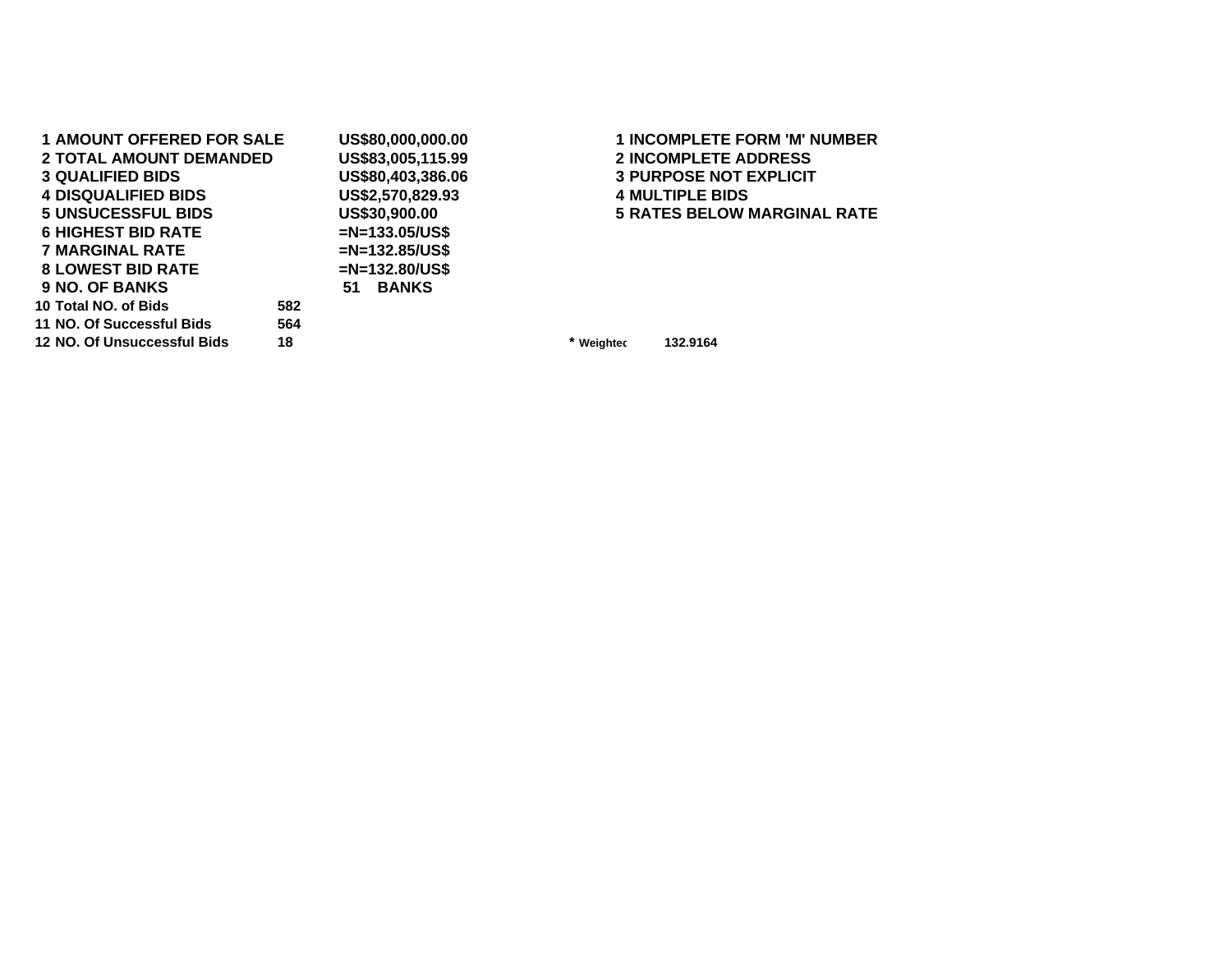| <b>1 AMOUNT OFFERED FOR SALE</b> |     |    | US\$80,000,000.00    |            | <b>1 INCOMPLETE FORM 'M' NUMBER</b> |
|----------------------------------|-----|----|----------------------|------------|-------------------------------------|
| <b>2 TOTAL AMOUNT DEMANDED</b>   |     |    | US\$83,005,115.99    |            | <b>2 INCOMPLETE ADDRESS</b>         |
| <b>3 QUALIFIED BIDS</b>          |     |    | US\$80,403,386.06    |            | <b>3 PURPOSE NOT EXPLICIT</b>       |
| <b>4 DISQUALIFIED BIDS</b>       |     |    | US\$2,570,829.93     |            | <b>4 MULTIPLE BIDS</b>              |
| <b>5 UNSUCESSFUL BIDS</b>        |     |    | <b>US\$30,900.00</b> |            | <b>5 RATES BELOW MARGINAL RATE</b>  |
| <b>6 HIGHEST BID RATE</b>        |     |    | $=N=133.05/US$ \$    |            |                                     |
| <b>7 MARGINAL RATE</b>           |     |    | $=N=132.85/US$ \$    |            |                                     |
| <b>8 LOWEST BID RATE</b>         |     |    | $=N=132.80/US$ \$    |            |                                     |
| <b>9 NO. OF BANKS</b>            |     | 51 | <b>BANKS</b>         |            |                                     |
| 10 Total NO. of Bids             | 582 |    |                      |            |                                     |
| 11 NO. Of Successful Bids        | 564 |    |                      |            |                                     |
| 12 NO. Of Unsuccessful Bids      | 18  |    |                      | * Weiahtec | 132.9164                            |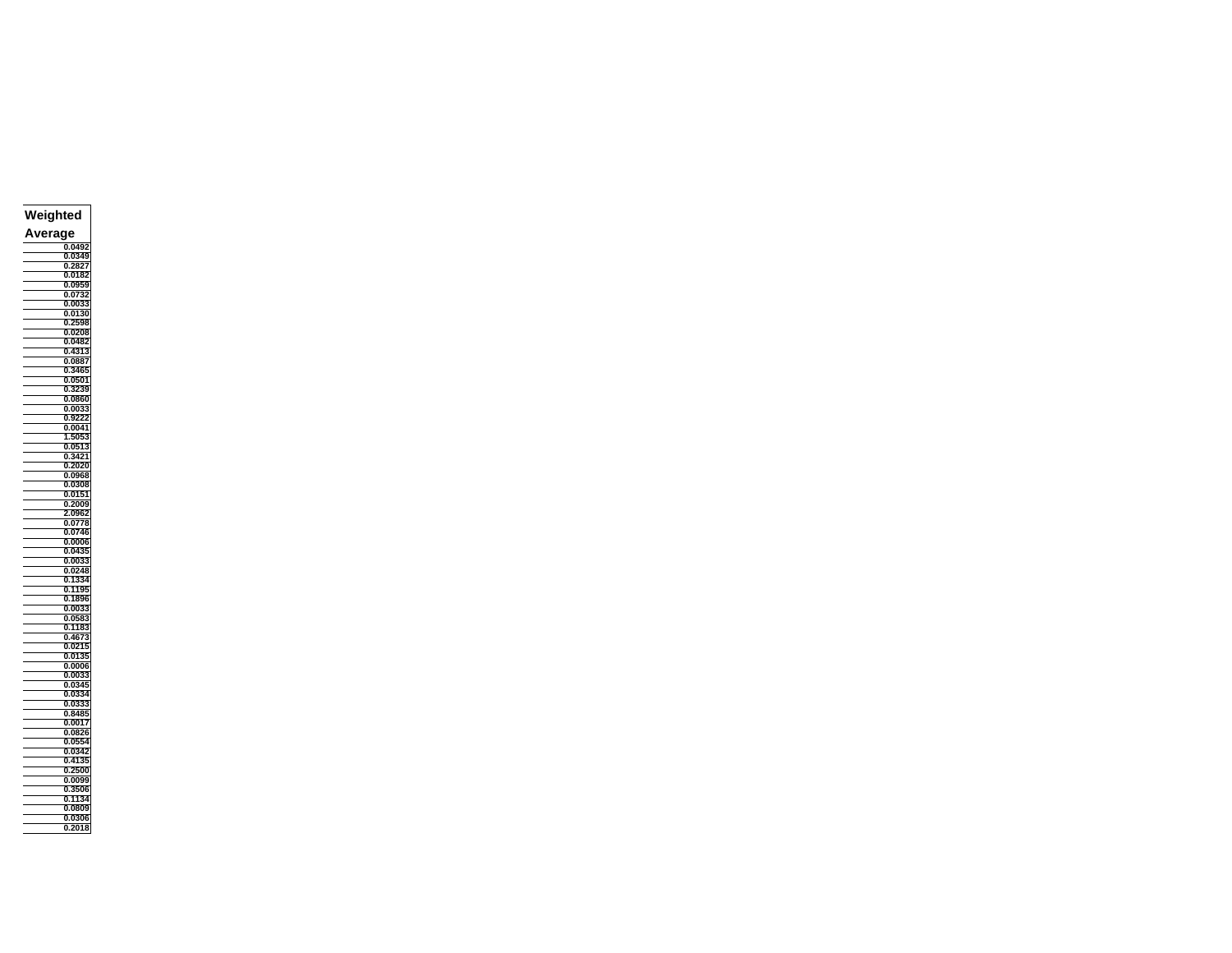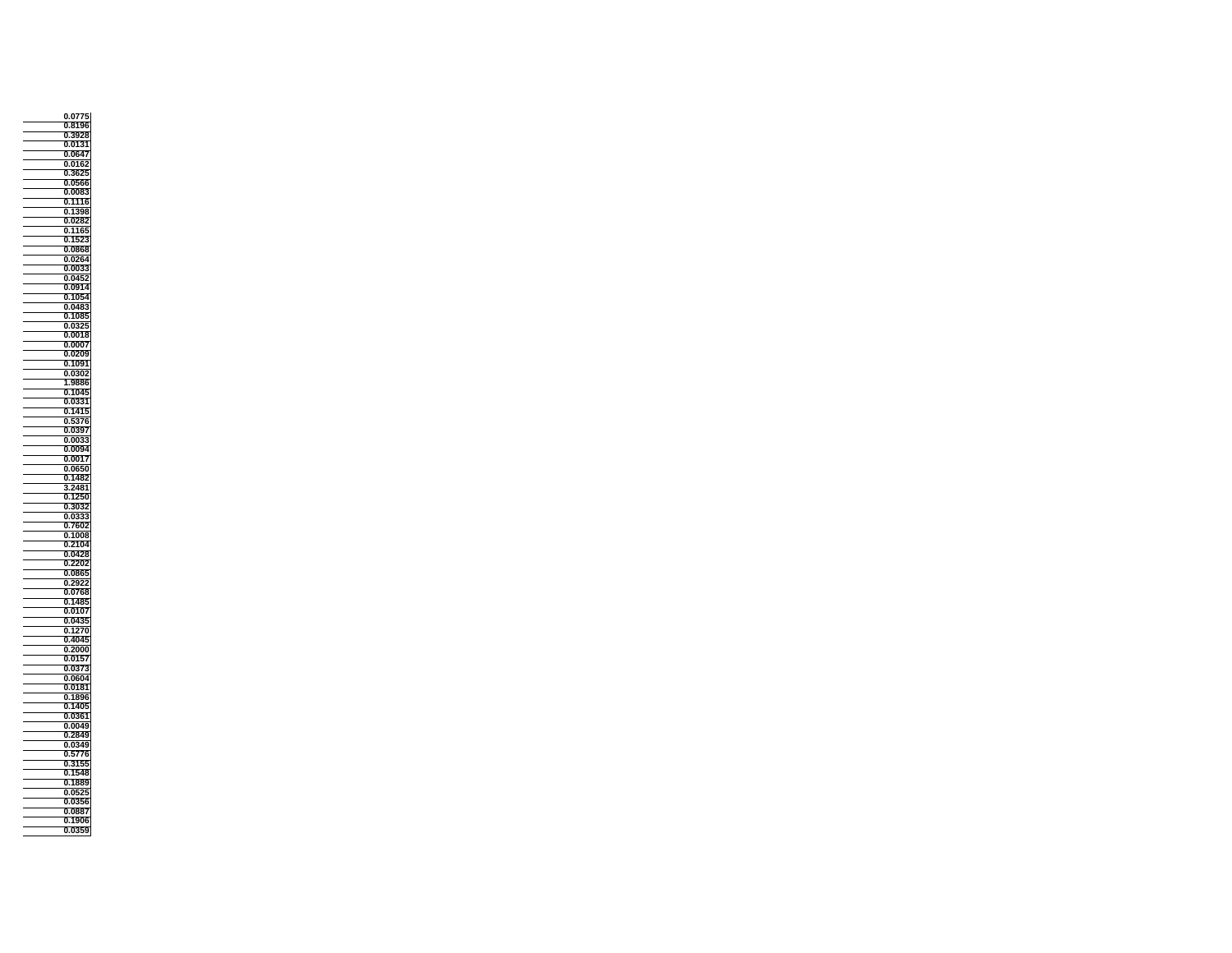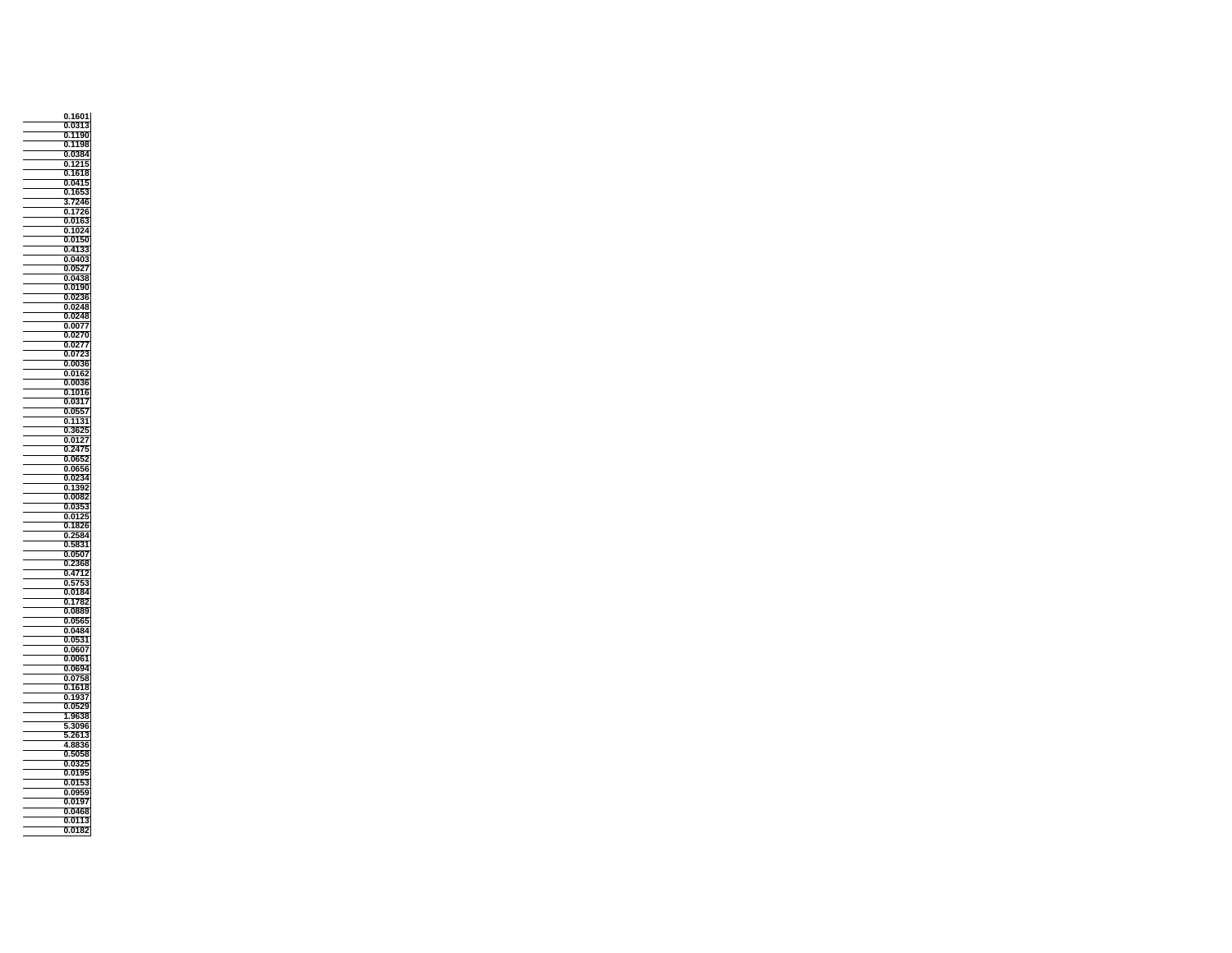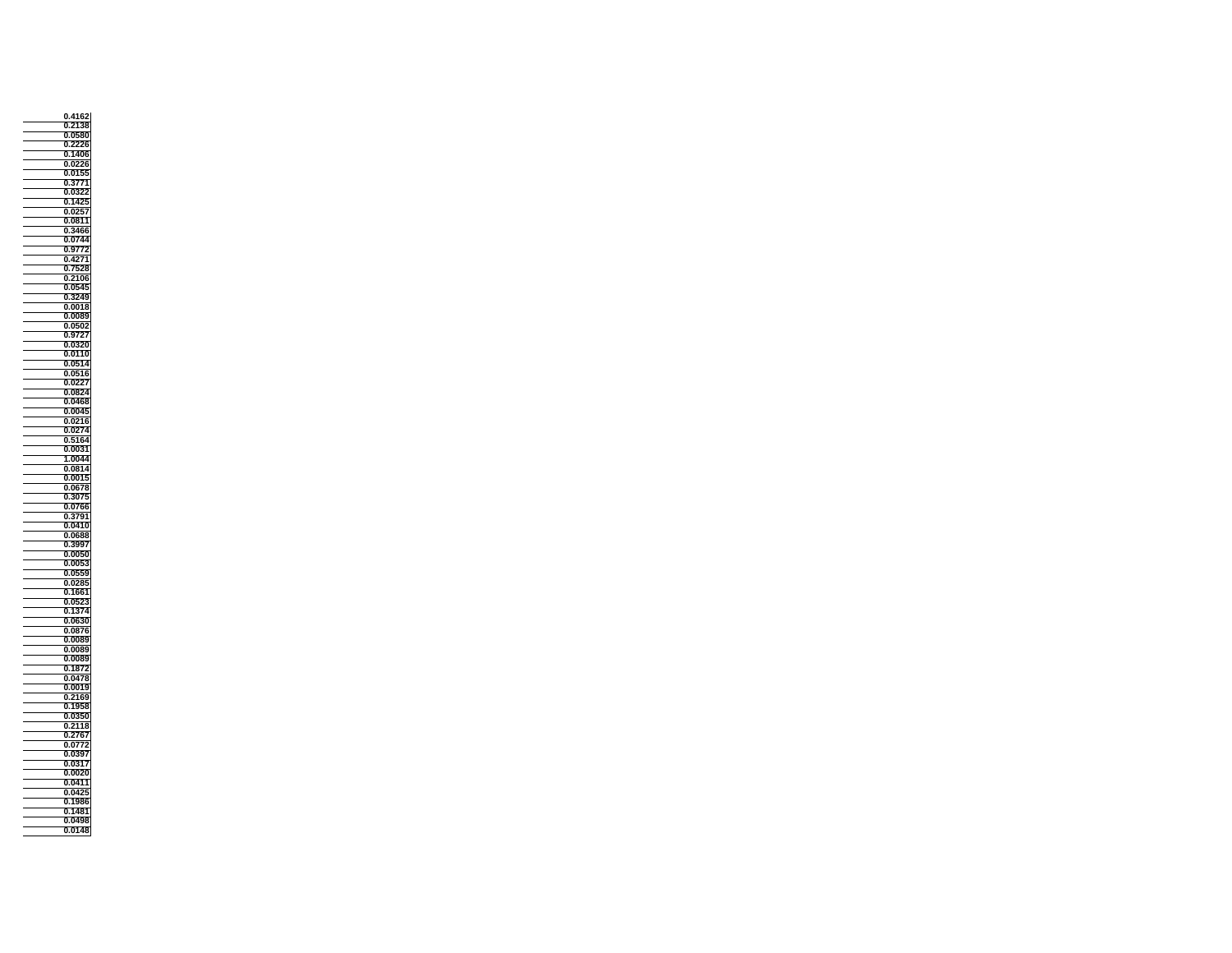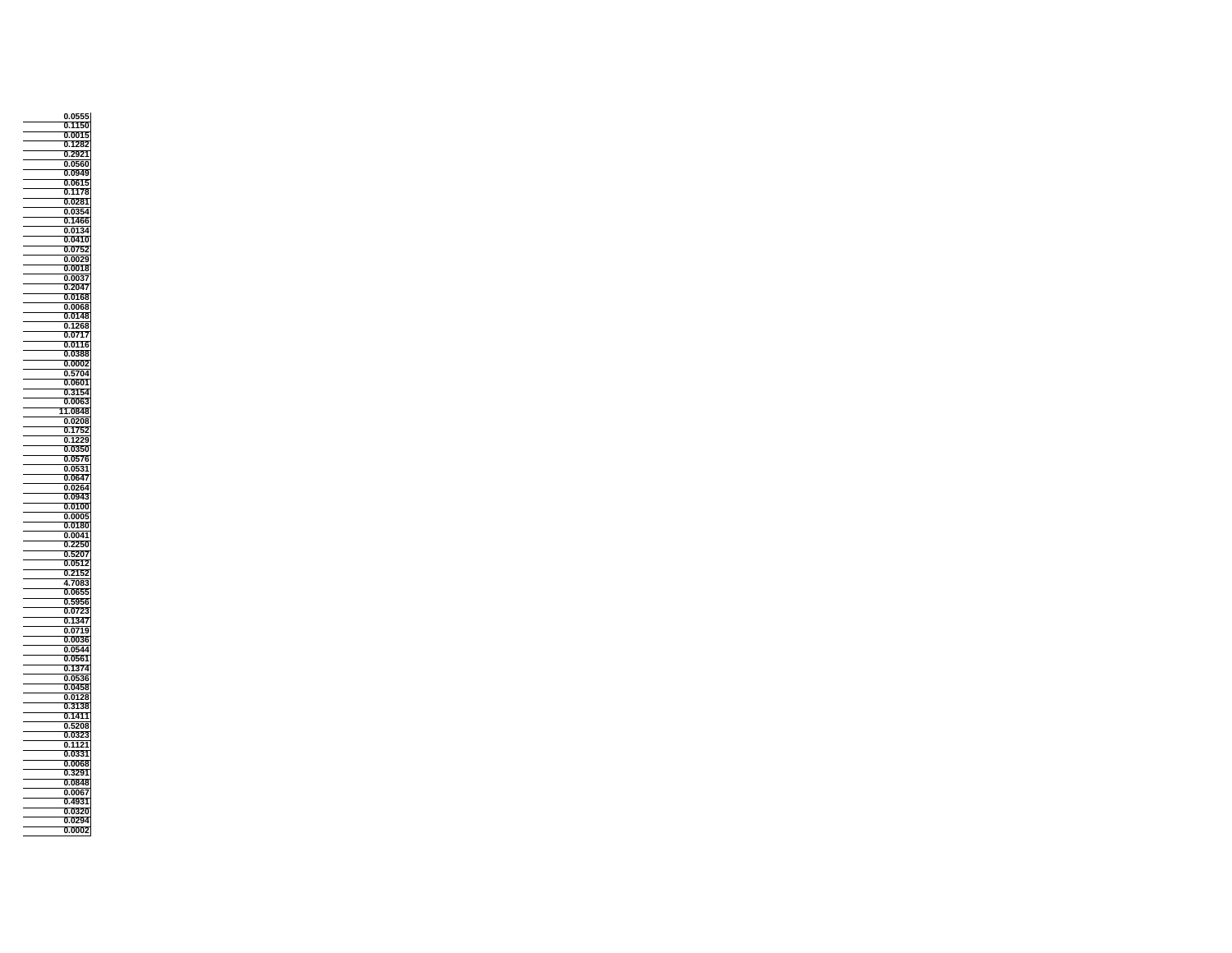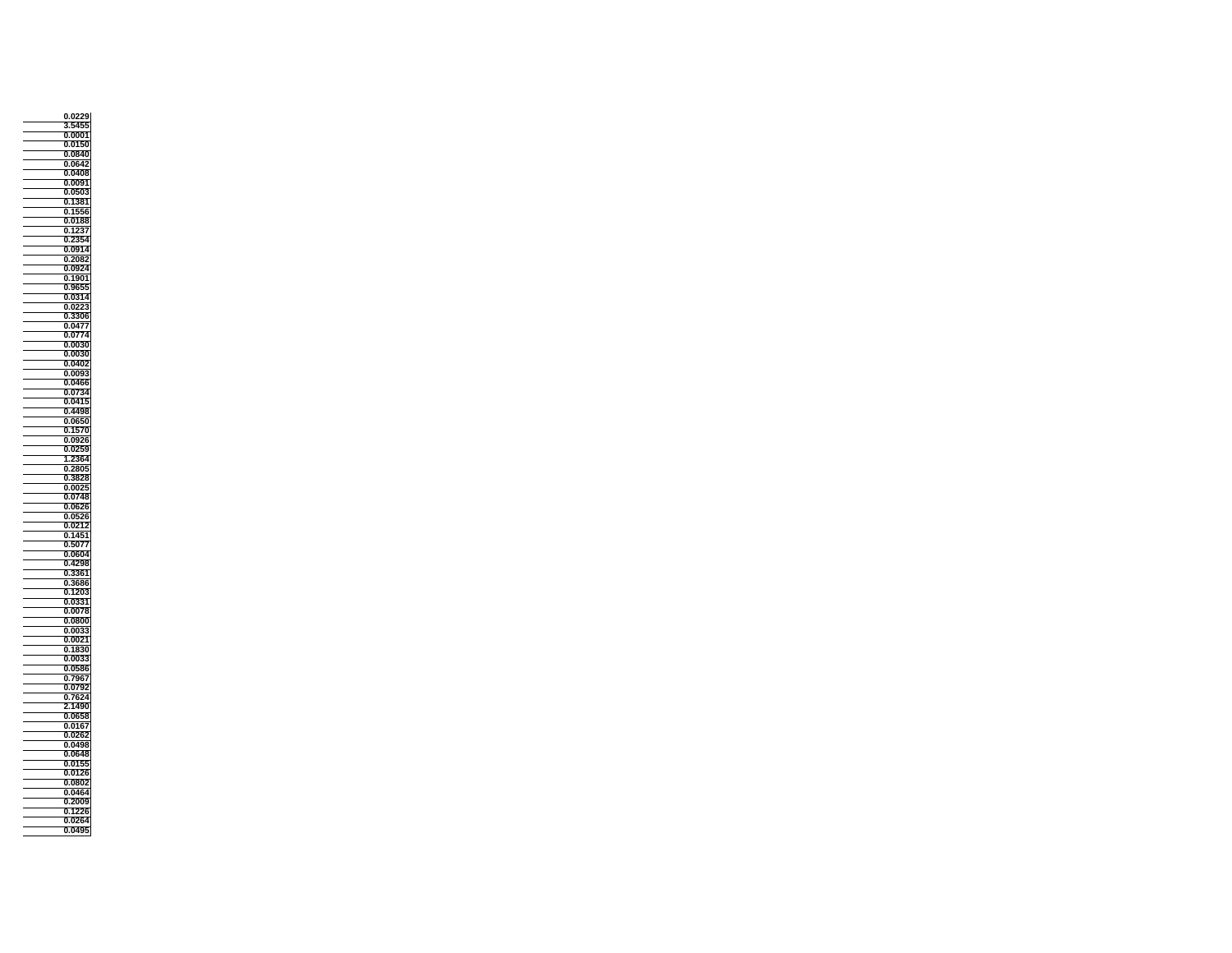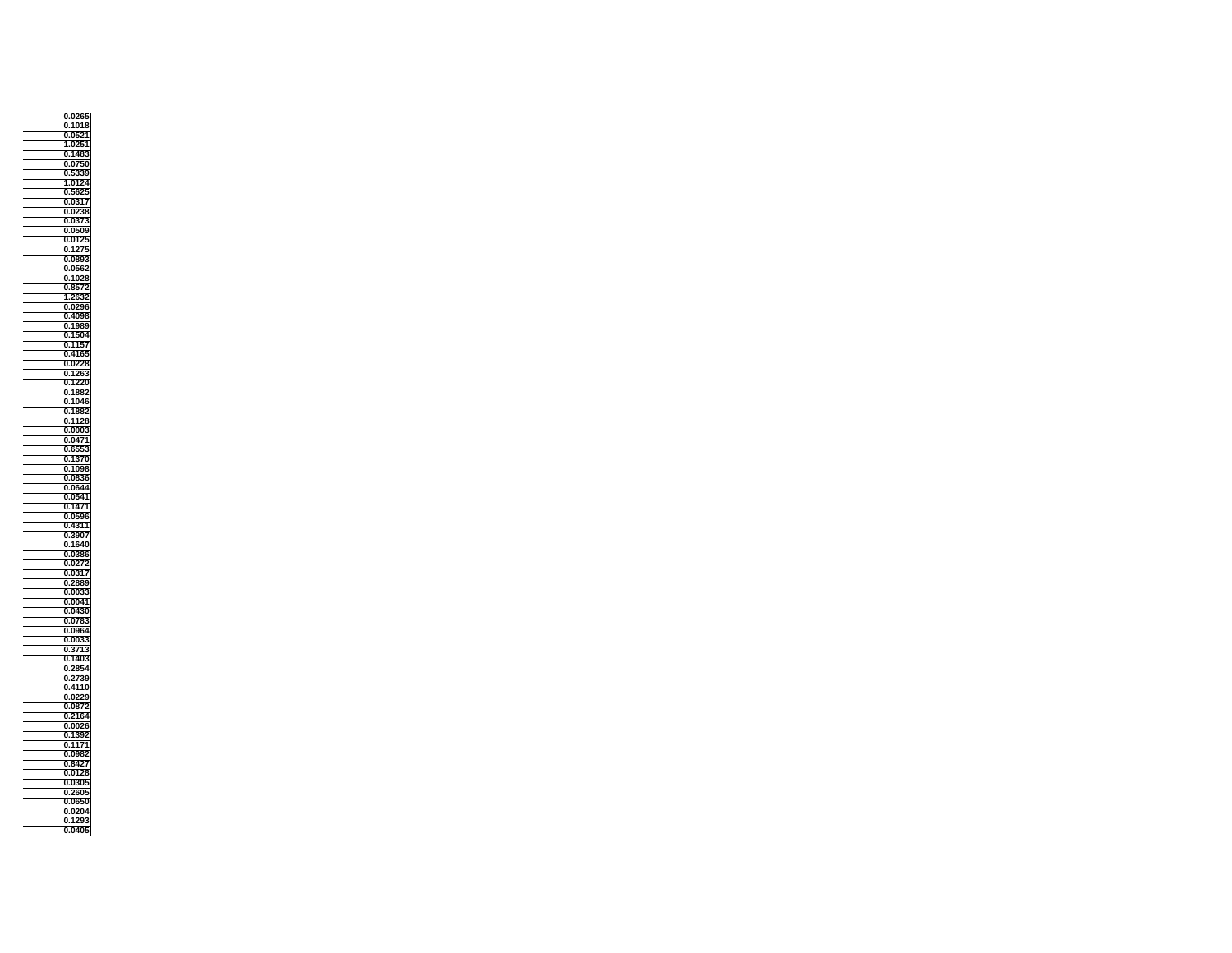